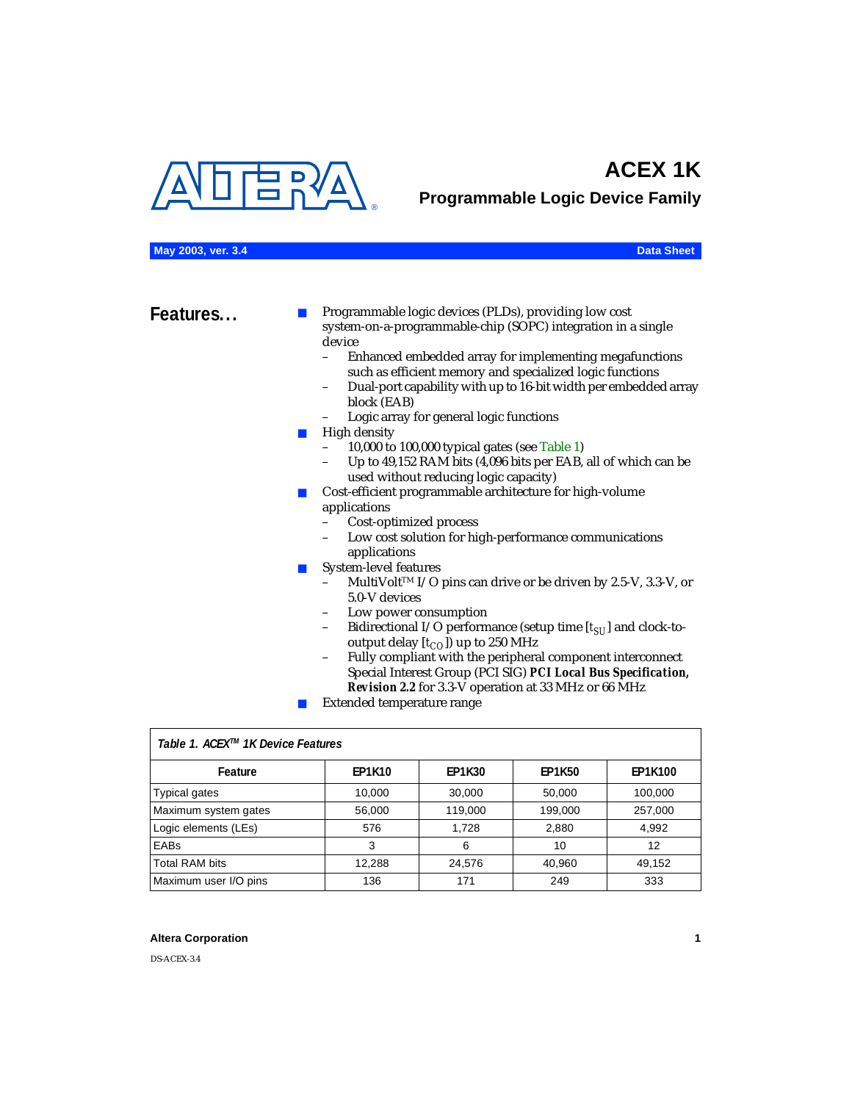<span id="page-0-1"></span>

# **ACEX 1K**

**Programmable Logic Device Family**

#### **May 2003, ver. 3.4 Data Sheet**

**Features...** ■ Programmable logic devices (PLDs), providing low cost system-on-a-programmable-chip (SOPC) integration in a single device

- Enhanced embedded array for implementing megafunctions such as efficient memory and specialized logic functions
- Dual-port capability with up to 16-bit width per embedded array block (EAB)
- Logic array for general logic functions
- High density
	- 10,000 to 100,000 typical gates (see [Table 1\)](#page-0-0)
	- Up to 49,152 RAM bits (4,096 bits per EAB, all of which can be used without reducing logic capacity)
- Cost-efficient programmable architecture for high-volume applications
	- Cost-optimized process
	- Low cost solution for high-performance communications applications
- System-level features
	- MultiVolt<sup>™</sup> I/O pins can drive or be driven by 2.5-V, 3.3-V, or 5.0-V devices
	- Low power consumption
	- Bidirectional I/O performance (setup time [ $t_{SU}$ ] and clock-tooutput delay  $[t_{CO}]$ ) up to 250 MHz
	- Fully compliant with the peripheral component interconnect Special Interest Group (PCI SIG) *PCI Local Bus Specification, Revision 2.2* for 3.3-V operation at 33 MHz or 66 MHz
	- Extended temperature range

<span id="page-0-0"></span>

| Table 1. ACEX™ 1K Device Features |               |               |               |                |  |  |
|-----------------------------------|---------------|---------------|---------------|----------------|--|--|
| Feature                           | <b>EP1K10</b> | <b>EP1K30</b> | <b>EP1K50</b> | <b>EP1K100</b> |  |  |
| Typical gates                     | 10,000        | 30,000        | 50,000        | 100,000        |  |  |
| Maximum system gates              | 56,000        | 119,000       | 199,000       | 257,000        |  |  |
| Logic elements (LEs)              | 576           | 1.728         | 2,880         | 4,992          |  |  |
| <b>EABs</b>                       | 3             | 6             | 10            | 12             |  |  |
| <b>Total RAM bits</b>             | 12.288        | 24.576        | 40,960        | 49.152         |  |  |
| Maximum user I/O pins             | 136           | 171           | 249           | 333            |  |  |

#### **Altera Corporation 1**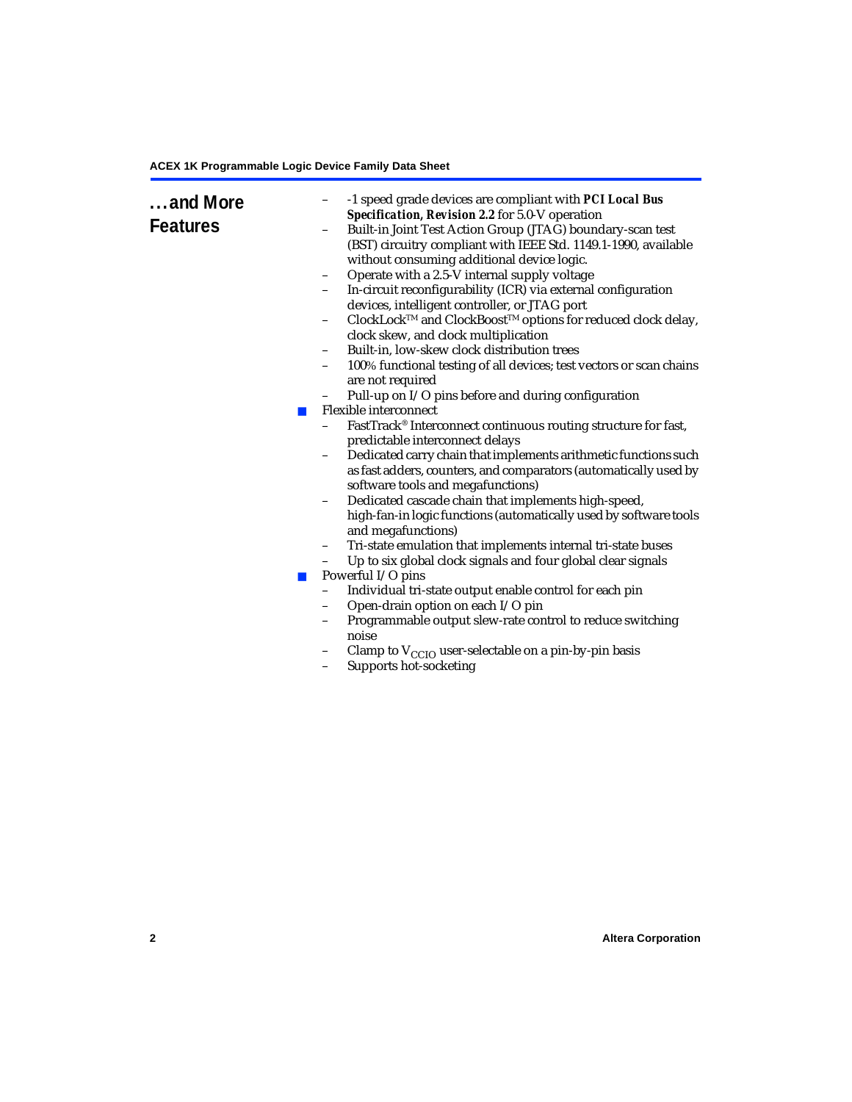| and More<br><b>Features</b><br><b>The Second</b><br>$\blacksquare$ | -1 speed grade devices are compliant with PCI Local Bus<br>Specification, Revision 2.2 for 5.0-V operation<br>Built-in Joint Test Action Group (JTAG) boundary-scan test<br>(BST) circuitry compliant with IEEE Std. 1149.1-1990, available<br>without consuming additional device logic.<br>Operate with a 2.5-V internal supply voltage<br>$\qquad \qquad -$<br>In-circuit reconfigurability (ICR) via external configuration<br>$\qquad \qquad -$<br>devices, intelligent controller, or JTAG port<br>$\text{ClockLock}^{\text{\tiny{TM}}}$ and $\text{ClockBoost}^{\text{\tiny{TM}}}$ options for reduced clock delay,<br>-<br>clock skew, and clock multiplication<br>Built-in, low-skew clock distribution trees<br>$\qquad \qquad -$<br>100% functional testing of all devices; test vectors or scan chains<br>$\qquad \qquad -$<br>are not required<br>Pull-up on I/O pins before and during configuration<br>Flexible interconnect<br>FastTrack® Interconnect continuous routing structure for fast,<br>predictable interconnect delays<br>Dedicated carry chain that implements arithmetic functions such<br>$\qquad \qquad -$<br>as fast adders, counters, and comparators (automatically used by<br>software tools and megafunctions)<br>Dedicated cascade chain that implements high-speed,<br>$\qquad \qquad -$<br>high-fan-in logic functions (automatically used by software tools<br>and megafunctions)<br>Tri-state emulation that implements internal tri-state buses<br>$\qquad \qquad -$<br>Up to six global clock signals and four global clear signals<br>$\qquad \qquad -$<br>Powerful I/O pins<br>Individual tri-state output enable control for each pin<br>$\qquad \qquad -$<br>Open-drain option on each I/O pin<br>$\qquad \qquad -$<br>Programmable output slew-rate control to reduce switching<br>noise<br>Clamp to $V_{\text{CCIO}}$ user-selectable on a pin-by-pin basis<br>Supports hot-socketing<br>$\qquad \qquad -$ |
|--------------------------------------------------------------------|------------------------------------------------------------------------------------------------------------------------------------------------------------------------------------------------------------------------------------------------------------------------------------------------------------------------------------------------------------------------------------------------------------------------------------------------------------------------------------------------------------------------------------------------------------------------------------------------------------------------------------------------------------------------------------------------------------------------------------------------------------------------------------------------------------------------------------------------------------------------------------------------------------------------------------------------------------------------------------------------------------------------------------------------------------------------------------------------------------------------------------------------------------------------------------------------------------------------------------------------------------------------------------------------------------------------------------------------------------------------------------------------------------------------------------------------------------------------------------------------------------------------------------------------------------------------------------------------------------------------------------------------------------------------------------------------------------------------------------------------------------------------------------------------------------------------------------------------------------------------------------------------------------------------------------------------------------|
|                                                                    |                                                                                                                                                                                                                                                                                                                                                                                                                                                                                                                                                                                                                                                                                                                                                                                                                                                                                                                                                                                                                                                                                                                                                                                                                                                                                                                                                                                                                                                                                                                                                                                                                                                                                                                                                                                                                                                                                                                                                            |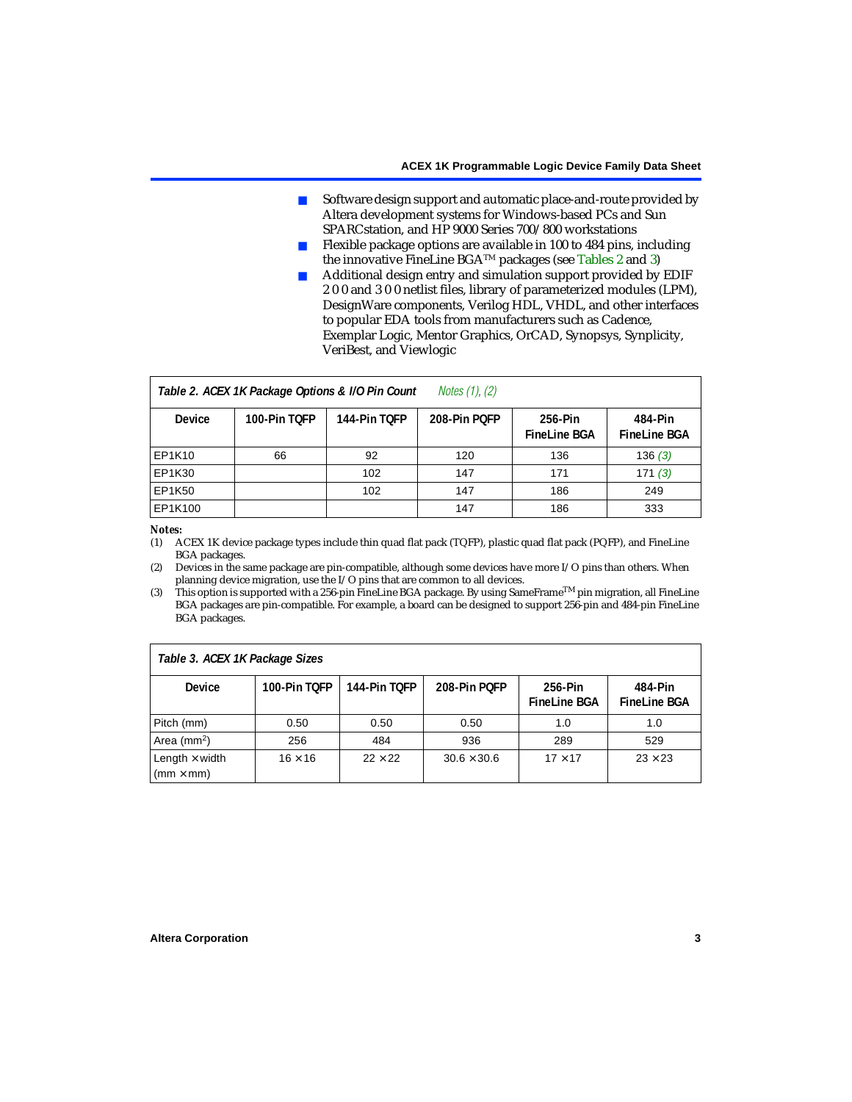- Software design support and automatic place-and-route provided by Altera development systems for Windows-based PCs and Sun SPARCstation, and HP 9000 Series 700/800 workstations
- Flexible package options are available in 100 to 484 pins, including the innovative FineLine BGATM packages (see [Tables 2](#page-2-2) and [3\)](#page-2-3)
- Additional design entry and simulation support provided by EDIF 2 0 0 and 3 0 0 netlist files, library of parameterized modules (LPM), DesignWare components, Verilog HDL, VHDL, and other interfaces to popular EDA tools from manufacturers such as Cadence, Exemplar Logic, Mentor Graphics, OrCAD, Synopsys, Synplicity, VeriBest, and Viewlogic

<span id="page-2-2"></span>

| <i>Notes <math>(1)</math>, <math>(2)</math></i><br>Table 2. ACEX 1K Package Options & I/O Pin Count |              |              |              |                                |                                |  |
|-----------------------------------------------------------------------------------------------------|--------------|--------------|--------------|--------------------------------|--------------------------------|--|
| Device                                                                                              | 100-Pin TOFP | 144-Pin TOFP | 208-Pin POFP | 256-Pin<br><b>FineLine BGA</b> | 484-Pin<br><b>FineLine BGA</b> |  |
| EP1K10                                                                                              | 66           | 92           | 120          | 136                            | 136(3)                         |  |
| EP1K30                                                                                              |              | 102          | 147          | 171                            | 171(3)                         |  |
| EP1K50                                                                                              |              | 102          | 147          | 186                            | 249                            |  |
| EP1K100                                                                                             |              |              | 147          | 186                            | 333                            |  |

#### *Notes:*

<span id="page-2-0"></span>(1) ACEX 1K device package types include thin quad flat pack (TQFP), plastic quad flat pack (PQFP), and FineLine BGA packages.

<span id="page-2-4"></span>(2) Devices in the same package are pin-compatible, although some devices have more I/O pins than others. When planning device migration, use the I/O pins that are common to all devices.

<span id="page-2-1"></span>(3) This option is supported with a 256-pin FineLine BGA package. By using SameFrame<sup>TM</sup> pin migration, all FineLine BGA packages are pin-compatible. For example, a board can be designed to support 256-pin and 484-pin FineLine BGA packages.

<span id="page-2-3"></span>

| Table 3. ACEX 1K Package Sizes                           |                |                |                    |                                |                                |  |
|----------------------------------------------------------|----------------|----------------|--------------------|--------------------------------|--------------------------------|--|
| <b>Device</b>                                            | 100-Pin TOFP   | 144-Pin TOFP   | 208-Pin POFP       | 256-Pin<br><b>FineLine BGA</b> | 484-Pin<br><b>FineLine BGA</b> |  |
| Pitch (mm)                                               | 0.50           | 0.50           | 0.50               | 1.0                            | 1.0                            |  |
| Area ( $mm2$ )                                           | 256            | 484            | 936                | 289                            | 529                            |  |
| Length $\times$ width<br>$\mathsf{mmm}\times\mathsf{mm}$ | $16 \times 16$ | $22 \times 22$ | $30.6 \times 30.6$ | $17 \times 17$                 | $23 \times 23$                 |  |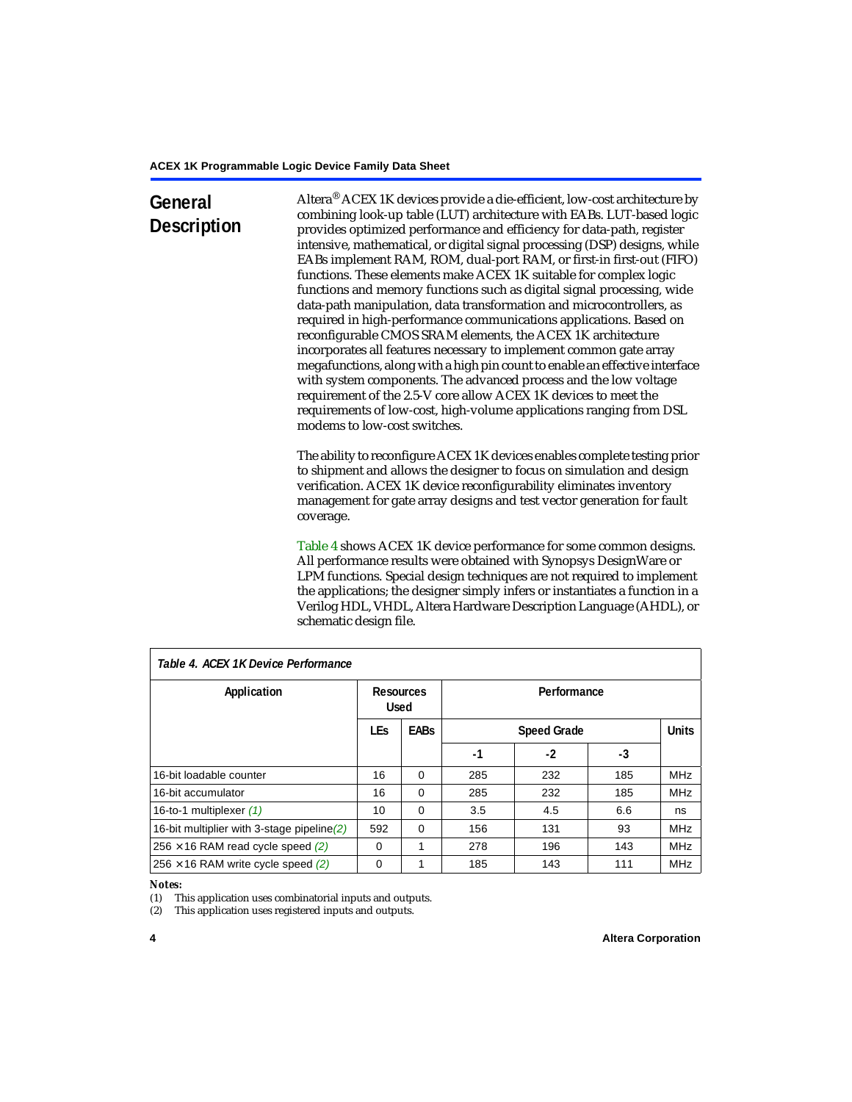# **General Description**

Altera® ACEX 1K devices provide a die-efficient, low-cost architecture by combining look-up table (LUT) architecture with EABs. LUT-based logic provides optimized performance and efficiency for data-path, register intensive, mathematical, or digital signal processing (DSP) designs, while EABs implement RAM, ROM, dual-port RAM, or first-in first-out (FIFO) functions. These elements make ACEX 1K suitable for complex logic functions and memory functions such as digital signal processing, wide data-path manipulation, data transformation and microcontrollers, as required in high-performance communications applications. Based on reconfigurable CMOS SRAM elements, the ACEX 1K architecture incorporates all features necessary to implement common gate array megafunctions, along with a high pin count to enable an effective interface with system components. The advanced process and the low voltage requirement of the 2.5-V core allow ACEX 1K devices to meet the requirements of low-cost, high-volume applications ranging from DSL modems to low-cost switches.

The ability to reconfigure ACEX 1K devices enables complete testing prior to shipment and allows the designer to focus on simulation and design verification. ACEX 1K device reconfigurability eliminates inventory management for gate array designs and test vector generation for fault coverage.

[Table 4](#page-3-1) shows ACEX 1K device performance for some common designs. All performance results were obtained with Synopsys DesignWare or LPM functions. Special design techniques are not required to implement the applications; the designer simply infers or instantiates a function in a Verilog HDL, VHDL, Altera Hardware Description Language (AHDL), or schematic design file.

| Table 4. ACEX 1K Device Performance        |                          |             |             |                    |     |              |
|--------------------------------------------|--------------------------|-------------|-------------|--------------------|-----|--------------|
| Application                                | Resources<br><b>Used</b> |             | Performance |                    |     |              |
|                                            | <b>LEs</b>               | <b>EABs</b> |             | <b>Speed Grade</b> |     | <b>Units</b> |
|                                            |                          |             | -1          | $-2$               | -3  |              |
| 16-bit loadable counter                    | 16                       | $\Omega$    | 285         | 232                | 185 | <b>MHz</b>   |
| 16-bit accumulator                         | 16                       | $\Omega$    | 285         | 232                | 185 | <b>MHz</b>   |
| 16-to-1 multiplexer (1)                    | 10                       | $\Omega$    | 3.5         | 4.5                | 6.6 | ns           |
| 16-bit multiplier with 3-stage pipeline(2) | 592                      | $\Omega$    | 156         | 131                | 93  | <b>MHz</b>   |
| $256 \times 16$ RAM read cycle speed (2)   | $\Omega$                 | 1           | 278         | 196                | 143 | <b>MHz</b>   |
| $256 \times 16$ RAM write cycle speed (2)  | $\Omega$                 |             | 185         | 143                | 111 | <b>MHz</b>   |

### <span id="page-3-1"></span>*Table 4. ACEX 1K Device Performance*

#### *Notes:*

<span id="page-3-0"></span>(1) This application uses combinatorial inputs and outputs.

<span id="page-3-2"></span>(2) This application uses registered inputs and outputs.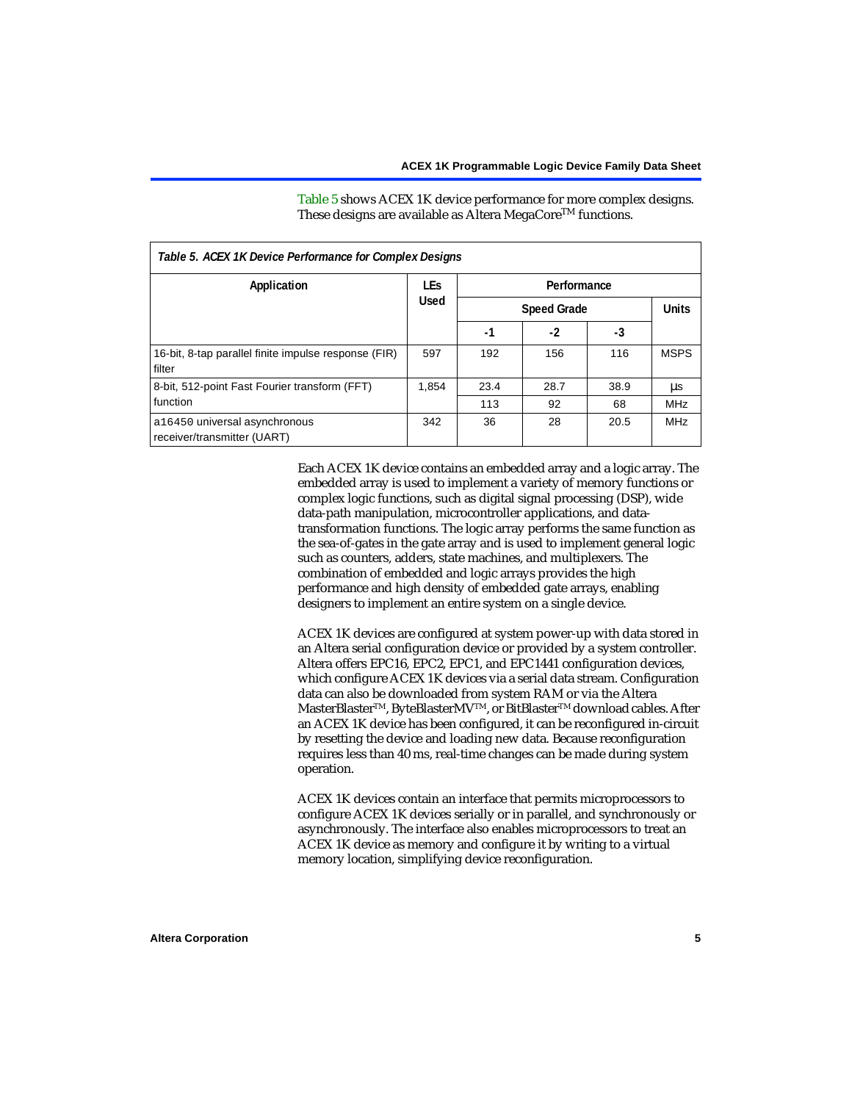[Table 5](#page-4-0) shows ACEX 1K device performance for more complex designs.

<span id="page-4-0"></span>

| Table 5. ACEX 1K Device Performance for Complex Designs        |             |                    |      |      |              |  |
|----------------------------------------------------------------|-------------|--------------------|------|------|--------------|--|
| Application                                                    | <b>LEs</b>  | Performance        |      |      |              |  |
|                                                                | <b>Used</b> | <b>Speed Grade</b> |      |      | <b>Units</b> |  |
|                                                                |             | -1                 | $-2$ | -3   |              |  |
| 16-bit, 8-tap parallel finite impulse response (FIR)<br>filter | 597         | 192                | 156  | 116  | <b>MSPS</b>  |  |
| 8-bit, 512-point Fast Fourier transform (FFT)                  | 1.854       | 23.4               | 28.7 | 38.9 | μs           |  |
| function                                                       |             | 113                | 92   | 68   | <b>MHz</b>   |  |
| a16450 universal asynchronous<br>receiver/transmitter (UART)   | 342         | 36                 | 28   | 20.5 | <b>MHz</b>   |  |

These designs are available as Altera MegaCore<sup>TM</sup> functions.

Each ACEX 1K device contains an embedded array and a logic array. The embedded array is used to implement a variety of memory functions or complex logic functions, such as digital signal processing (DSP), wide data-path manipulation, microcontroller applications, and datatransformation functions. The logic array performs the same function as the sea-of-gates in the gate array and is used to implement general logic such as counters, adders, state machines, and multiplexers. The combination of embedded and logic arrays provides the high performance and high density of embedded gate arrays, enabling designers to implement an entire system on a single device.

ACEX 1K devices are configured at system power-up with data stored in an Altera serial configuration device or provided by a system controller. Altera offers EPC16, EPC2, EPC1, and EPC1441 configuration devices, which configure ACEX 1K devices via a serial data stream. Configuration data can also be downloaded from system RAM or via the Altera MasterBlaster™, ByteBlasterMV™, or BitBlaster™ download cables. After an ACEX 1K device has been configured, it can be reconfigured in-circuit by resetting the device and loading new data. Because reconfiguration requires less than 40 ms, real-time changes can be made during system operation.

ACEX 1K devices contain an interface that permits microprocessors to configure ACEX 1K devices serially or in parallel, and synchronously or asynchronously. The interface also enables microprocessors to treat an ACEX 1K device as memory and configure it by writing to a virtual memory location, simplifying device reconfiguration.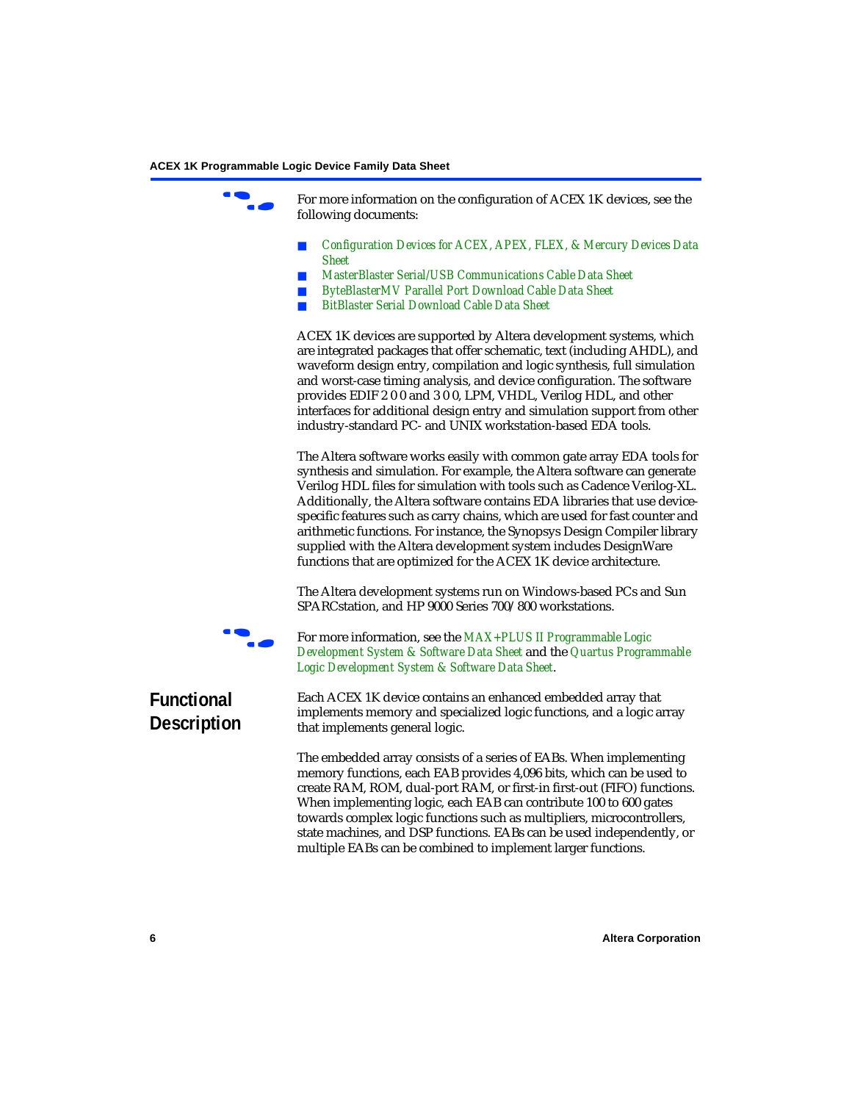For more information on the configuration of ACEX 1K devices, see the following documents:

- *[Configuration Devices for ACEX, APEX, FLEX, & Mercury Devices Data](#page-0-1)  Sheet*
- *[MasterBlaster Serial/USB Communications Cable Data Sheet](#page-0-1)*
- *[ByteBlasterMV Parallel Port Download Cable Data Sheet](#page-0-1)*
- *[BitBlaster Serial Download Cable Data Sheet](#page-0-1)*

ACEX 1K devices are supported by Altera development systems, which are integrated packages that offer schematic, text (including AHDL), and waveform design entry, compilation and logic synthesis, full simulation and worst-case timing analysis, and device configuration. The software provides EDIF 2 0 0 and 3 0 0, LPM, VHDL, Verilog HDL, and other interfaces for additional design entry and simulation support from other industry-standard PC- and UNIX workstation-based EDA tools.

The Altera software works easily with common gate array EDA tools for synthesis and simulation. For example, the Altera software can generate Verilog HDL files for simulation with tools such as Cadence Verilog-XL. Additionally, the Altera software contains EDA libraries that use devicespecific features such as carry chains, which are used for fast counter and arithmetic functions. For instance, the Synopsys Design Compiler library supplied with the Altera development system includes DesignWare functions that are optimized for the ACEX 1K device architecture.

The Altera development systems run on Windows-based PCs and Sun SPARCstation, and HP 9000 Series 700/800 workstations.



f For more information, see the *[MAX+PLUS II Programmable Logic](#page-0-1)  [Development System & Software Data Sheet](#page-0-1)* and the *[Quartus Programmable](#page-0-1)  [Logic Development System & Software Data Sheet](#page-0-1)*.

### **Functional Description**

Each ACEX 1K device contains an enhanced embedded array that implements memory and specialized logic functions, and a logic array that implements general logic.

The embedded array consists of a series of EABs. When implementing memory functions, each EAB provides 4,096 bits, which can be used to create RAM, ROM, dual-port RAM, or first-in first-out (FIFO) functions. When implementing logic, each EAB can contribute 100 to 600 gates towards complex logic functions such as multipliers, microcontrollers, state machines, and DSP functions. EABs can be used independently, or multiple EABs can be combined to implement larger functions.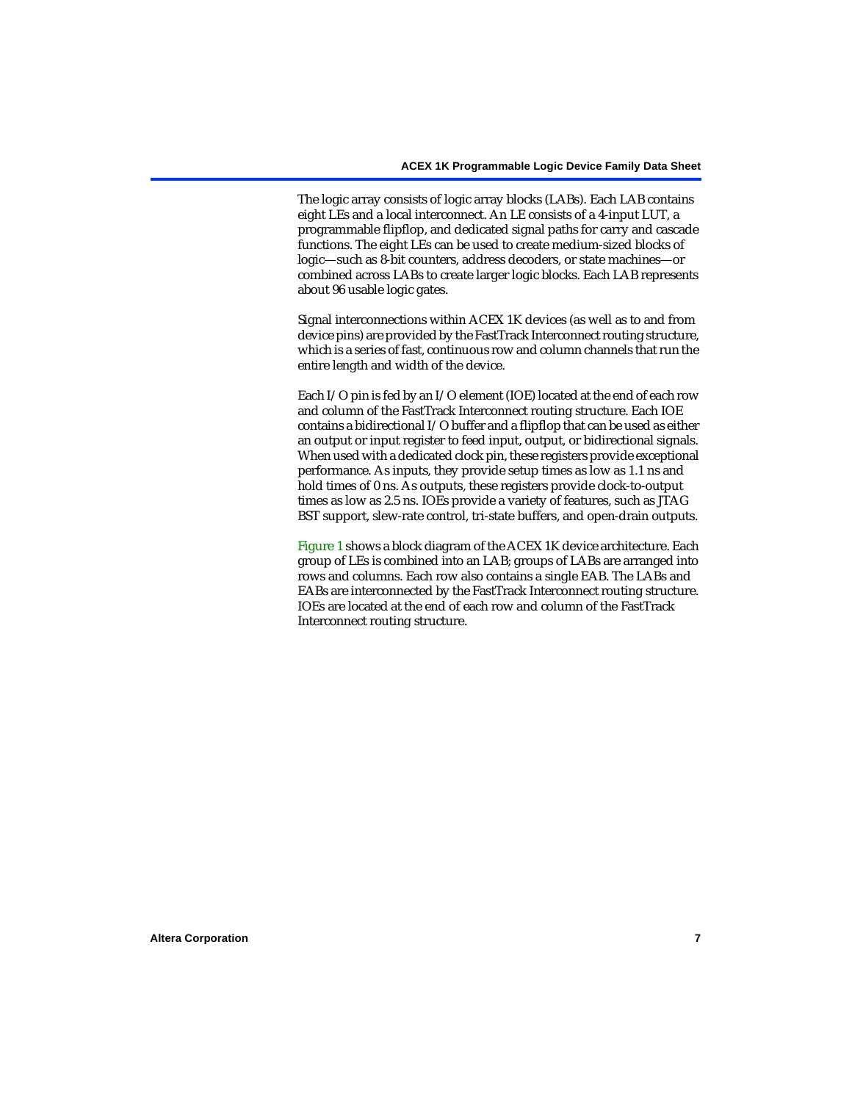The logic array consists of logic array blocks (LABs). Each LAB contains eight LEs and a local interconnect. An LE consists of a 4-input LUT, a programmable flipflop, and dedicated signal paths for carry and cascade functions. The eight LEs can be used to create medium-sized blocks of logic—such as 8-bit counters, address decoders, or state machines—or combined across LABs to create larger logic blocks. Each LAB represents about 96 usable logic gates.

Signal interconnections within ACEX 1K devices (as well as to and from device pins) are provided by the FastTrack Interconnect routing structure, which is a series of fast, continuous row and column channels that run the entire length and width of the device.

Each I/O pin is fed by an I/O element (IOE) located at the end of each row and column of the FastTrack Interconnect routing structure. Each IOE contains a bidirectional I/O buffer and a flipflop that can be used as either an output or input register to feed input, output, or bidirectional signals. When used with a dedicated clock pin, these registers provide exceptional performance. As inputs, they provide setup times as low as 1.1 ns and hold times of 0 ns. As outputs, these registers provide clock-to-output times as low as 2.5 ns. IOEs provide a variety of features, such as JTAG BST support, slew-rate control, tri-state buffers, and open-drain outputs.

[Figure 1](#page-7-0) shows a block diagram of the ACEX 1K device architecture. Each group of LEs is combined into an LAB; groups of LABs are arranged into rows and columns. Each row also contains a single EAB. The LABs and EABs are interconnected by the FastTrack Interconnect routing structure. IOEs are located at the end of each row and column of the FastTrack Interconnect routing structure.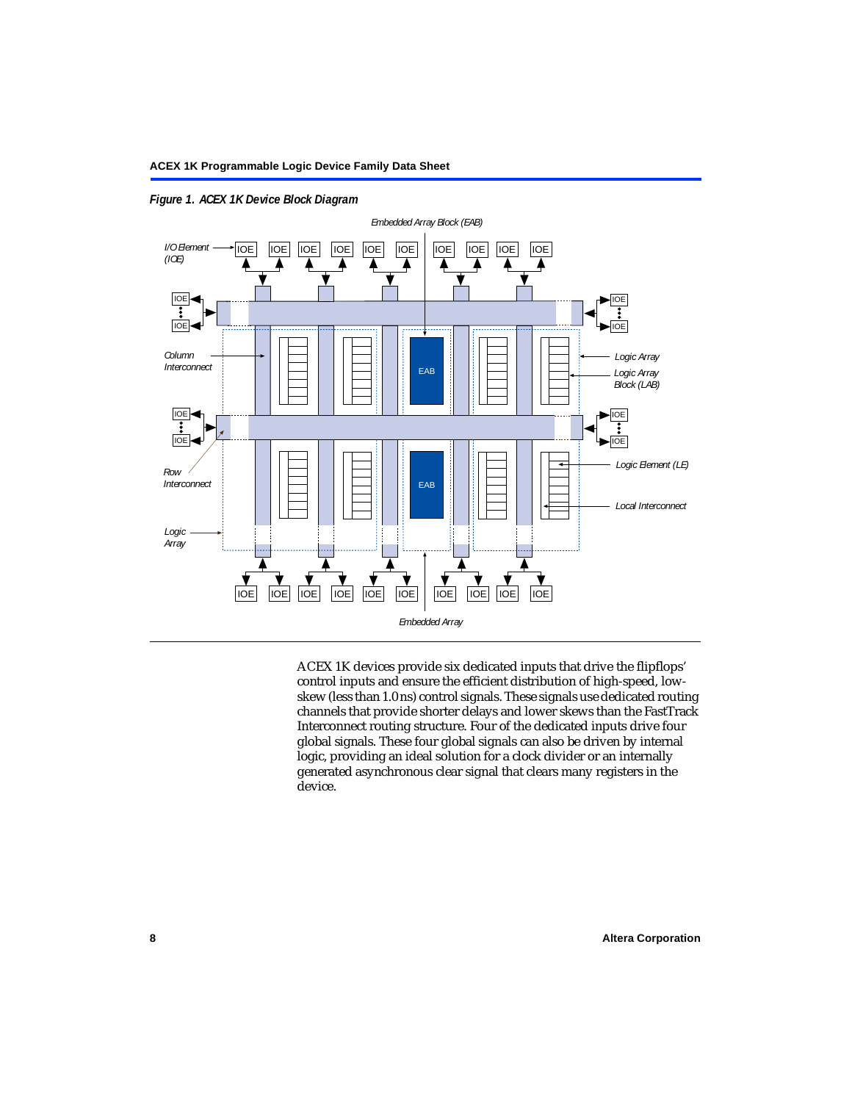

<span id="page-7-0"></span>*Figure 1. ACEX 1K Device Block Diagram*

ACEX 1K devices provide six dedicated inputs that drive the flipflops' control inputs and ensure the efficient distribution of high-speed, lowskew (less than 1.0 ns) control signals. These signals use dedicated routing channels that provide shorter delays and lower skews than the FastTrack Interconnect routing structure. Four of the dedicated inputs drive four global signals. These four global signals can also be driven by internal logic, providing an ideal solution for a clock divider or an internally generated asynchronous clear signal that clears many registers in the device.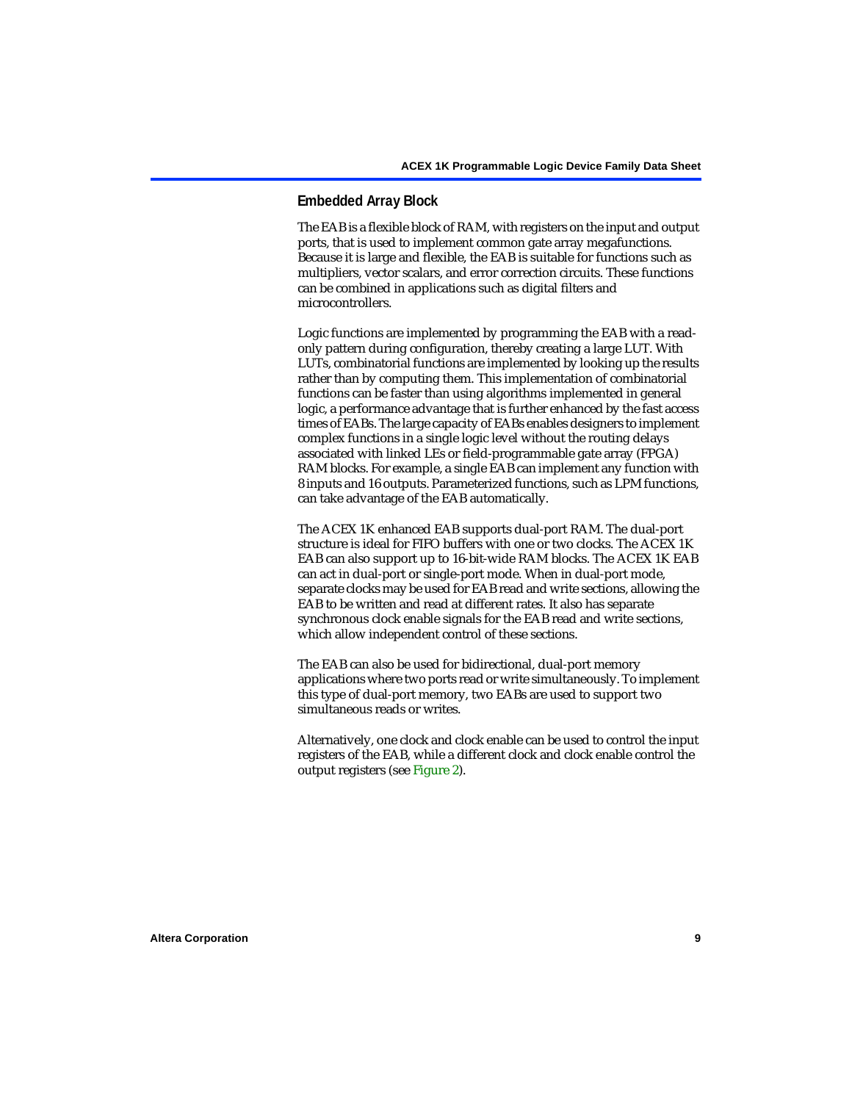#### **Embedded Array Block**

The EAB is a flexible block of RAM, with registers on the input and output ports, that is used to implement common gate array megafunctions. Because it is large and flexible, the EAB is suitable for functions such as multipliers, vector scalars, and error correction circuits. These functions can be combined in applications such as digital filters and microcontrollers.

Logic functions are implemented by programming the EAB with a readonly pattern during configuration, thereby creating a large LUT. With LUTs, combinatorial functions are implemented by looking up the results rather than by computing them. This implementation of combinatorial functions can be faster than using algorithms implemented in general logic, a performance advantage that is further enhanced by the fast access times of EABs. The large capacity of EABs enables designers to implement complex functions in a single logic level without the routing delays associated with linked LEs or field-programmable gate array (FPGA) RAM blocks. For example, a single EAB can implement any function with 8 inputs and 16 outputs. Parameterized functions, such as LPM functions, can take advantage of the EAB automatically.

The ACEX 1K enhanced EAB supports dual-port RAM. The dual-port structure is ideal for FIFO buffers with one or two clocks. The ACEX 1K EAB can also support up to 16-bit-wide RAM blocks. The ACEX 1K EAB can act in dual-port or single-port mode. When in dual-port mode, separate clocks may be used for EAB read and write sections, allowing the EAB to be written and read at different rates. It also has separate synchronous clock enable signals for the EAB read and write sections, which allow independent control of these sections.

The EAB can also be used for bidirectional, dual-port memory applications where two ports read or write simultaneously. To implement this type of dual-port memory, two EABs are used to support two simultaneous reads or writes.

Alternatively, one clock and clock enable can be used to control the input registers of the EAB, while a different clock and clock enable control the output registers (see [Figure 2\)](#page-9-0).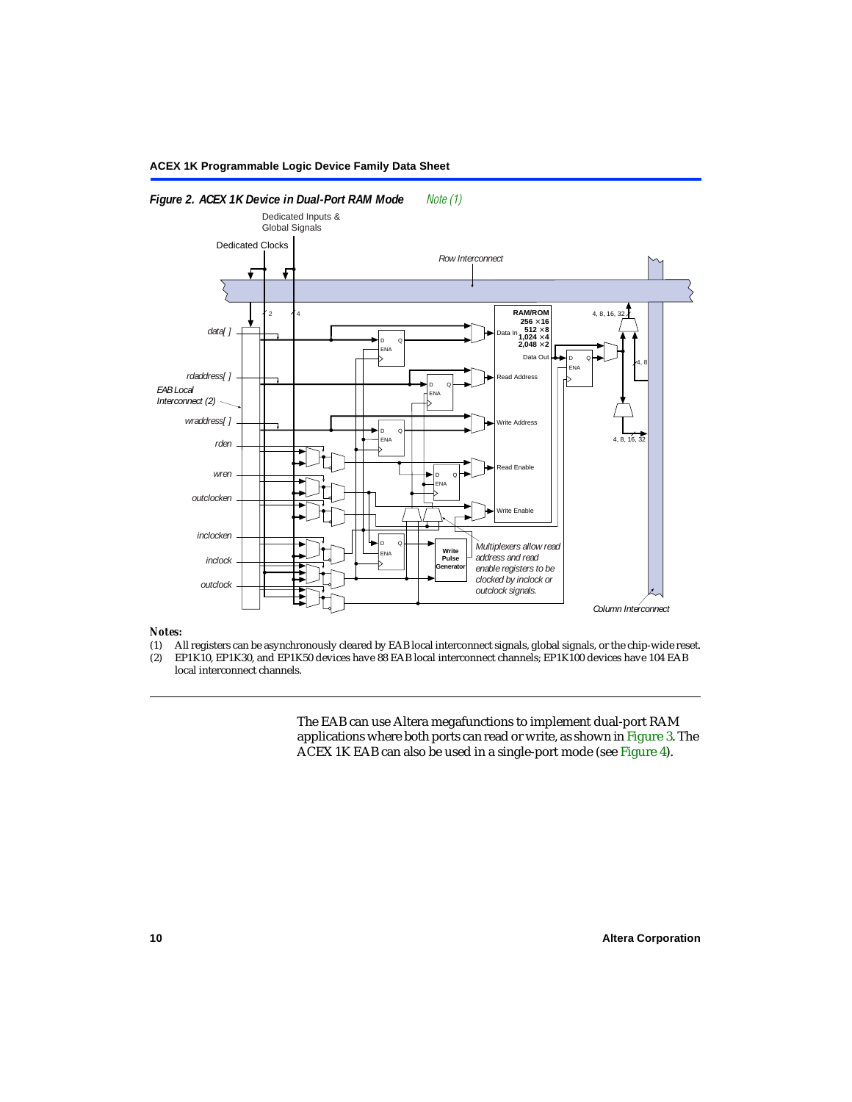

#### <span id="page-9-0"></span>*Figure 2. ACEX 1K Device in Dual-Port RAM Mode [Note \(1\)](#page-9-1)*

# *Notes:*<br>(1) A

- <span id="page-9-1"></span>(1) All registers can be asynchronously cleared by EAB local interconnect signals, global signals, or the chip-wide reset.<br>(2) EP1K10. EP1K30. and EP1K50 devices have 88 EAB local interconnect channels: EP1K100 devices hav
- EP1K10, EP1K30, and EP1K50 devices have 88 EAB local interconnect channels; EP1K100 devices have 104 EAB local interconnect channels.

The EAB can use Altera megafunctions to implement dual-port RAM applications where both ports can read or write, as shown in [Figure 3](#page-10-1). The ACEX 1K EAB can also be used in a single-port mode (see [Figure 4\)](#page-10-0).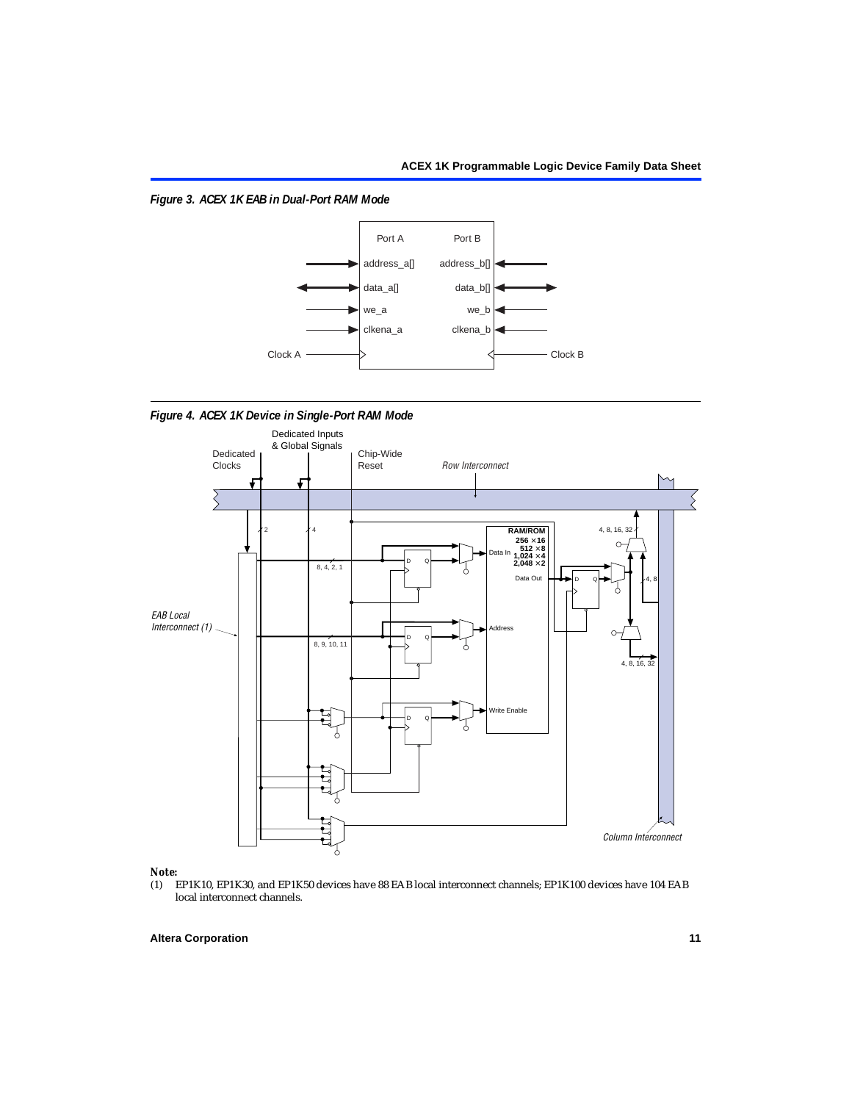<span id="page-10-1"></span>*Figure 3. ACEX 1K EAB in Dual-Port RAM Mode*



<span id="page-10-0"></span>*Figure 4. ACEX 1K Device in Single-Port RAM Mode* 



# *Note:*<br>(1) **H**

EP1K10, EP1K30, and EP1K50 devices have 88 EAB local interconnect channels; EP1K100 devices have 104 EAB local interconnect channels.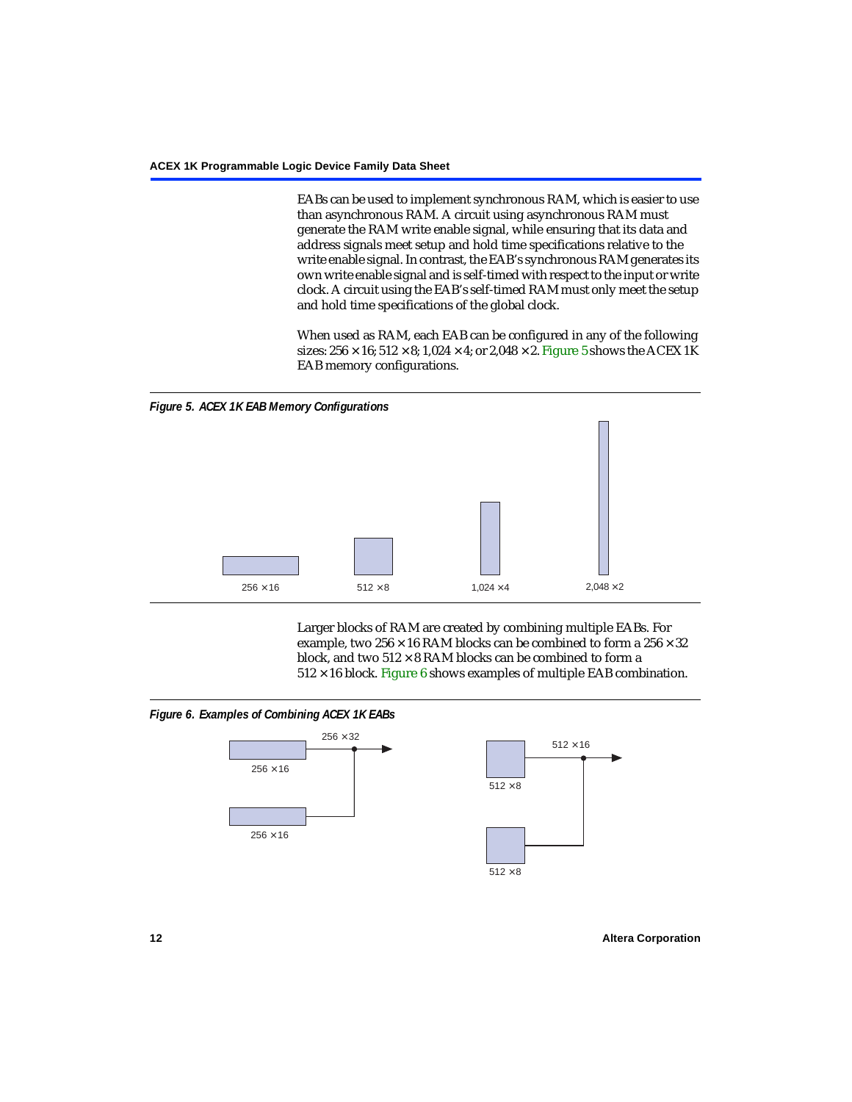EABs can be used to implement synchronous RAM, which is easier to use than asynchronous RAM. A circuit using asynchronous RAM must generate the RAM write enable signal, while ensuring that its data and address signals meet setup and hold time specifications relative to the write enable signal. In contrast, the EAB's synchronous RAM generates its own write enable signal and is self-timed with respect to the input or write clock. A circuit using the EAB's self-timed RAM must only meet the setup and hold time specifications of the global clock.

When used as RAM, each EAB can be configured in any of the following sizes:  $256 \times 16$ ;  $512 \times 8$ ;  $1,024 \times 4$ ; or  $2,048 \times 2$ . [Figure 5](#page-11-0) shows the ACEX 1K EAB memory configurations.

<span id="page-11-0"></span>

Larger blocks of RAM are created by combining multiple EABs. For example, two  $256 \times 16$  RAM blocks can be combined to form a  $256 \times 32$ block, and two  $512 \times 8$  RAM blocks can be combined to form a  $512 \times 16$  block. [Figure 6](#page-11-1) shows examples of multiple EAB combination.

#### <span id="page-11-1"></span>*Figure 6. Examples of Combining ACEX 1K EABs*



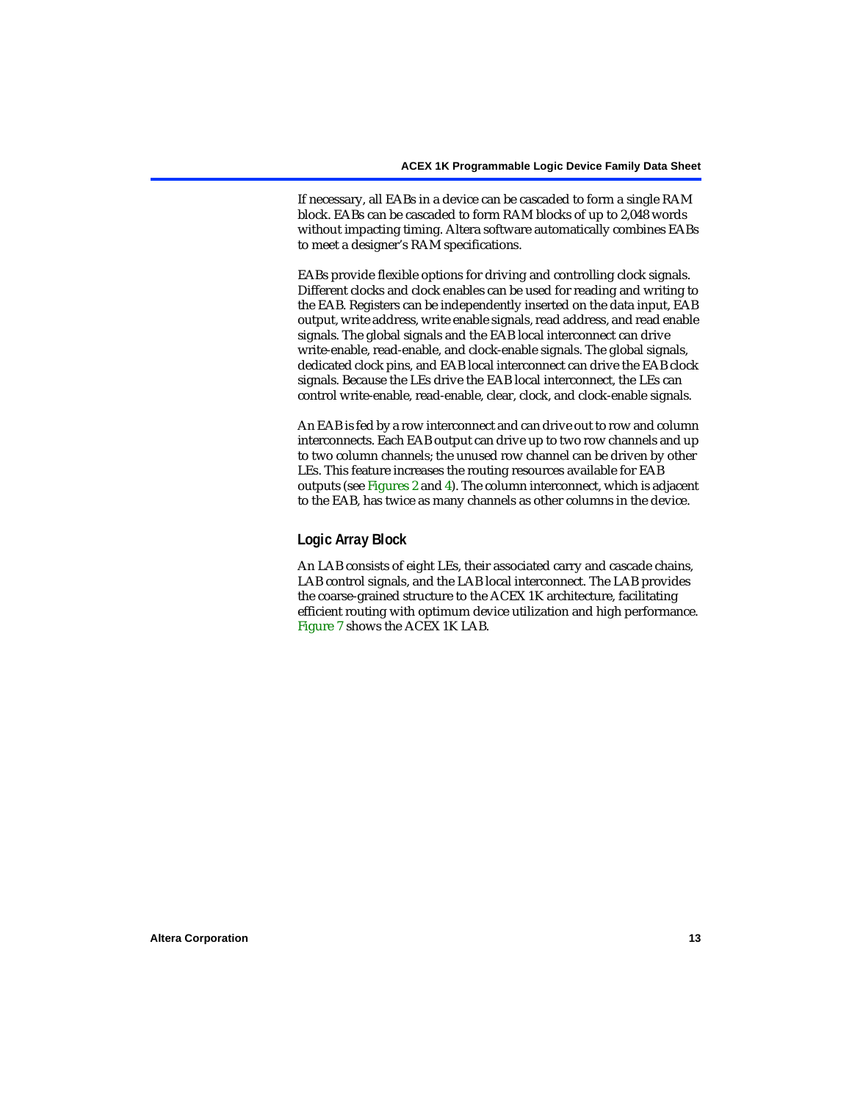If necessary, all EABs in a device can be cascaded to form a single RAM block. EABs can be cascaded to form RAM blocks of up to 2,048 words without impacting timing. Altera software automatically combines EABs to meet a designer's RAM specifications.

EABs provide flexible options for driving and controlling clock signals. Different clocks and clock enables can be used for reading and writing to the EAB. Registers can be independently inserted on the data input, EAB output, write address, write enable signals, read address, and read enable signals. The global signals and the EAB local interconnect can drive write-enable, read-enable, and clock-enable signals. The global signals, dedicated clock pins, and EAB local interconnect can drive the EAB clock signals. Because the LEs drive the EAB local interconnect, the LEs can control write-enable, read-enable, clear, clock, and clock-enable signals.

An EAB is fed by a row interconnect and can drive out to row and column interconnects. Each EAB output can drive up to two row channels and up to two column channels; the unused row channel can be driven by other LEs. This feature increases the routing resources available for EAB outputs (see [Figures 2](#page-9-0) and [4](#page-10-0)). The column interconnect, which is adjacent to the EAB, has twice as many channels as other columns in the device.

### **Logic Array Block**

An LAB consists of eight LEs, their associated carry and cascade chains, LAB control signals, and the LAB local interconnect. The LAB provides the coarse-grained structure to the ACEX 1K architecture, facilitating efficient routing with optimum device utilization and high performance. [Figure 7](#page-13-0) shows the ACEX 1K LAB.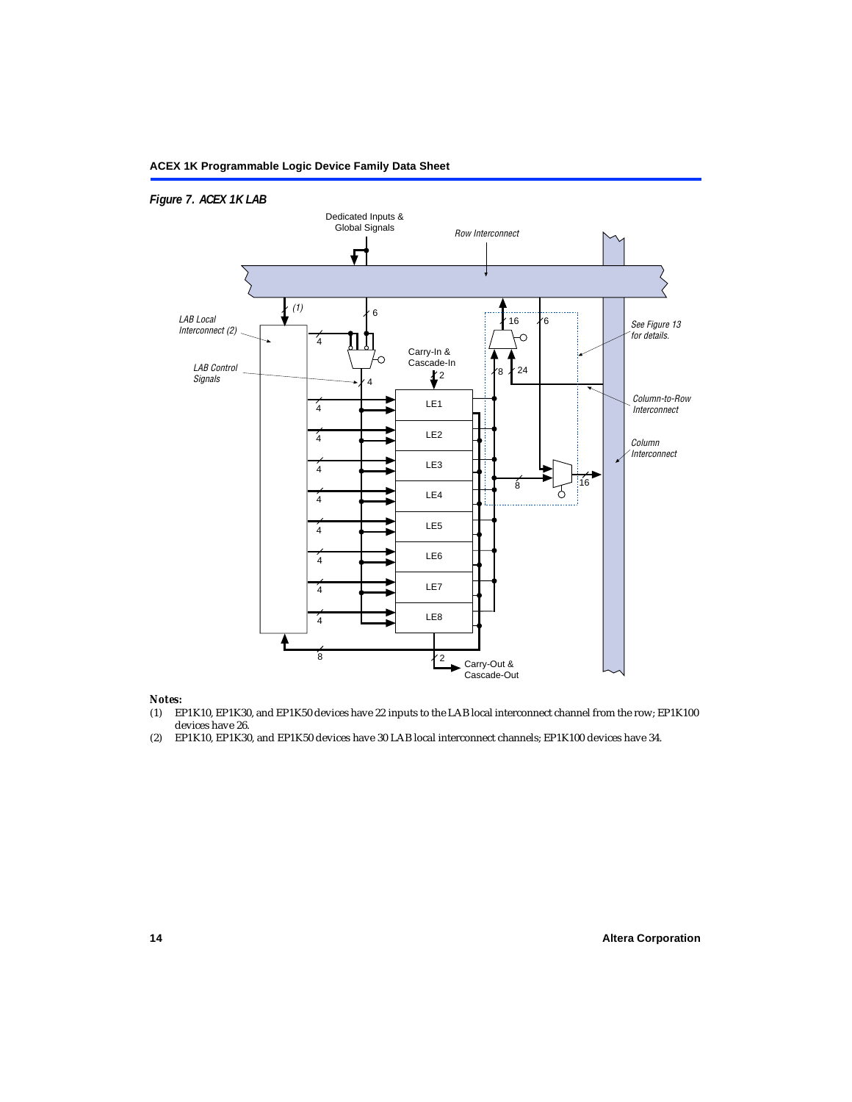### <span id="page-13-0"></span>*Figure 7. ACEX 1K LAB*



#### *Notes:*

- (1) EP1K10, EP1K30, and EP1K50 devices have 22 inputs to the LAB local interconnect channel from the row; EP1K100 devices have 26.
- (2) EP1K10, EP1K30, and EP1K50 devices have 30 LAB local interconnect channels; EP1K100 devices have 34.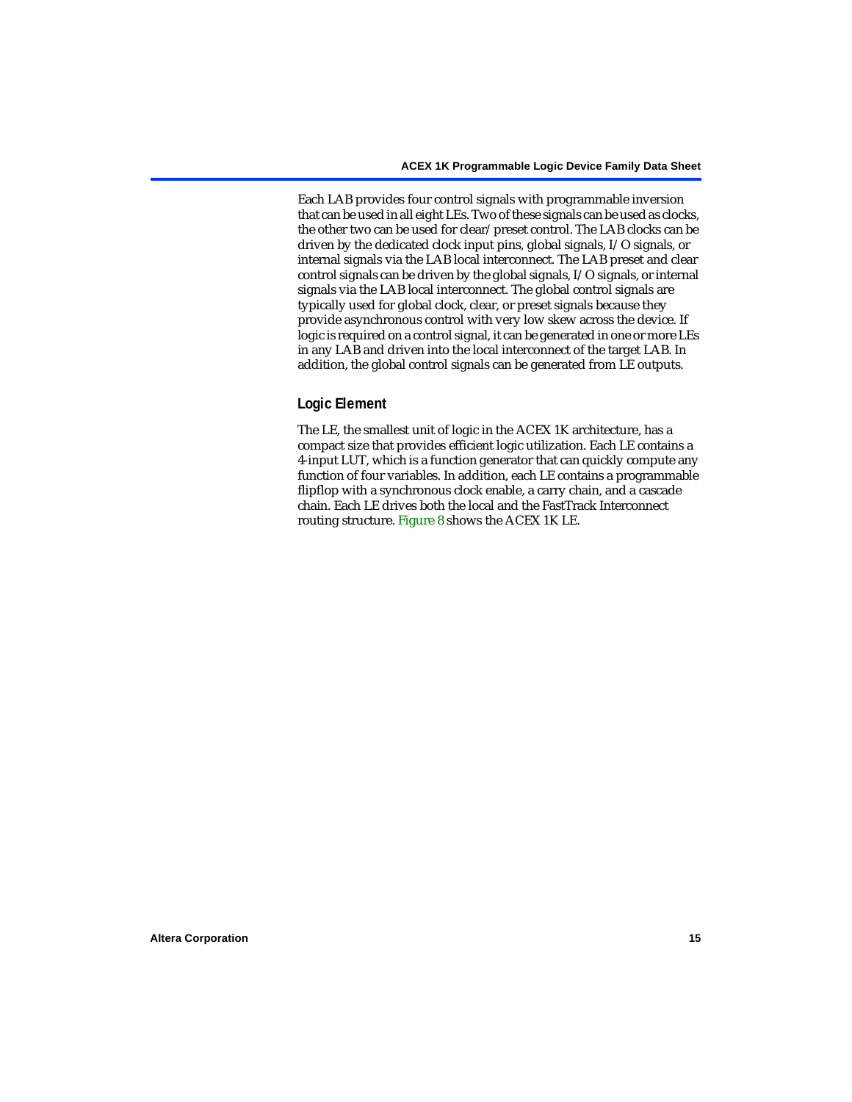Each LAB provides four control signals with programmable inversion that can be used in all eight LEs. Two of these signals can be used as clocks, the other two can be used for clear/preset control. The LAB clocks can be driven by the dedicated clock input pins, global signals, I/O signals, or internal signals via the LAB local interconnect. The LAB preset and clear control signals can be driven by the global signals, I/O signals, or internal signals via the LAB local interconnect. The global control signals are typically used for global clock, clear, or preset signals because they provide asynchronous control with very low skew across the device. If logic is required on a control signal, it can be generated in one or more LEs in any LAB and driven into the local interconnect of the target LAB. In addition, the global control signals can be generated from LE outputs.

#### **Logic Element**

The LE, the smallest unit of logic in the ACEX 1K architecture, has a compact size that provides efficient logic utilization. Each LE contains a 4-input LUT, which is a function generator that can quickly compute any function of four variables. In addition, each LE contains a programmable flipflop with a synchronous clock enable, a carry chain, and a cascade chain. Each LE drives both the local and the FastTrack Interconnect routing structure. [Figure 8](#page-15-0) shows the ACEX 1K LE.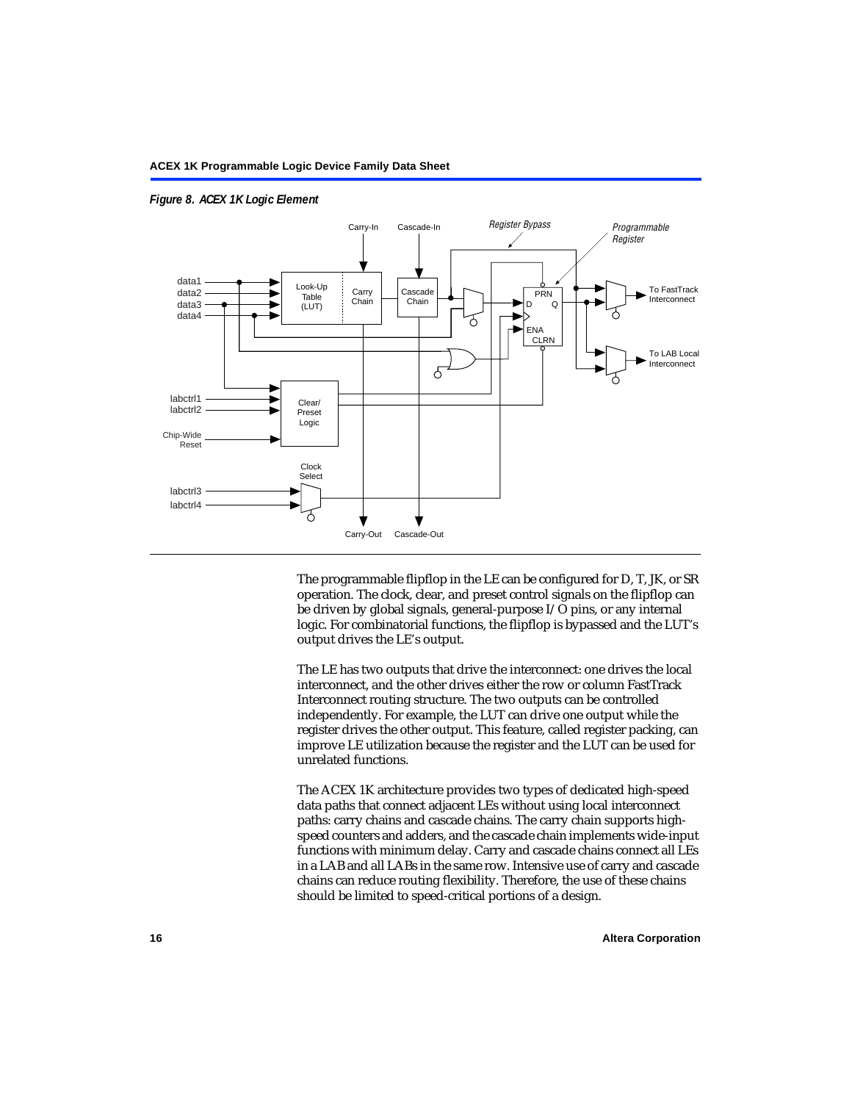

#### <span id="page-15-0"></span>*Figure 8. ACEX 1K Logic Element*

The programmable flipflop in the LE can be configured for D, T, JK, or SR operation. The clock, clear, and preset control signals on the flipflop can be driven by global signals, general-purpose I/O pins, or any internal logic. For combinatorial functions, the flipflop is bypassed and the LUT's output drives the LE's output.

The LE has two outputs that drive the interconnect: one drives the local interconnect, and the other drives either the row or column FastTrack Interconnect routing structure. The two outputs can be controlled independently. For example, the LUT can drive one output while the register drives the other output. This feature, called register packing, can improve LE utilization because the register and the LUT can be used for unrelated functions.

The ACEX 1K architecture provides two types of dedicated high-speed data paths that connect adjacent LEs without using local interconnect paths: carry chains and cascade chains. The carry chain supports highspeed counters and adders, and the cascade chain implements wide-input functions with minimum delay. Carry and cascade chains connect all LEs in a LAB and all LABs in the same row. Intensive use of carry and cascade chains can reduce routing flexibility. Therefore, the use of these chains should be limited to speed-critical portions of a design.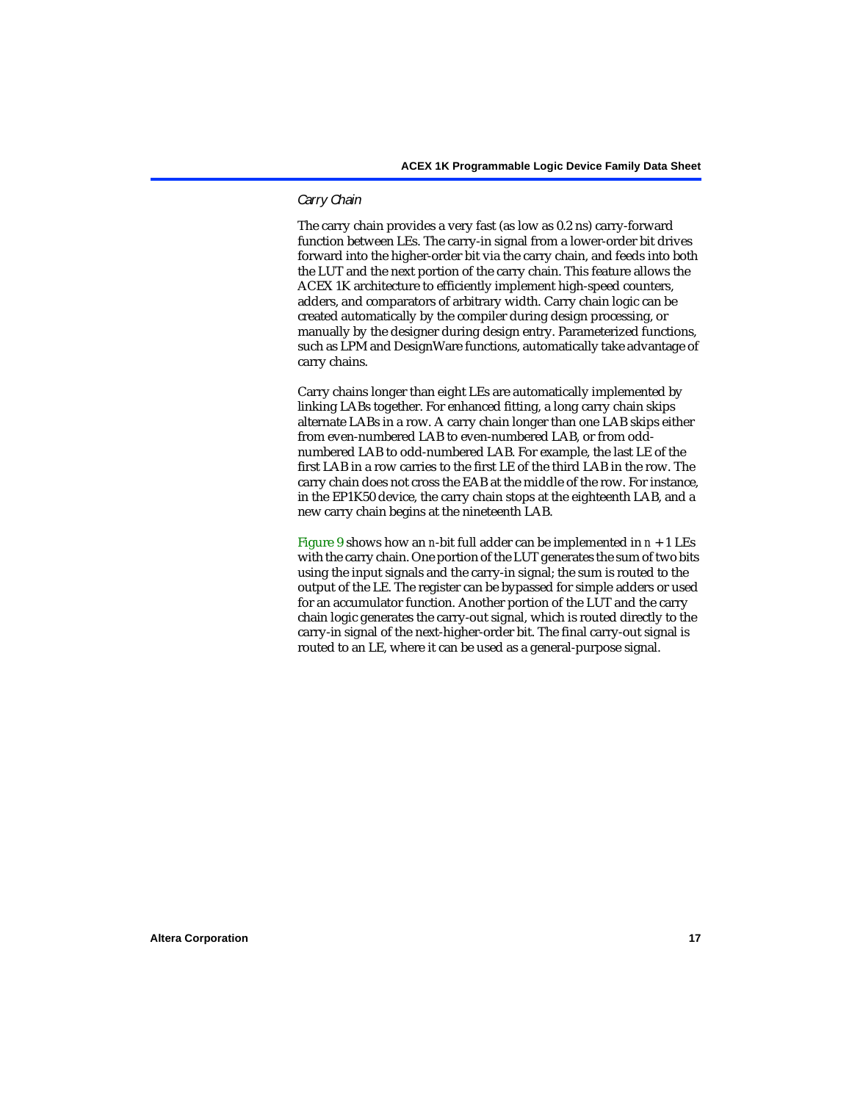#### *Carry Chain*

The carry chain provides a very fast (as low as 0.2 ns) carry-forward function between LEs. The carry-in signal from a lower-order bit drives forward into the higher-order bit via the carry chain, and feeds into both the LUT and the next portion of the carry chain. This feature allows the ACEX 1K architecture to efficiently implement high-speed counters, adders, and comparators of arbitrary width. Carry chain logic can be created automatically by the compiler during design processing, or manually by the designer during design entry. Parameterized functions, such as LPM and DesignWare functions, automatically take advantage of carry chains.

Carry chains longer than eight LEs are automatically implemented by linking LABs together. For enhanced fitting, a long carry chain skips alternate LABs in a row. A carry chain longer than one LAB skips either from even-numbered LAB to even-numbered LAB, or from oddnumbered LAB to odd-numbered LAB. For example, the last LE of the first LAB in a row carries to the first LE of the third LAB in the row. The carry chain does not cross the EAB at the middle of the row. For instance, in the EP1K50 device, the carry chain stops at the eighteenth LAB, and a new carry chain begins at the nineteenth LAB.

[Figure 9](#page-17-0) shows how an *n*-bit full adder can be implemented in  $n + 1$  LEs with the carry chain. One portion of the LUT generates the sum of two bits using the input signals and the carry-in signal; the sum is routed to the output of the LE. The register can be bypassed for simple adders or used for an accumulator function. Another portion of the LUT and the carry chain logic generates the carry-out signal, which is routed directly to the carry-in signal of the next-higher-order bit. The final carry-out signal is routed to an LE, where it can be used as a general-purpose signal.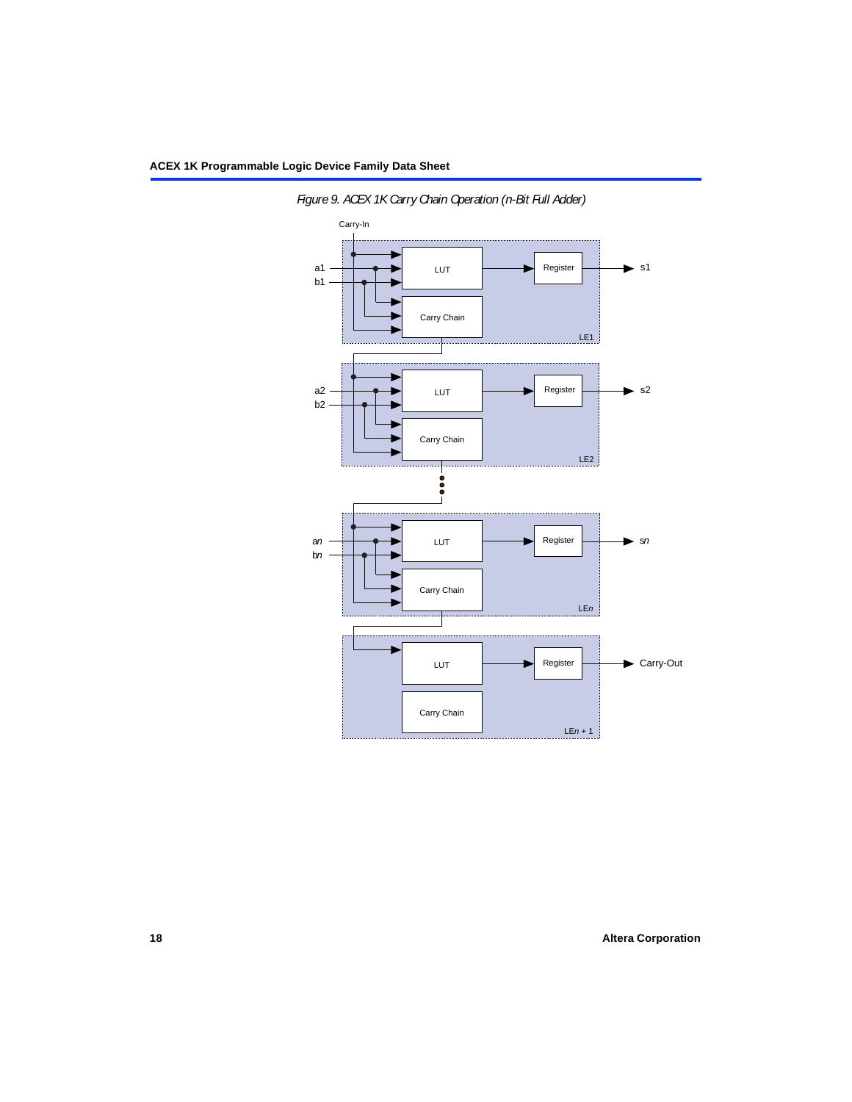

<span id="page-17-0"></span>*Figure 9. ACEX 1K Carry Chain Operation (n-Bit Full Adder)*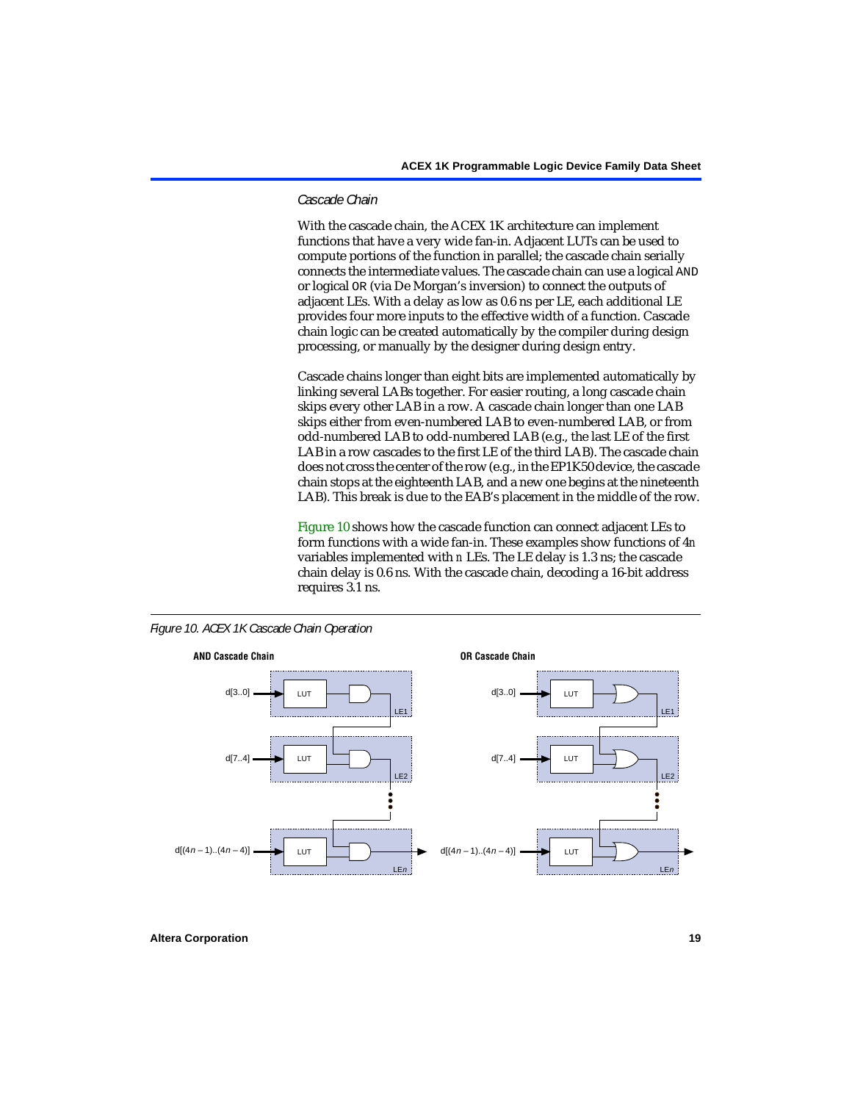#### *Cascade Chain*

With the cascade chain, the ACEX 1K architecture can implement functions that have a very wide fan-in. Adjacent LUTs can be used to compute portions of the function in parallel; the cascade chain serially connects the intermediate values. The cascade chain can use a logical AND or logical OR (via De Morgan's inversion) to connect the outputs of adjacent LEs. With a delay as low as 0.6 ns per LE, each additional LE provides four more inputs to the effective width of a function. Cascade chain logic can be created automatically by the compiler during design processing, or manually by the designer during design entry.

Cascade chains longer than eight bits are implemented automatically by linking several LABs together. For easier routing, a long cascade chain skips every other LAB in a row. A cascade chain longer than one LAB skips either from even-numbered LAB to even-numbered LAB, or from odd-numbered LAB to odd-numbered LAB (e.g., the last LE of the first LAB in a row cascades to the first LE of the third LAB). The cascade chain does not cross the center of the row (e.g., in the EP1K50 device, the cascade chain stops at the eighteenth LAB, and a new one begins at the nineteenth LAB). This break is due to the EAB's placement in the middle of the row.

[Figure 10](#page-18-0) shows how the cascade function can connect adjacent LEs to form functions with a wide fan-in. These examples show functions of 4*n* variables implemented with *n* LEs. The LE delay is 1.3 ns; the cascade chain delay is 0.6 ns. With the cascade chain, decoding a 16-bit address requires 3.1 ns.



<span id="page-18-0"></span>*Figure 10. ACEX 1K Cascade Chain Operation*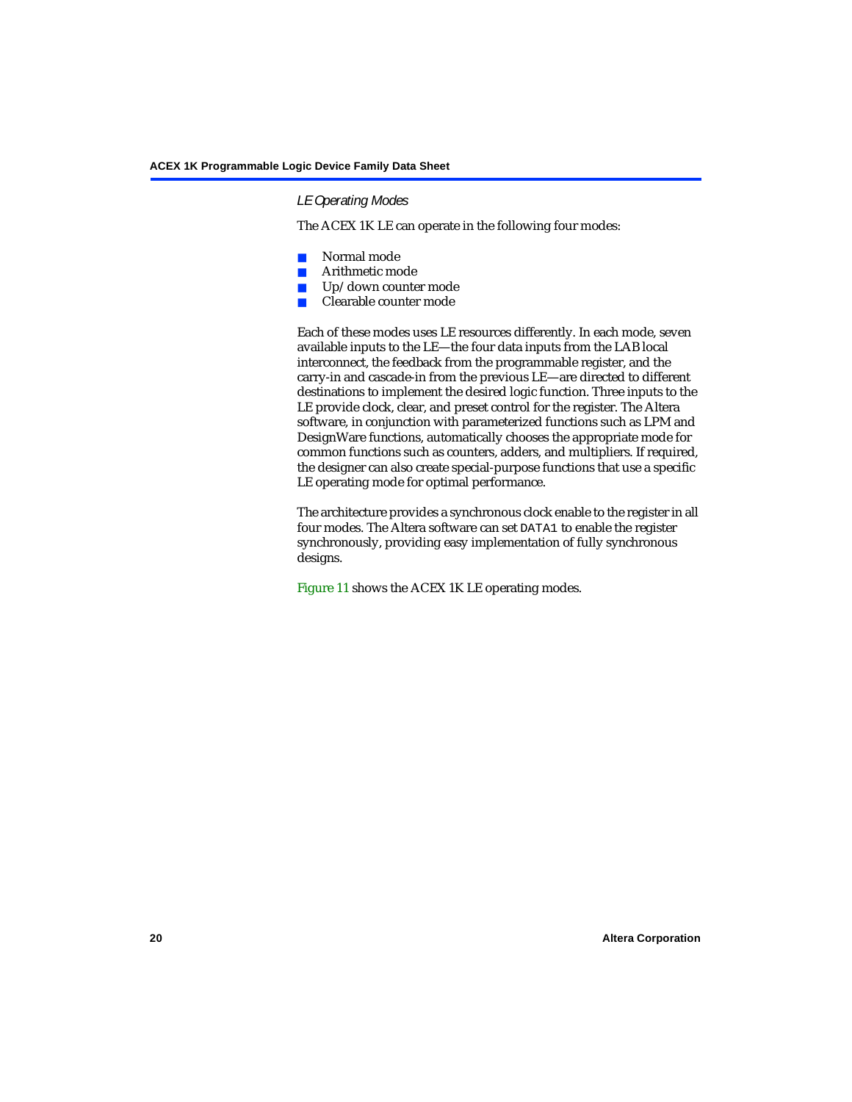#### *LE Operating Modes*

The ACEX 1K LE can operate in the following four modes:

- Normal mode
- Arithmetic mode
- Up/down counter mode
- Clearable counter mode

Each of these modes uses LE resources differently. In each mode, seven available inputs to the LE—the four data inputs from the LAB local interconnect, the feedback from the programmable register, and the carry-in and cascade-in from the previous LE—are directed to different destinations to implement the desired logic function. Three inputs to the LE provide clock, clear, and preset control for the register. The Altera software, in conjunction with parameterized functions such as LPM and DesignWare functions, automatically chooses the appropriate mode for common functions such as counters, adders, and multipliers. If required, the designer can also create special-purpose functions that use a specific LE operating mode for optimal performance.

The architecture provides a synchronous clock enable to the register in all four modes. The Altera software can set DATA1 to enable the register synchronously, providing easy implementation of fully synchronous designs.

[Figure 11](#page-20-0) shows the ACEX 1K LE operating modes.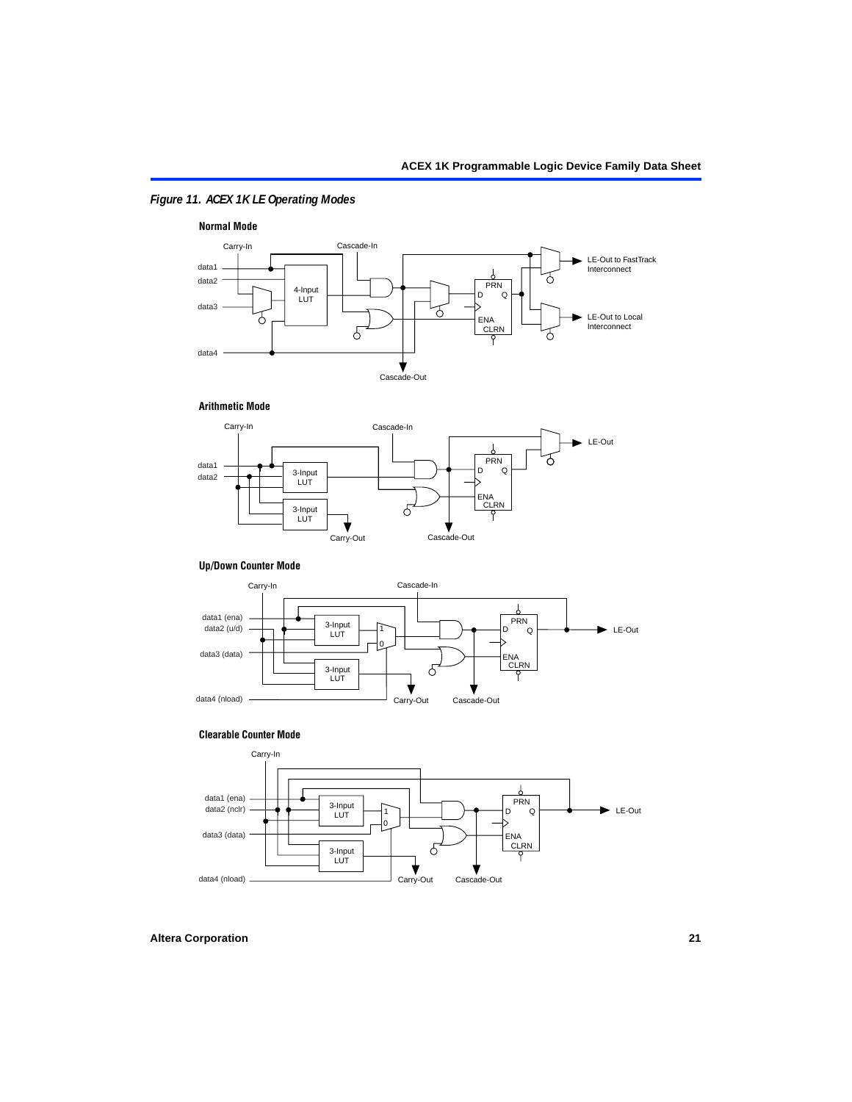### <span id="page-20-0"></span>*Figure 11. ACEX 1K LE Operating Modes*



#### **Arithmetic Mode**



#### **Up/Down Counter Mode**



#### **Clearable Counter Mode**

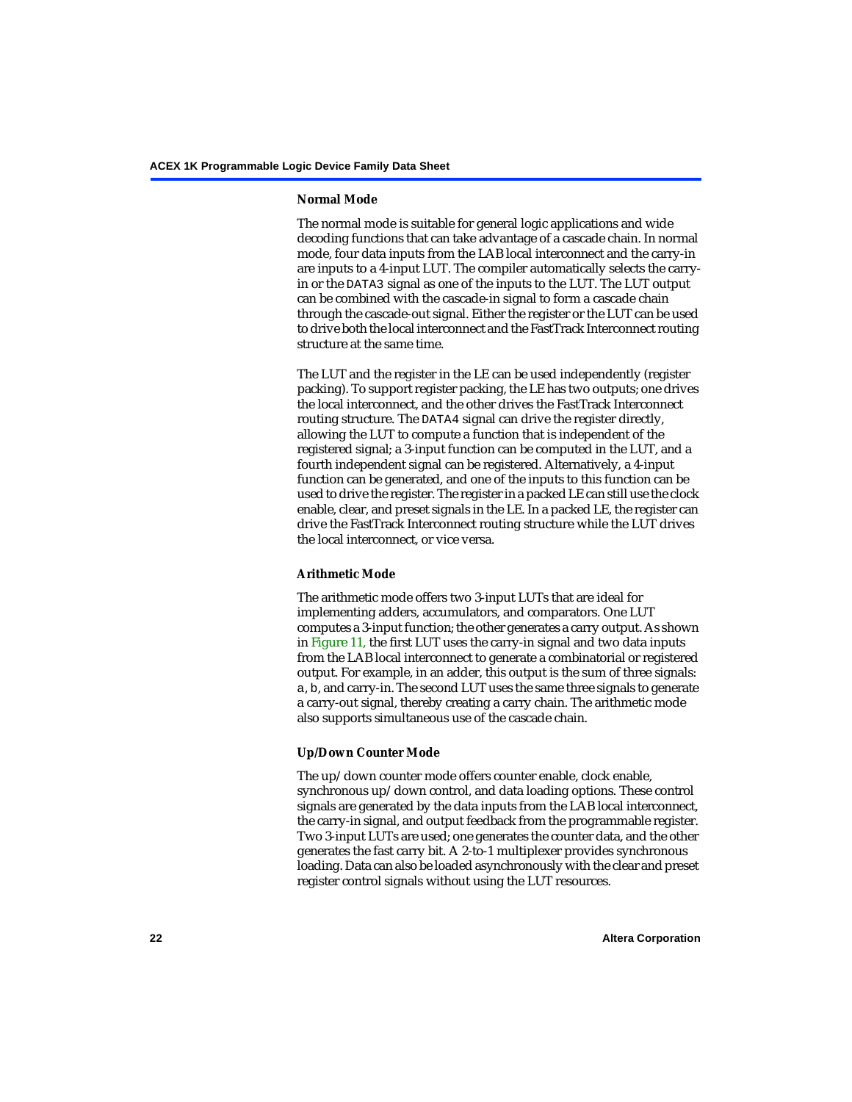#### **Normal Mode**

The normal mode is suitable for general logic applications and wide decoding functions that can take advantage of a cascade chain. In normal mode, four data inputs from the LAB local interconnect and the carry-in are inputs to a 4-input LUT. The compiler automatically selects the carryin or the DATA3 signal as one of the inputs to the LUT. The LUT output can be combined with the cascade-in signal to form a cascade chain through the cascade-out signal. Either the register or the LUT can be used to drive both the local interconnect and the FastTrack Interconnect routing structure at the same time.

The LUT and the register in the LE can be used independently (register packing). To support register packing, the LE has two outputs; one drives the local interconnect, and the other drives the FastTrack Interconnect routing structure. The DATA4 signal can drive the register directly, allowing the LUT to compute a function that is independent of the registered signal; a 3-input function can be computed in the LUT, and a fourth independent signal can be registered. Alternatively, a 4-input function can be generated, and one of the inputs to this function can be used to drive the register. The register in a packed LE can still use the clock enable, clear, and preset signals in the LE. In a packed LE, the register can drive the FastTrack Interconnect routing structure while the LUT drives the local interconnect, or vice versa.

#### **Arithmetic Mode**

The arithmetic mode offers two 3-input LUTs that are ideal for implementing adders, accumulators, and comparators. One LUT computes a 3-input function; the other generates a carry output. As shown in [Figure 11,](#page-20-0) the first LUT uses the carry-in signal and two data inputs from the LAB local interconnect to generate a combinatorial or registered output. For example, in an adder, this output is the sum of three signals: a, b, and carry-in. The second LUT uses the same three signals to generate a carry-out signal, thereby creating a carry chain. The arithmetic mode also supports simultaneous use of the cascade chain.

#### **Up/Down Counter Mode**

The up/down counter mode offers counter enable, clock enable, synchronous up/down control, and data loading options. These control signals are generated by the data inputs from the LAB local interconnect, the carry-in signal, and output feedback from the programmable register. Two 3-input LUTs are used; one generates the counter data, and the other generates the fast carry bit. A 2-to-1 multiplexer provides synchronous loading. Data can also be loaded asynchronously with the clear and preset register control signals without using the LUT resources.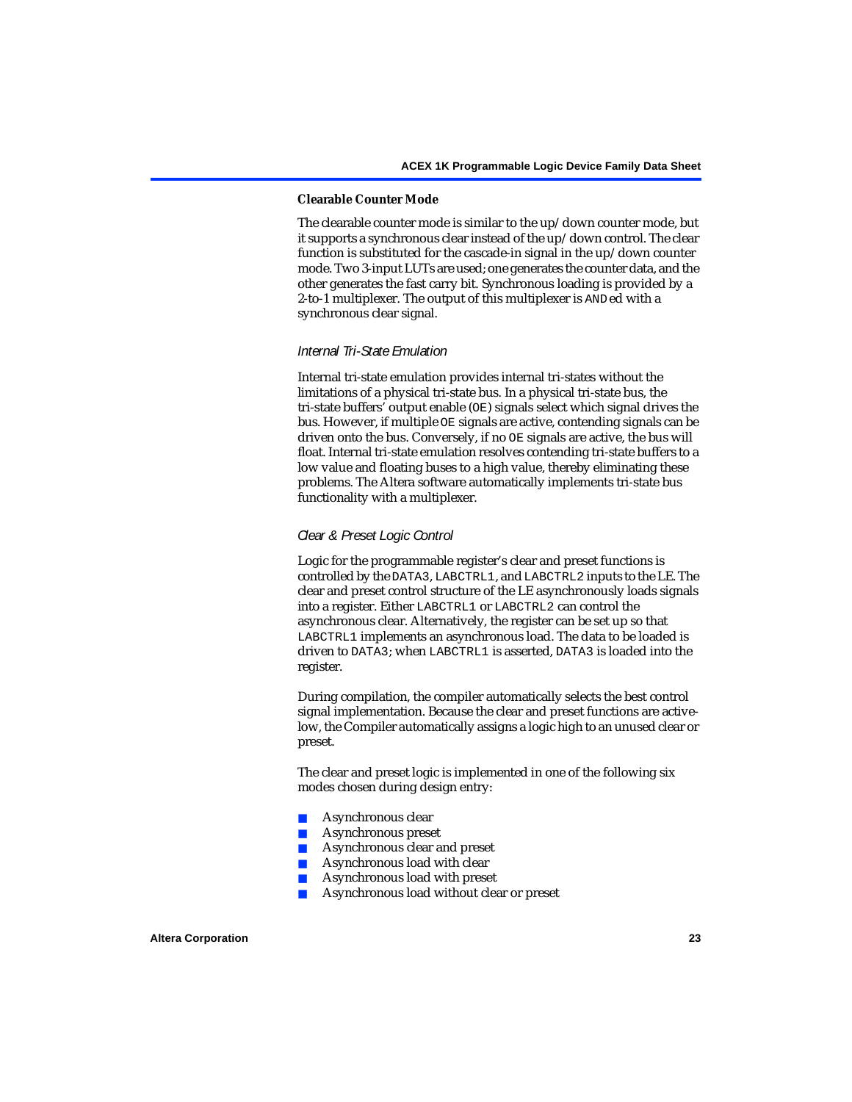#### **Clearable Counter Mode**

The clearable counter mode is similar to the up/down counter mode, but it supports a synchronous clear instead of the up/down control. The clear function is substituted for the cascade-in signal in the up/down counter mode. Two 3-input LUTs are used; one generates the counter data, and the other generates the fast carry bit. Synchronous loading is provided by a 2-to-1 multiplexer. The output of this multiplexer is ANDed with a synchronous clear signal.

#### *Internal Tri-State Emulation*

Internal tri-state emulation provides internal tri-states without the limitations of a physical tri-state bus. In a physical tri-state bus, the tri-state buffers' output enable (OE) signals select which signal drives the bus. However, if multiple OE signals are active, contending signals can be driven onto the bus. Conversely, if no OE signals are active, the bus will float. Internal tri-state emulation resolves contending tri-state buffers to a low value and floating buses to a high value, thereby eliminating these problems. The Altera software automatically implements tri-state bus functionality with a multiplexer.

#### *Clear & Preset Logic Control*

Logic for the programmable register's clear and preset functions is controlled by the DATA3, LABCTRL1, and LABCTRL2 inputs to the LE. The clear and preset control structure of the LE asynchronously loads signals into a register. Either LABCTRL1 or LABCTRL2 can control the asynchronous clear. Alternatively, the register can be set up so that LABCTRL1 implements an asynchronous load. The data to be loaded is driven to DATA3; when LABCTRL1 is asserted, DATA3 is loaded into the register.

During compilation, the compiler automatically selects the best control signal implementation. Because the clear and preset functions are activelow, the Compiler automatically assigns a logic high to an unused clear or preset.

The clear and preset logic is implemented in one of the following six modes chosen during design entry:

- Asynchronous clear
- Asynchronous preset
- Asynchronous clear and preset
- Asynchronous load with clear
- Asynchronous load with preset
- Asynchronous load without clear or preset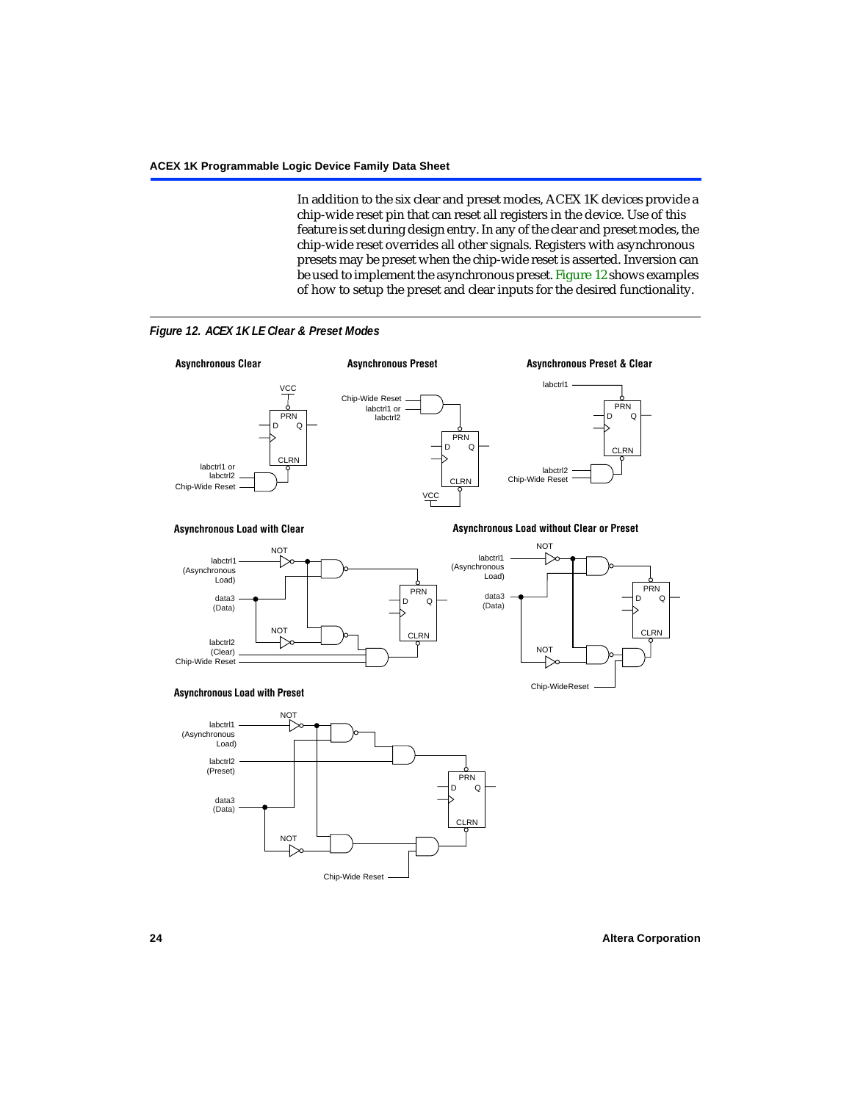In addition to the six clear and preset modes, ACEX 1K devices provide a chip-wide reset pin that can reset all registers in the device. Use of this feature is set during design entry. In any of the clear and preset modes, the chip-wide reset overrides all other signals. Registers with asynchronous presets may be preset when the chip-wide reset is asserted. Inversion can be used to implement the asynchronous preset. [Figure 12](#page-23-0) shows examples of how to setup the preset and clear inputs for the desired functionality.

<span id="page-23-0"></span>

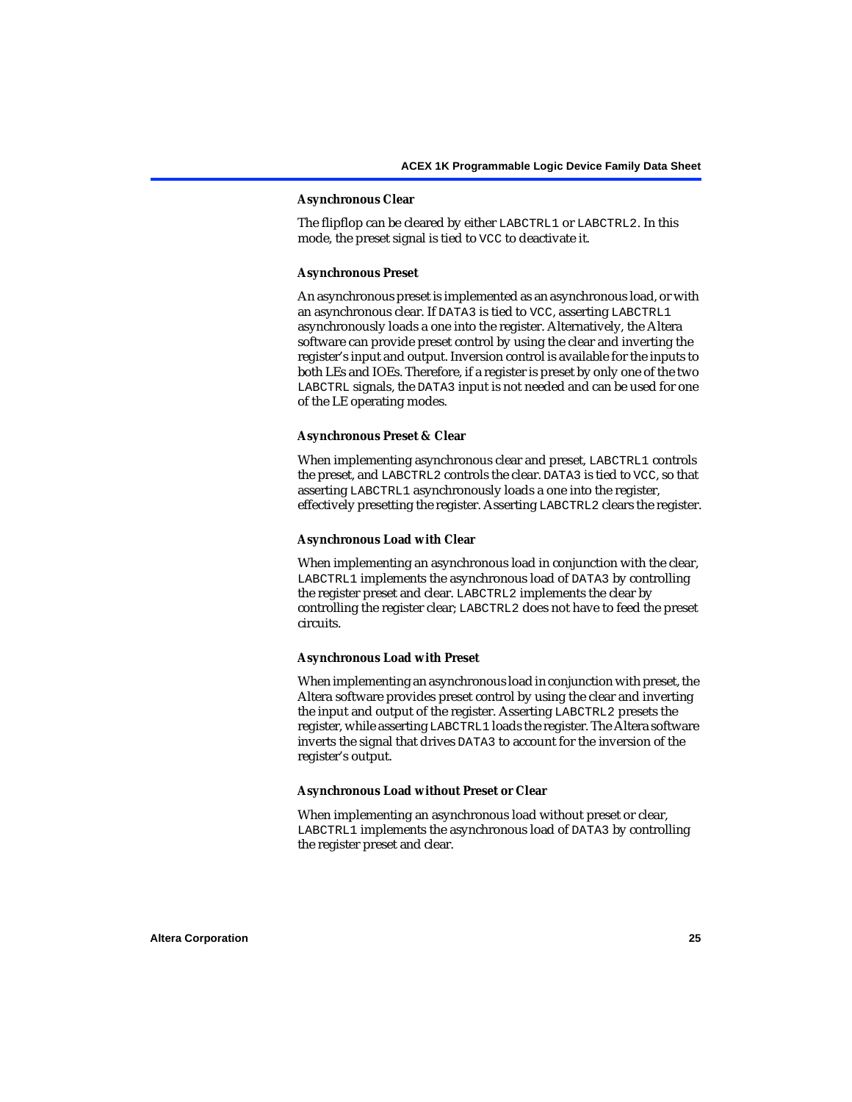#### **Asynchronous Clear**

The flipflop can be cleared by either LABCTRL1 or LABCTRL2. In this mode, the preset signal is tied to VCC to deactivate it.

#### **Asynchronous Preset**

An asynchronous preset is implemented as an asynchronous load, or with an asynchronous clear. If DATA3 is tied to VCC, asserting LABCTRL1 asynchronously loads a one into the register. Alternatively, the Altera software can provide preset control by using the clear and inverting the register's input and output. Inversion control is available for the inputs to both LEs and IOEs. Therefore, if a register is preset by only one of the two LABCTRL signals, the DATA3 input is not needed and can be used for one of the LE operating modes.

#### **Asynchronous Preset & Clear**

When implementing asynchronous clear and preset, LABCTRL1 controls the preset, and LABCTRL2 controls the clear. DATA3 is tied to VCC, so that asserting LABCTRL1 asynchronously loads a one into the register, effectively presetting the register. Asserting LABCTRL2 clears the register.

#### **Asynchronous Load with Clear**

When implementing an asynchronous load in conjunction with the clear, LABCTRL1 implements the asynchronous load of DATA3 by controlling the register preset and clear. LABCTRL2 implements the clear by controlling the register clear; LABCTRL2 does not have to feed the preset circuits.

#### **Asynchronous Load with Preset**

When implementing an asynchronous load in conjunction with preset, the Altera software provides preset control by using the clear and inverting the input and output of the register. Asserting LABCTRL2 presets the register, while asserting LABCTRL1 loads the register. The Altera software inverts the signal that drives DATA3 to account for the inversion of the register's output.

#### **Asynchronous Load without Preset or Clear**

When implementing an asynchronous load without preset or clear, LABCTRL1 implements the asynchronous load of DATA3 by controlling the register preset and clear.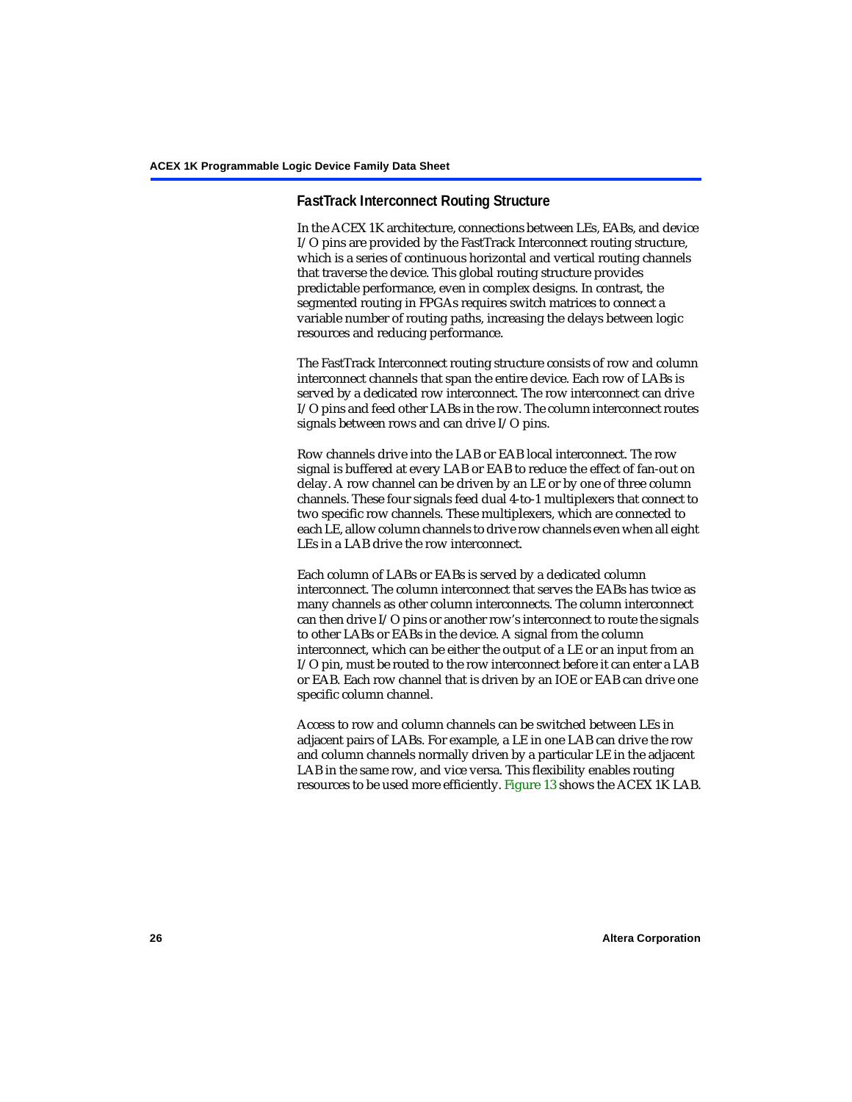### **FastTrack Interconnect Routing Structure**

In the ACEX 1K architecture, connections between LEs, EABs, and device I/O pins are provided by the FastTrack Interconnect routing structure, which is a series of continuous horizontal and vertical routing channels that traverse the device. This global routing structure provides predictable performance, even in complex designs. In contrast, the segmented routing in FPGAs requires switch matrices to connect a variable number of routing paths, increasing the delays between logic resources and reducing performance.

The FastTrack Interconnect routing structure consists of row and column interconnect channels that span the entire device. Each row of LABs is served by a dedicated row interconnect. The row interconnect can drive I/O pins and feed other LABs in the row. The column interconnect routes signals between rows and can drive I/O pins.

Row channels drive into the LAB or EAB local interconnect. The row signal is buffered at every LAB or EAB to reduce the effect of fan-out on delay. A row channel can be driven by an LE or by one of three column channels. These four signals feed dual 4-to-1 multiplexers that connect to two specific row channels. These multiplexers, which are connected to each LE, allow column channels to drive row channels even when all eight LEs in a LAB drive the row interconnect.

Each column of LABs or EABs is served by a dedicated column interconnect. The column interconnect that serves the EABs has twice as many channels as other column interconnects. The column interconnect can then drive I/O pins or another row's interconnect to route the signals to other LABs or EABs in the device. A signal from the column interconnect, which can be either the output of a LE or an input from an I/O pin, must be routed to the row interconnect before it can enter a LAB or EAB. Each row channel that is driven by an IOE or EAB can drive one specific column channel.

Access to row and column channels can be switched between LEs in adjacent pairs of LABs. For example, a LE in one LAB can drive the row and column channels normally driven by a particular LE in the adjacent LAB in the same row, and vice versa. This flexibility enables routing resources to be used more efficiently. [Figure 13](#page-26-0) shows the ACEX 1K LAB.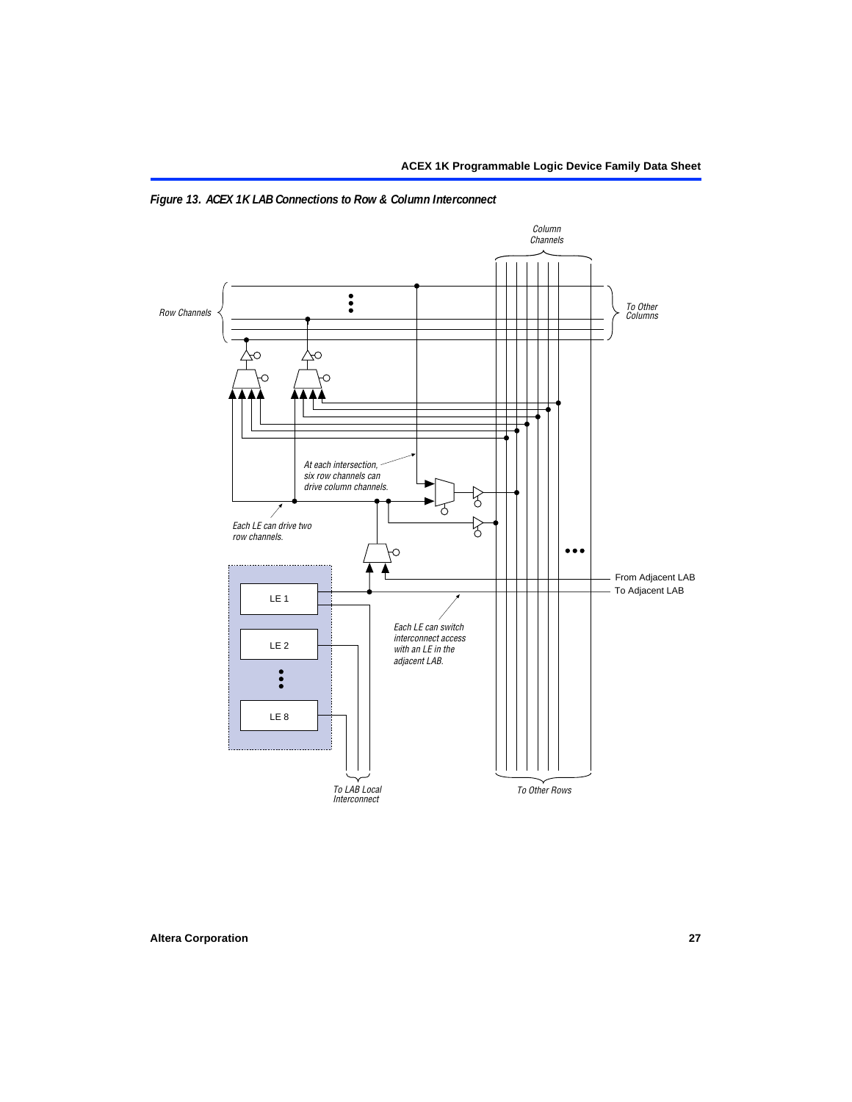

<span id="page-26-0"></span>*Figure 13. ACEX 1K LAB Connections to Row & Column Interconnect*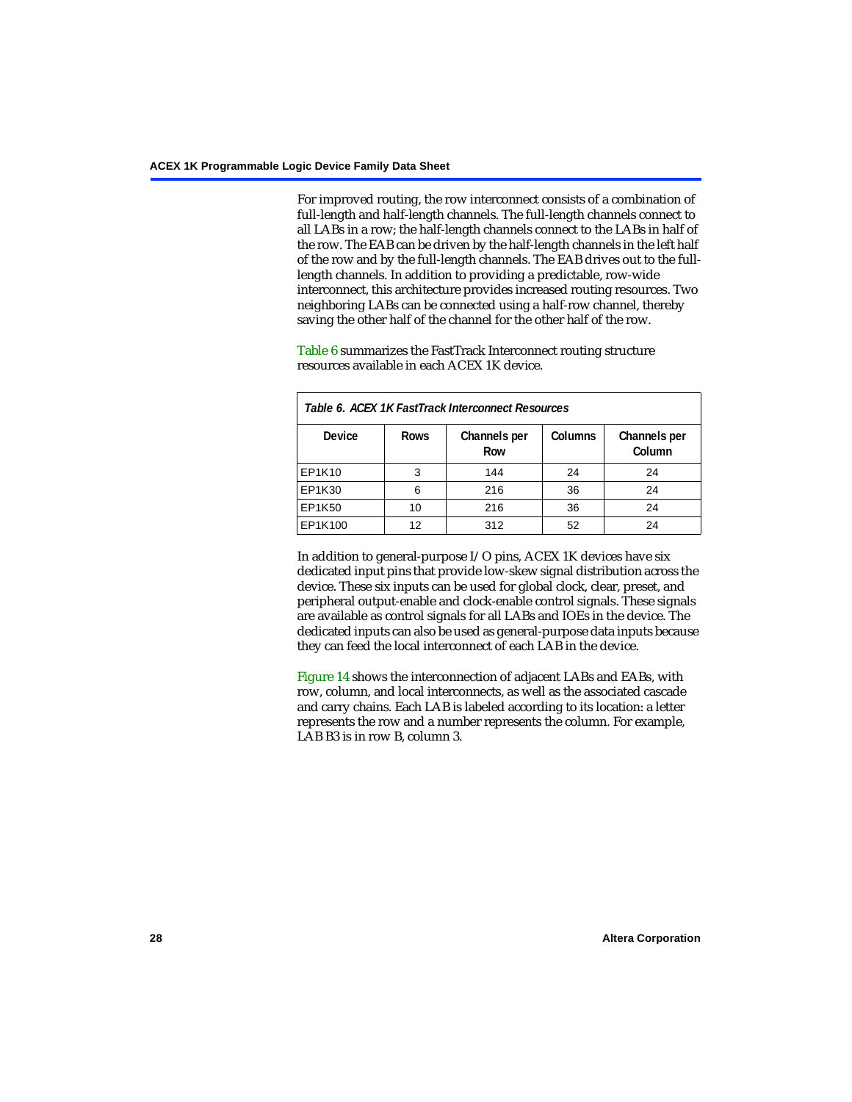For improved routing, the row interconnect consists of a combination of full-length and half-length channels. The full-length channels connect to all LABs in a row; the half-length channels connect to the LABs in half of the row. The EAB can be driven by the half-length channels in the left half of the row and by the full-length channels. The EAB drives out to the fulllength channels. In addition to providing a predictable, row-wide interconnect, this architecture provides increased routing resources. Two neighboring LABs can be connected using a half-row channel, thereby saving the other half of the channel for the other half of the row.

[Table 6](#page-27-0) summarizes the FastTrack Interconnect routing structure resources available in each ACEX 1K device.

<span id="page-27-0"></span>

| Table 6. ACEX 1K FastTrack Interconnect Resources |             |                     |                |                        |  |  |
|---------------------------------------------------|-------------|---------------------|----------------|------------------------|--|--|
| <b>Device</b>                                     | <b>Rows</b> | Channels per<br>Row | <b>Columns</b> | Channels per<br>Column |  |  |
| EP1K10                                            | 3           | 144                 | 24             | 24                     |  |  |
| EP1K30                                            | 6           | 216                 | 36             | 24                     |  |  |
| EP1K50                                            | 10          | 216                 | 36             | 24                     |  |  |
| EP1K100                                           | 12          | 312                 | 52             | 24                     |  |  |

In addition to general-purpose I/O pins, ACEX 1K devices have six dedicated input pins that provide low-skew signal distribution across the device. These six inputs can be used for global clock, clear, preset, and peripheral output-enable and clock-enable control signals. These signals are available as control signals for all LABs and IOEs in the device. The dedicated inputs can also be used as general-purpose data inputs because they can feed the local interconnect of each LAB in the device.

[Figure 14](#page-28-0) shows the interconnection of adjacent LABs and EABs, with row, column, and local interconnects, as well as the associated cascade and carry chains. Each LAB is labeled according to its location: a letter represents the row and a number represents the column. For example, LAB B3 is in row B, column 3.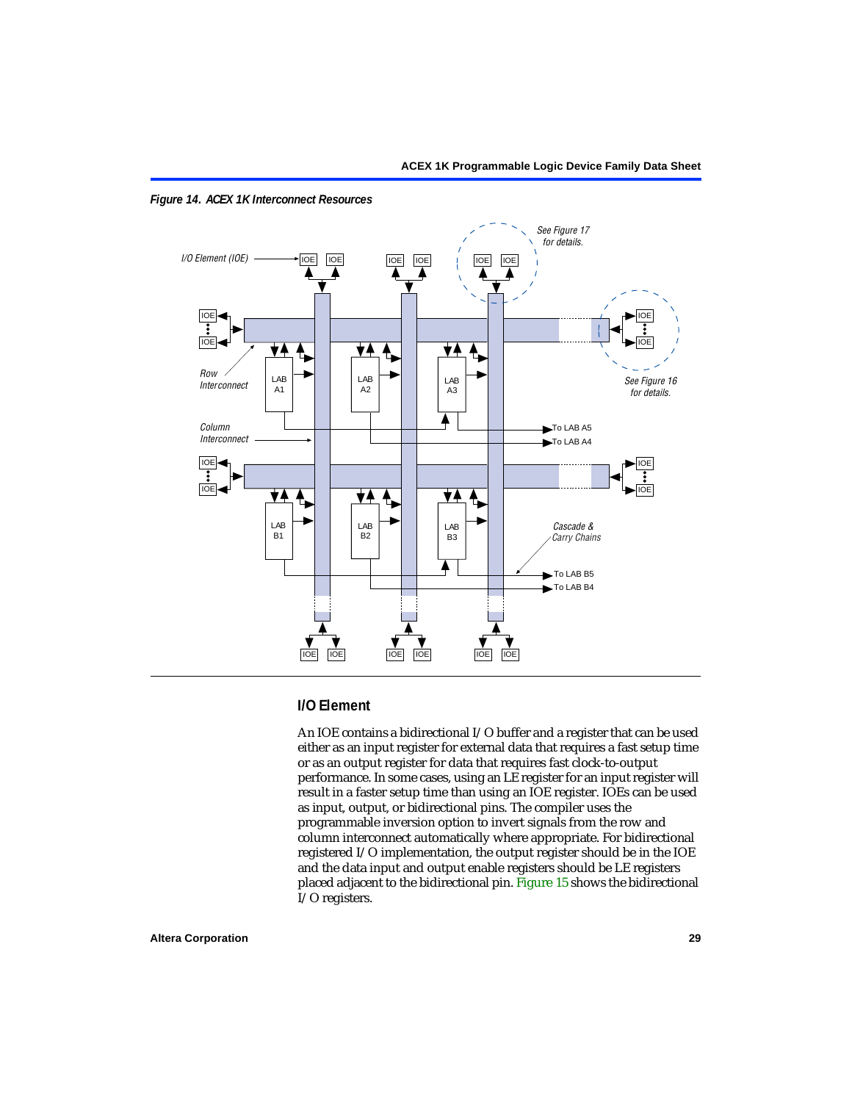

<span id="page-28-0"></span>*Figure 14. ACEX 1K Interconnect Resources*

### **I/O Element**

An IOE contains a bidirectional I/O buffer and a register that can be used either as an input register for external data that requires a fast setup time or as an output register for data that requires fast clock-to-output performance. In some cases, using an LE register for an input register will result in a faster setup time than using an IOE register. IOEs can be used as input, output, or bidirectional pins. The compiler uses the programmable inversion option to invert signals from the row and column interconnect automatically where appropriate. For bidirectional registered I/O implementation, the output register should be in the IOE and the data input and output enable registers should be LE registers placed adjacent to the bidirectional pin. [Figure 15](#page-29-0) shows the bidirectional I/O registers.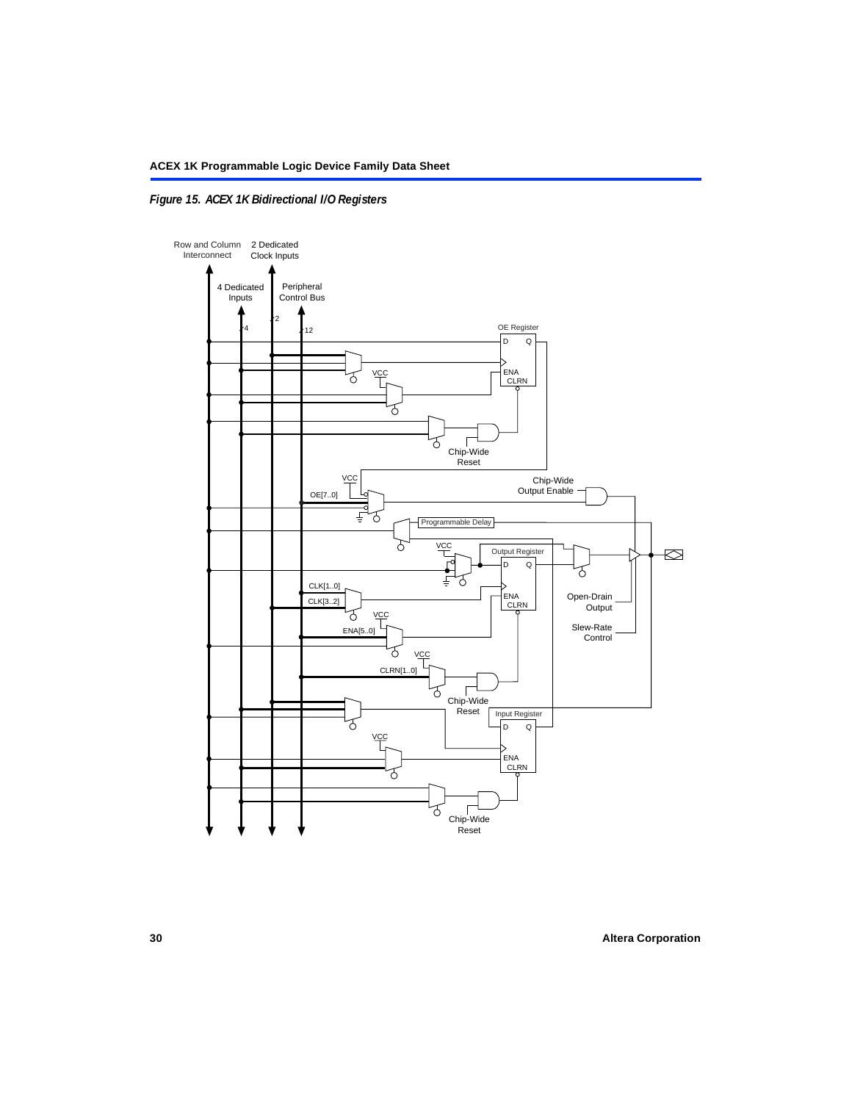### <span id="page-29-0"></span>*Figure 15. ACEX 1K Bidirectional I/O Registers*

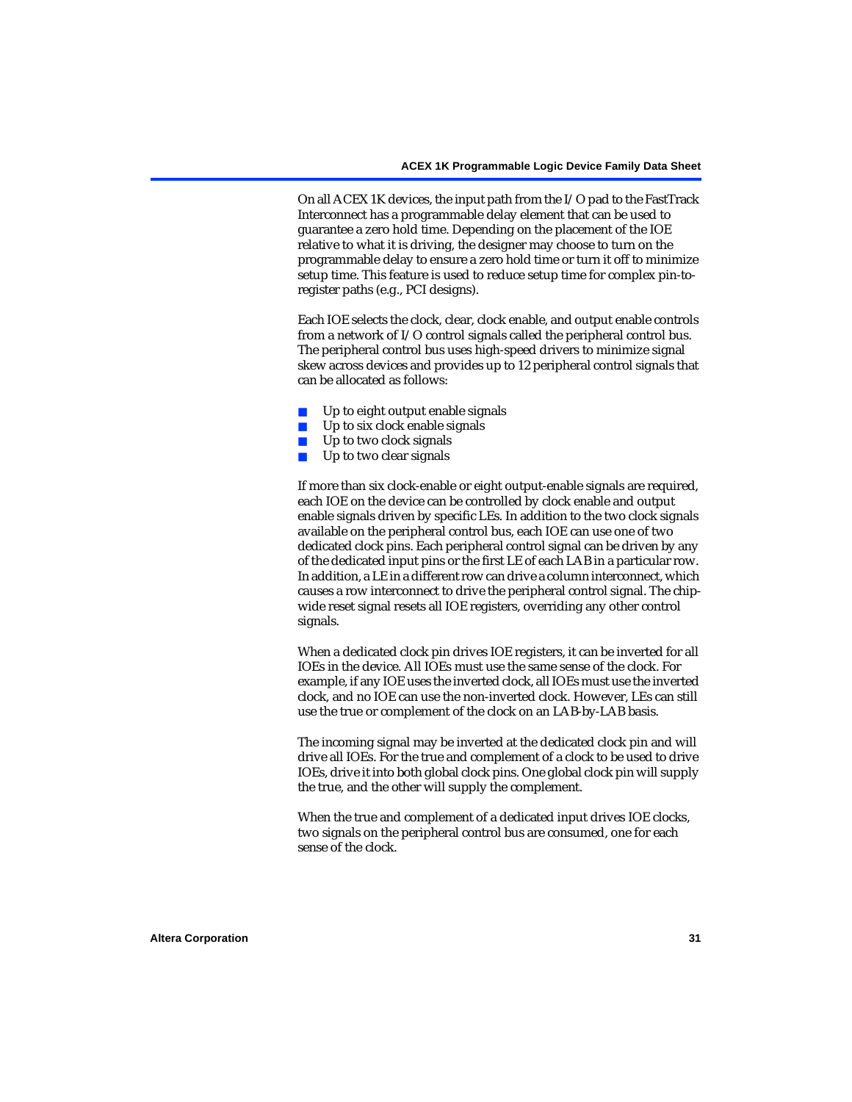On all ACEX 1K devices, the input path from the I/O pad to the FastTrack Interconnect has a programmable delay element that can be used to guarantee a zero hold time. Depending on the placement of the IOE relative to what it is driving, the designer may choose to turn on the programmable delay to ensure a zero hold time or turn it off to minimize setup time. This feature is used to reduce setup time for complex pin-toregister paths (e.g., PCI designs).

Each IOE selects the clock, clear, clock enable, and output enable controls from a network of I/O control signals called the peripheral control bus. The peripheral control bus uses high-speed drivers to minimize signal skew across devices and provides up to 12 peripheral control signals that can be allocated as follows:

- Up to eight output enable signals
- Up to six clock enable signals
- Up to two clock signals
- Up to two clear signals

If more than six clock-enable or eight output-enable signals are required, each IOE on the device can be controlled by clock enable and output enable signals driven by specific LEs. In addition to the two clock signals available on the peripheral control bus, each IOE can use one of two dedicated clock pins. Each peripheral control signal can be driven by any of the dedicated input pins or the first LE of each LAB in a particular row. In addition, a LE in a different row can drive a column interconnect, which causes a row interconnect to drive the peripheral control signal. The chipwide reset signal resets all IOE registers, overriding any other control signals.

When a dedicated clock pin drives IOE registers, it can be inverted for all IOEs in the device. All IOEs must use the same sense of the clock. For example, if any IOE uses the inverted clock, all IOEs must use the inverted clock, and no IOE can use the non-inverted clock. However, LEs can still use the true or complement of the clock on an LAB-by-LAB basis.

The incoming signal may be inverted at the dedicated clock pin and will drive all IOEs. For the true and complement of a clock to be used to drive IOEs, drive it into both global clock pins. One global clock pin will supply the true, and the other will supply the complement.

When the true and complement of a dedicated input drives IOE clocks, two signals on the peripheral control bus are consumed, one for each sense of the clock.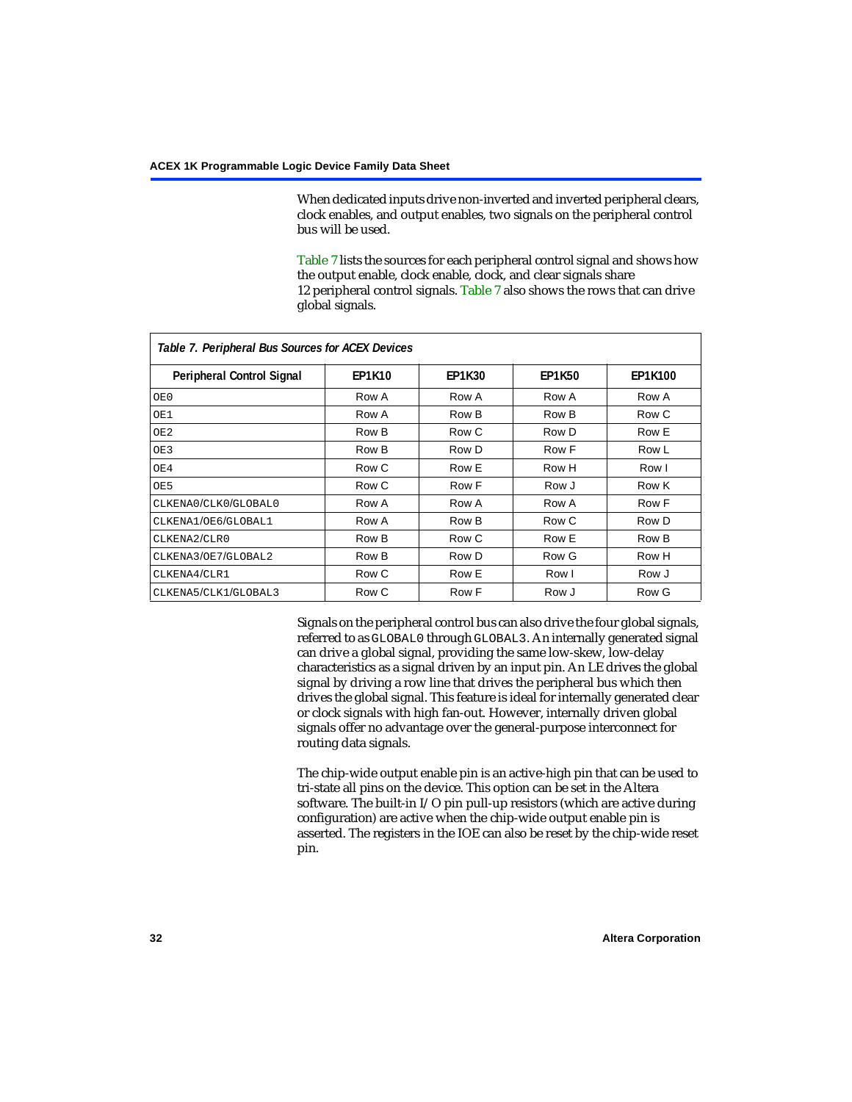When dedicated inputs drive non-inverted and inverted peripheral clears, clock enables, and output enables, two signals on the peripheral control bus will be used.

[Table 7](#page-31-0) lists the sources for each peripheral control signal and shows how the output enable, clock enable, clock, and clear signals share 12 peripheral control signals. [Table 7](#page-31-0) also shows the rows that can drive global signals.

<span id="page-31-0"></span>

| Table 7. Peripheral Bus Sources for ACEX Devices |               |               |               |                |  |  |  |
|--------------------------------------------------|---------------|---------------|---------------|----------------|--|--|--|
| <b>Peripheral Control Signal</b>                 | <b>EP1K10</b> | <b>EP1K30</b> | <b>EP1K50</b> | <b>EP1K100</b> |  |  |  |
| OE0                                              | Row A         | Row A         | Row A         | Row A          |  |  |  |
| OE1                                              | Row A         | Row B         | Row B         | Row C          |  |  |  |
| OE <sub>2</sub>                                  | Row B         | Row C         | Row D         | Row E          |  |  |  |
| OE3                                              | Row B         | Row D         | Row F         | Row L          |  |  |  |
| OE4                                              | Row C         | Row E         | Row H         | Row I          |  |  |  |
| OE5                                              | Row C         | Row F         | Row J         | Row K          |  |  |  |
| CLKENA0/CLK0/GLOBAL0                             | Row A         | Row A         | Row A         | Row F          |  |  |  |
| CLKENA1/OE6/GLOBAL1                              | Row A         | Row B         | Row C         | Row D          |  |  |  |
| CLKENA2/CLR0                                     | Row B         | Row C         | Row E         | Row B          |  |  |  |
| CLKENA3/OE7/GLOBAL2                              | Row B         | Row D         | Row G         | Row H          |  |  |  |
| CLKENA4/CLR1                                     | Row C         | Row E         | Row I         | Row J          |  |  |  |
| CLKENA5/CLK1/GLOBAL3                             | Row C         | Row F         | Row J         | Row G          |  |  |  |

Signals on the peripheral control bus can also drive the four global signals, referred to as GLOBAL0 through GLOBAL3. An internally generated signal can drive a global signal, providing the same low-skew, low-delay characteristics as a signal driven by an input pin. An LE drives the global signal by driving a row line that drives the peripheral bus which then drives the global signal. This feature is ideal for internally generated clear or clock signals with high fan-out. However, internally driven global signals offer no advantage over the general-purpose interconnect for routing data signals.

The chip-wide output enable pin is an active-high pin that can be used to tri-state all pins on the device. This option can be set in the Altera software. The built-in I/O pin pull-up resistors (which are active during configuration) are active when the chip-wide output enable pin is asserted. The registers in the IOE can also be reset by the chip-wide reset pin.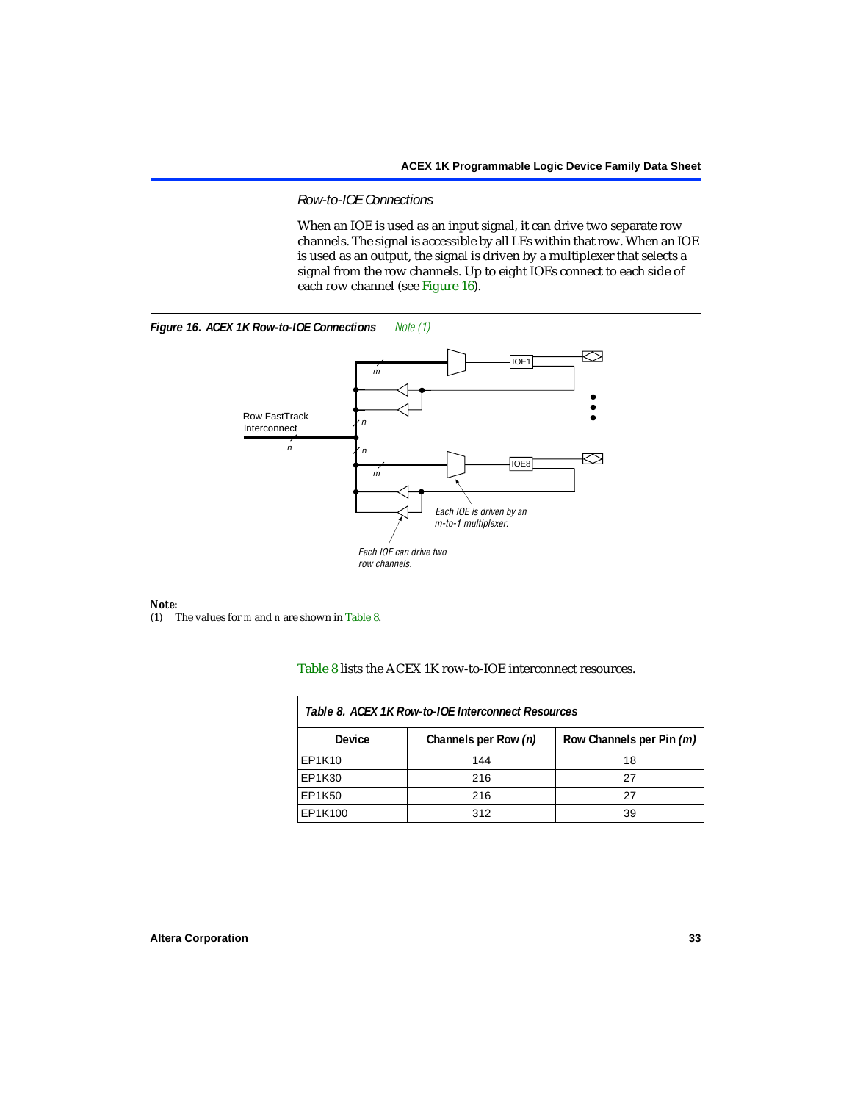#### *Row-to-IOE Connections*

When an IOE is used as an input signal, it can drive two separate row channels. The signal is accessible by all LEs within that row. When an IOE is used as an output, the signal is driven by a multiplexer that selects a signal from the row channels. Up to eight IOEs connect to each side of each row channel (see [Figure 16](#page-32-2)).

<span id="page-32-2"></span>



# *Note:*<br>(1) 1

<span id="page-32-1"></span>(1) The values for *m* and *n* are shown in [Table 8.](#page-32-0)

[Table 8](#page-32-0) lists the ACEX 1K row-to-IOE interconnect resources.

<span id="page-32-0"></span>

| Table 8. ACEX 1K Row-to-IOE Interconnect Resources |                      |                          |  |  |  |
|----------------------------------------------------|----------------------|--------------------------|--|--|--|
| Device                                             | Channels per Row (n) | Row Channels per Pin (m) |  |  |  |
| EP1K10                                             | 144                  | 18                       |  |  |  |
| EP1K30                                             | 216                  | 27                       |  |  |  |
| EP1K50                                             | 216                  | 27                       |  |  |  |
| EP1K100                                            | 312                  | 39                       |  |  |  |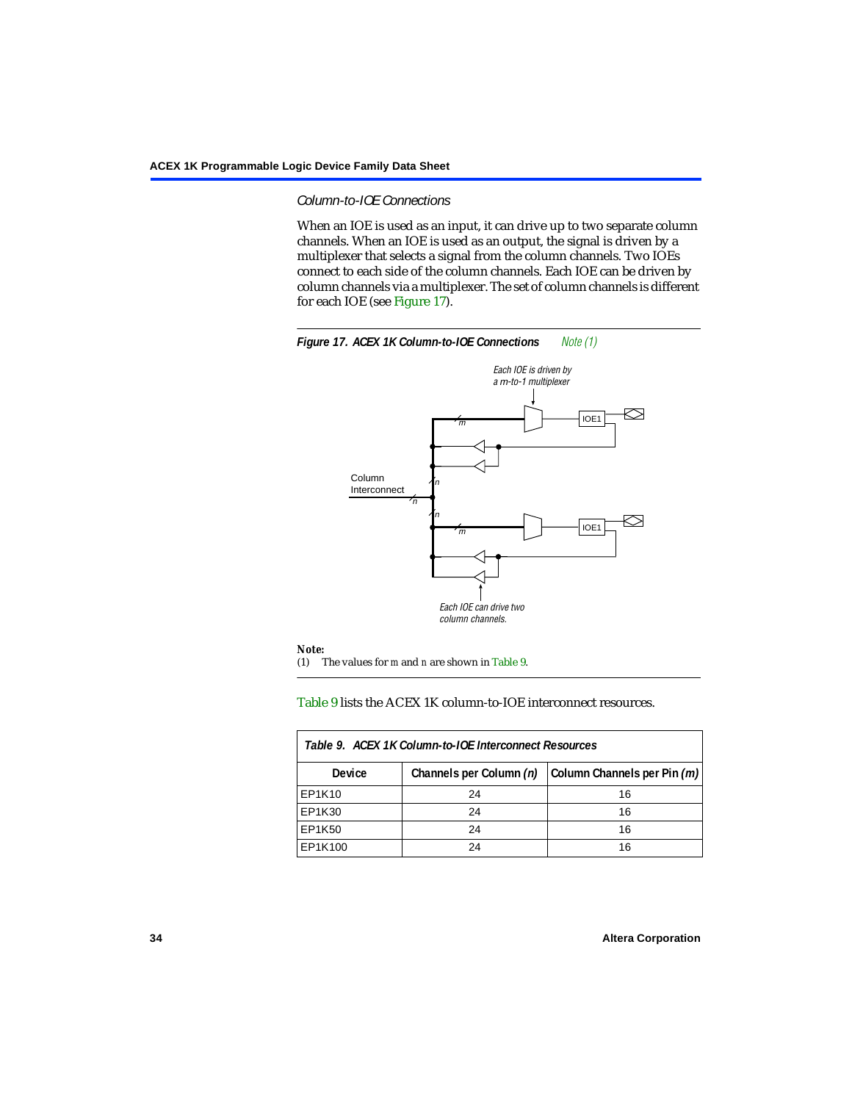#### *Column-to-IOE Connections*

When an IOE is used as an input, it can drive up to two separate column channels. When an IOE is used as an output, the signal is driven by a multiplexer that selects a signal from the column channels. Two IOEs connect to each side of the column channels. Each IOE can be driven by column channels via a multiplexer. The set of column channels is different for each IOE (see [Figure 17](#page-33-0)).

<span id="page-33-0"></span>

#### <span id="page-33-2"></span>[Table 9](#page-33-1) lists the ACEX 1K column-to-IOE interconnect resources.

<span id="page-33-1"></span>

| Table 9. ACEX 1K Column-to-IOE Interconnect Resources |                         |                             |  |  |  |
|-------------------------------------------------------|-------------------------|-----------------------------|--|--|--|
| <b>Device</b>                                         | Channels per Column (n) | Column Channels per Pin (m) |  |  |  |
| EP1K10                                                | 24                      | 16                          |  |  |  |
| EP1K30                                                | 24                      | 16                          |  |  |  |
| EP1K50                                                | 24                      | 16                          |  |  |  |
| EP1K100                                               | 24                      | 16                          |  |  |  |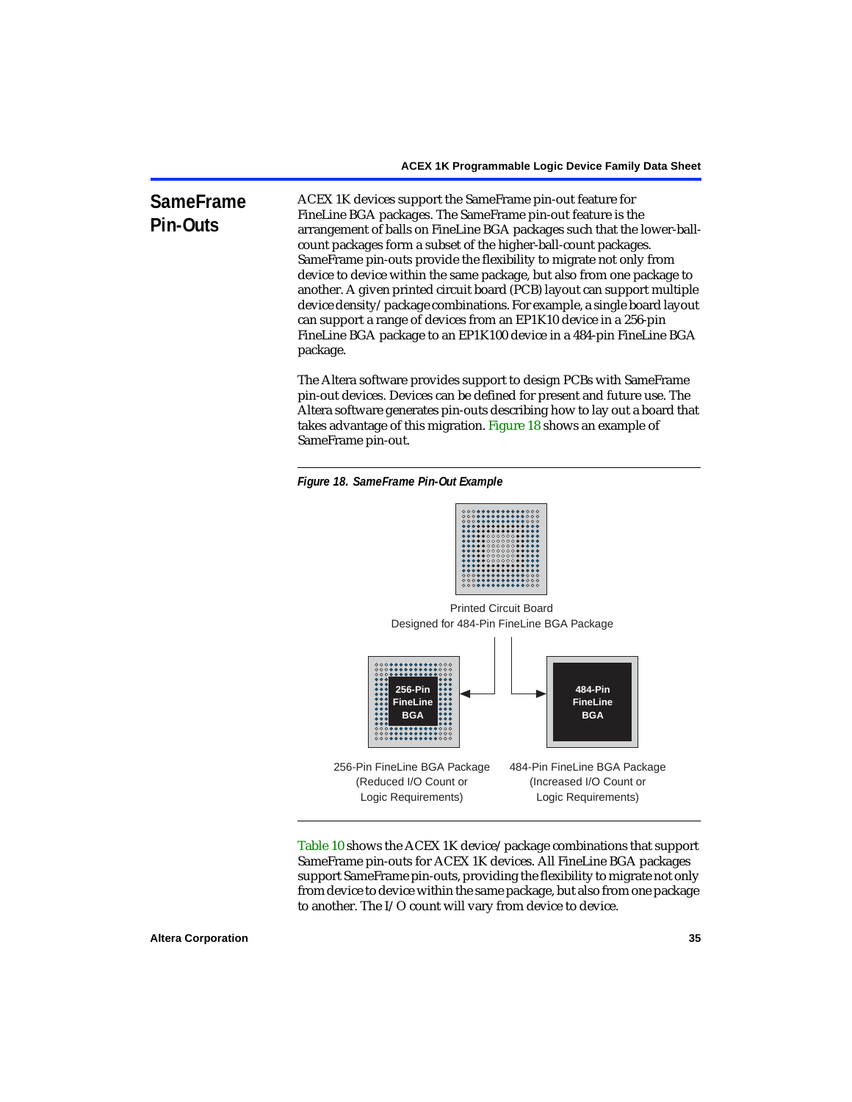#### **SameFrame Pin-Outs** ACEX 1K devices support the SameFrame pin-out feature for FineLine BGA packages. The SameFrame pin-out feature is the arrangement of balls on FineLine BGA packages such that the lower-ballcount packages form a subset of the higher-ball-count packages. SameFrame pin-outs provide the flexibility to migrate not only from device to device within the same package, but also from one package to another. A given printed circuit board (PCB) layout can support multiple device density/package combinations. For example, a single board layout can support a range of devices from an EP1K10 device in a 256-pin FineLine BGA package to an EP1K100 device in a 484-pin FineLine BGA package.

The Altera software provides support to design PCBs with SameFrame pin-out devices. Devices can be defined for present and future use. The Altera software generates pin-outs describing how to lay out a board that takes advantage of this migration. [Figure 18](#page-34-0) shows an example of SameFrame pin-out.

<span id="page-34-0"></span>*Figure 18. SameFrame Pin-Out Example*



Designed for 484-Pin FineLine BGA Package Printed Circuit Board



[Table 10](#page-35-0) shows the ACEX 1K device/package combinations that support SameFrame pin-outs for ACEX 1K devices. All FineLine BGA packages support SameFrame pin-outs, providing the flexibility to migrate not only from device to device within the same package, but also from one package to another. The I/O count will vary from device to device.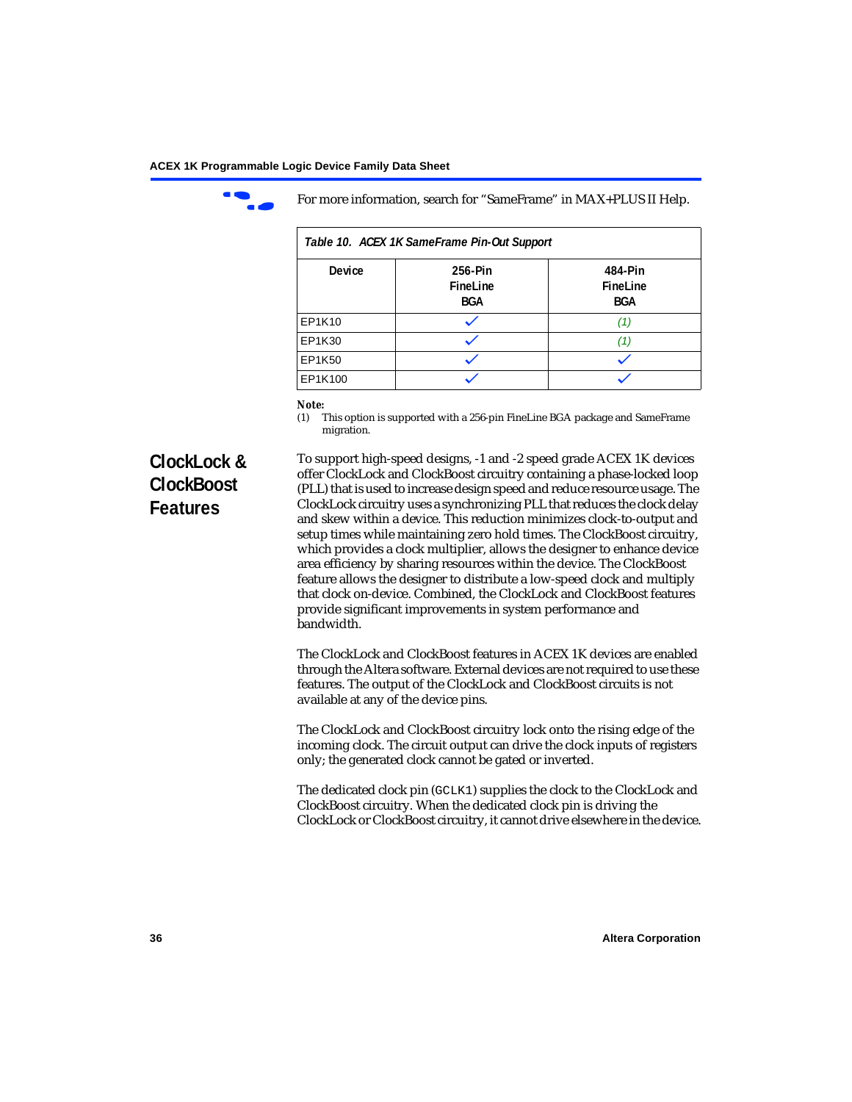

For more information, search for "SameFrame" in MAX+PLUS II Help.

<span id="page-35-0"></span>

| Table 10. ACEX 1K SameFrame Pin-Out Support |                                   |                                   |  |  |
|---------------------------------------------|-----------------------------------|-----------------------------------|--|--|
| <b>Device</b>                               | 256-Pin<br>FineLine<br><b>BGA</b> | 484-Pin<br>FineLine<br><b>BGA</b> |  |  |
| EP1K10                                      |                                   | (1.                               |  |  |
| EP1K30                                      |                                   | (1)                               |  |  |
| EP1K50                                      |                                   |                                   |  |  |
| EP1K100                                     |                                   |                                   |  |  |

# *Note:*<br>(1) **7**

<span id="page-35-1"></span>This option is supported with a 256-pin FineLine BGA package and SameFrame migration.

# **ClockLock & ClockBoost Features**

To support high-speed designs, -1 and -2 speed grade ACEX 1K devices offer ClockLock and ClockBoost circuitry containing a phase-locked loop (PLL) that is used to increase design speed and reduce resource usage. The ClockLock circuitry uses a synchronizing PLL that reduces the clock delay and skew within a device. This reduction minimizes clock-to-output and setup times while maintaining zero hold times. The ClockBoost circuitry, which provides a clock multiplier, allows the designer to enhance device area efficiency by sharing resources within the device. The ClockBoost feature allows the designer to distribute a low-speed clock and multiply that clock on-device. Combined, the ClockLock and ClockBoost features provide significant improvements in system performance and bandwidth.

The ClockLock and ClockBoost features in ACEX 1K devices are enabled through the Altera software. External devices are not required to use these features. The output of the ClockLock and ClockBoost circuits is not available at any of the device pins.

The ClockLock and ClockBoost circuitry lock onto the rising edge of the incoming clock. The circuit output can drive the clock inputs of registers only; the generated clock cannot be gated or inverted.

The dedicated clock pin (GCLK1) supplies the clock to the ClockLock and ClockBoost circuitry. When the dedicated clock pin is driving the ClockLock or ClockBoost circuitry, it cannot drive elsewhere in the device.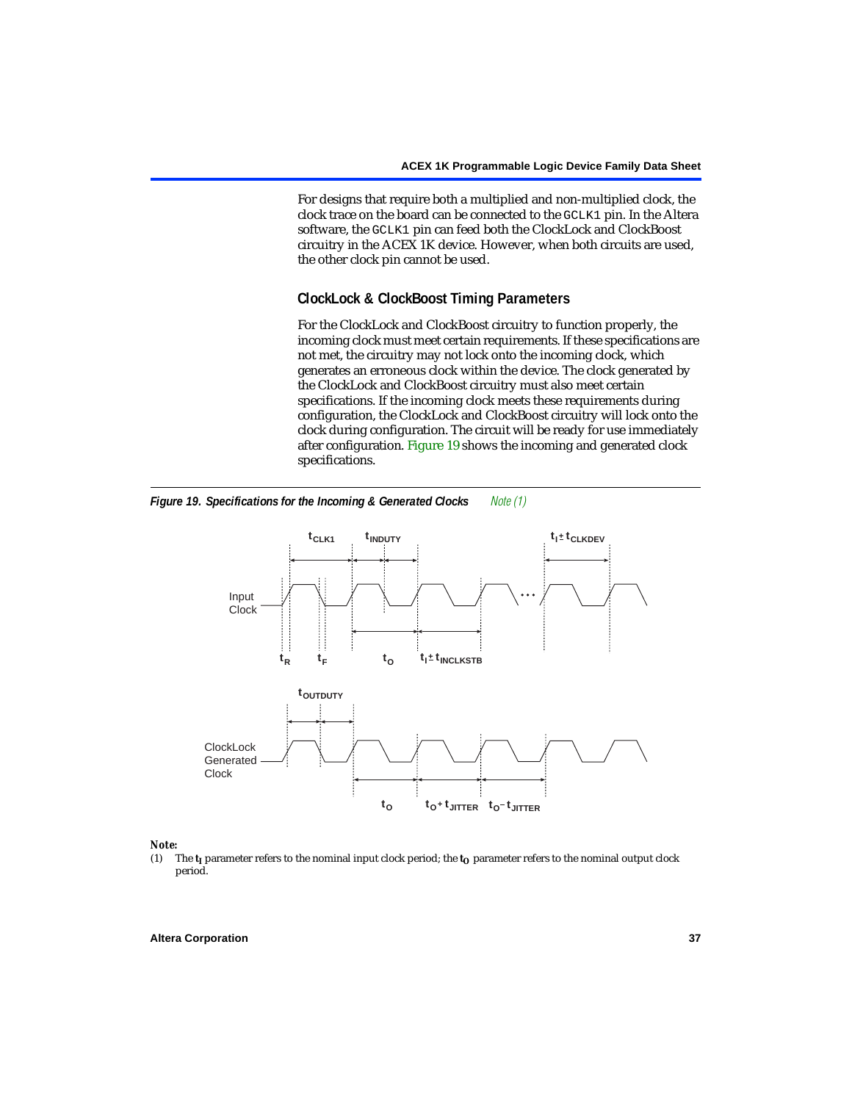For designs that require both a multiplied and non-multiplied clock, the clock trace on the board can be connected to the GCLK1 pin. In the Altera software, the GCLK1 pin can feed both the ClockLock and ClockBoost circuitry in the ACEX 1K device. However, when both circuits are used, the other clock pin cannot be used.

# **ClockLock & ClockBoost Timing Parameters**

For the ClockLock and ClockBoost circuitry to function properly, the incoming clock must meet certain requirements. If these specifications are not met, the circuitry may not lock onto the incoming clock, which generates an erroneous clock within the device. The clock generated by the ClockLock and ClockBoost circuitry must also meet certain specifications. If the incoming clock meets these requirements during configuration, the ClockLock and ClockBoost circuitry will lock onto the clock during configuration. The circuit will be ready for use immediately after configuration. [Figure 19](#page-36-0) shows the incoming and generated clock specifications.



<span id="page-36-0"></span>*Figure 19. Specifications for the Incoming & Generated Clocks [Note \(1\)](#page-36-1)*

# *Note:*<br>(1) 1

<span id="page-36-1"></span>The  $t_I$  parameter refers to the nominal input clock period; the  $t_O$  parameter refers to the nominal output clock period.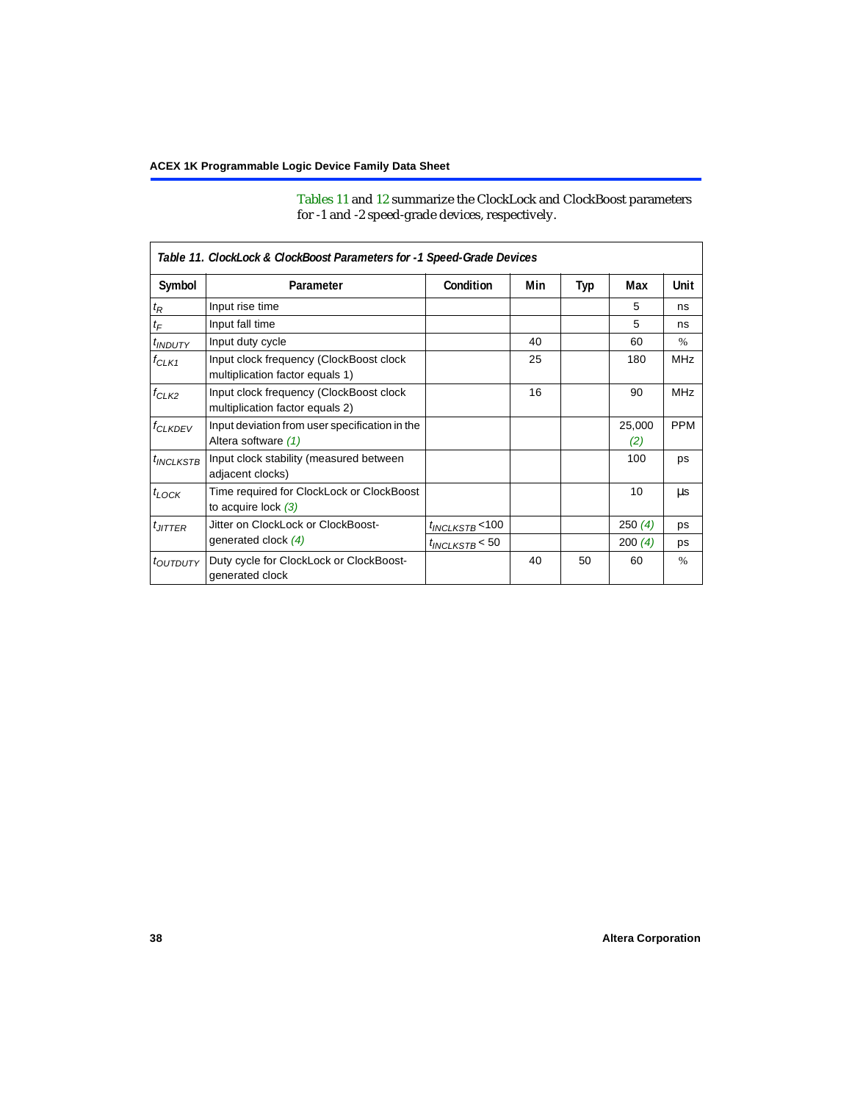[Tables 11](#page-37-0) and [12](#page-38-4) summarize the ClockLock and ClockBoost parameters for -1 and -2 speed-grade devices, respectively.

<span id="page-37-0"></span>

| Table 11. ClockLock & ClockBoost Parameters for -1 Speed-Grade Devices |                                                                            |                      |     |     |               |            |  |  |
|------------------------------------------------------------------------|----------------------------------------------------------------------------|----------------------|-----|-----|---------------|------------|--|--|
| Symbol                                                                 | Parameter                                                                  | Condition            | Min | Typ | Max           | Unit       |  |  |
| $t_{\mathsf{R}}$                                                       | Input rise time                                                            |                      |     |     | 5             | ns         |  |  |
| $t_{\mathsf{F}}$                                                       | Input fall time                                                            |                      |     |     | 5             | ns         |  |  |
| <b><i>UNDUTY</i></b>                                                   | Input duty cycle                                                           |                      | 40  |     | 60            | $\%$       |  |  |
| $f_{CLK1}$                                                             | Input clock frequency (ClockBoost clock<br>multiplication factor equals 1) |                      | 25  |     | 180           | <b>MHz</b> |  |  |
| $f_{CLK2}$                                                             | Input clock frequency (ClockBoost clock<br>multiplication factor equals 2) |                      | 16  |     | 90            | <b>MHz</b> |  |  |
| <b>f<sub>CLKDEV</sub></b>                                              | Input deviation from user specification in the<br>Altera software (1)      |                      |     |     | 25,000<br>(2) | <b>PPM</b> |  |  |
| $t_{INCLKSTB}$                                                         | Input clock stability (measured between<br>adjacent clocks)                |                      |     |     | 100           | ps         |  |  |
| $t_{LOCK}$                                                             | Time required for ClockLock or ClockBoost<br>to acquire lock $(3)$         |                      |     |     | 10            | us         |  |  |
| $t_{JITTER}$                                                           | Jitter on ClockLock or ClockBoost-                                         | $t_{INCLKSTB}$ < 100 |     |     | 250(4)        | ps         |  |  |
|                                                                        | generated clock $(4)$                                                      | $t_{INCLKSTB}$ < 50  |     |     | 200(4)        | ps         |  |  |
| <i>toutputy</i>                                                        | Duty cycle for ClockLock or ClockBoost-<br>generated clock                 |                      | 40  | 50  | 60            | $\%$       |  |  |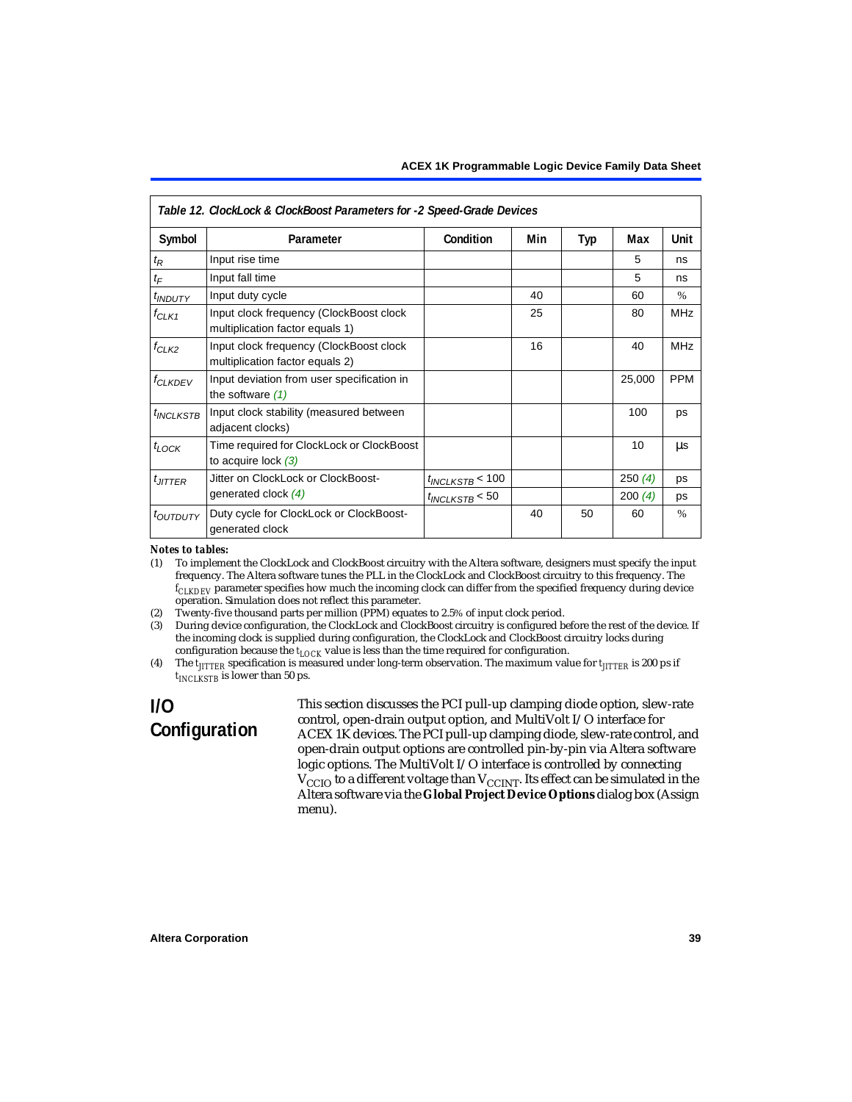<span id="page-38-4"></span>

| Table 12. ClockLock & ClockBoost Parameters for -2 Speed-Grade Devices |                                                                            |                      |     |     |        |               |  |
|------------------------------------------------------------------------|----------------------------------------------------------------------------|----------------------|-----|-----|--------|---------------|--|
| Symbol                                                                 | Parameter                                                                  | Condition            | Min | Typ | Max    | Unit          |  |
| $t_{\mathsf{R}}$                                                       | Input rise time                                                            |                      |     |     | 5      | ns            |  |
| $t_{\digamma}$                                                         | Input fall time                                                            |                      |     |     | 5      | ns            |  |
| $t_{INDUTY}$                                                           | Input duty cycle                                                           |                      | 40  |     | 60     | $\%$          |  |
| $f_{CLK1}$                                                             | Input clock frequency (ClockBoost clock<br>multiplication factor equals 1) |                      | 25  |     | 80     | <b>MHz</b>    |  |
| $f_{CLK2}$                                                             | Input clock frequency (ClockBoost clock<br>multiplication factor equals 2) |                      | 16  |     | 40     | <b>MHz</b>    |  |
| <b>f<sub>CLKDEV</sub></b>                                              | Input deviation from user specification in<br>the software $(1)$           |                      |     |     | 25,000 | <b>PPM</b>    |  |
| <sup>t</sup> INCLKSTB                                                  | Input clock stability (measured between<br>adjacent clocks)                |                      |     |     | 100    | ps            |  |
| $t_{\text{LOCK}}$                                                      | Time required for ClockLock or ClockBoost<br>to acquire lock $(3)$         |                      |     |     | 10     | μs            |  |
| $t_{JITTER}$                                                           | Jitter on ClockLock or ClockBoost-                                         | $t_{INCLKSTB}$ < 100 |     |     | 250(4) | ps            |  |
|                                                                        | generated clock $(4)$                                                      | $t_{INCLKSTB}$ < 50  |     |     | 200(4) | <b>DS</b>     |  |
| <i>toutputy</i>                                                        | Duty cycle for ClockLock or ClockBoost-<br>generated clock                 |                      | 40  | 50  | 60     | $\frac{0}{0}$ |  |

#### *Notes to tables:*

<span id="page-38-0"></span>(1) To implement the ClockLock and ClockBoost circuitry with the Altera software, designers must specify the input frequency. The Altera software tunes the PLL in the ClockLock and ClockBoost circuitry to this frequency. The *fCLKDEV* parameter specifies how much the incoming clock can differ from the specified frequency during device operation. Simulation does not reflect this parameter.

<span id="page-38-1"></span>(2) Twenty-five thousand parts per million (PPM) equates to 2.5% of input clock period.

<span id="page-38-2"></span>(3) During device configuration, the ClockLock and ClockBoost circuitry is configured before the rest of the device. If the incoming clock is supplied during configuration, the ClockLock and ClockBoost circuitry locks during configuration because the  $t_{LOCK}$  value is less than the time required for configuration.

<span id="page-38-3"></span>(4) The  $t_{\text{ITTTER}}$  specification is measured under long-term observation. The maximum value for  $t_{\text{ITTTER}}$  is 200 ps if  $t_{INCIKSTR}$  is lower than 50 ps.

# **I/O Configuration**

This section discusses the PCI pull-up clamping diode option, slew-rate control, open-drain output option, and MultiVolt I/O interface for ACEX 1K devices. The PCI pull-up clamping diode, slew-rate control, and open-drain output options are controlled pin-by-pin via Altera software logic options. The MultiVolt I/O interface is controlled by connecting  $V_{\rm CCD}$  to a different voltage than  $V_{\rm CCINT}$ . Its effect can be simulated in the Altera software via the **Global Project Device Options** dialog box (Assign menu).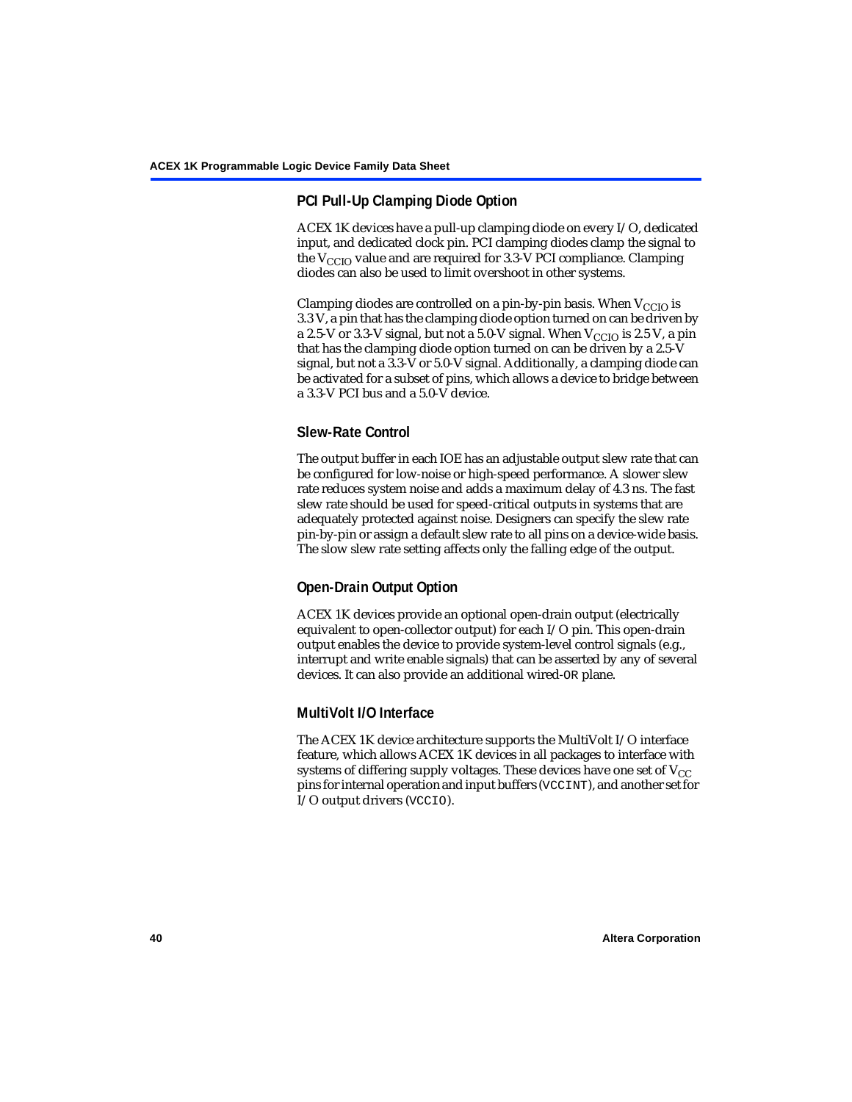# **PCI Pull-Up Clamping Diode Option**

ACEX 1K devices have a pull-up clamping diode on every I/O, dedicated input, and dedicated clock pin. PCI clamping diodes clamp the signal to the  $V_{\text{CCIO}}$  value and are required for 3.3-V PCI compliance. Clamping diodes can also be used to limit overshoot in other systems.

Clamping diodes are controlled on a pin-by-pin basis. When  $V_{CCIO}$  is 3.3 V, a pin that has the clamping diode option turned on can be driven by a 2.5-V or 3.3-V signal, but not a 5.0-V signal. When  $V_{CCIO}$  is 2.5 V, a pin that has the clamping diode option turned on can be driven by a 2.5-V signal, but not a 3.3-V or 5.0-V signal. Additionally, a clamping diode can be activated for a subset of pins, which allows a device to bridge between a 3.3-V PCI bus and a 5.0-V device.

# **Slew-Rate Control**

The output buffer in each IOE has an adjustable output slew rate that can be configured for low-noise or high-speed performance. A slower slew rate reduces system noise and adds a maximum delay of 4.3 ns. The fast slew rate should be used for speed-critical outputs in systems that are adequately protected against noise. Designers can specify the slew rate pin-by-pin or assign a default slew rate to all pins on a device-wide basis. The slow slew rate setting affects only the falling edge of the output.

# **Open-Drain Output Option**

ACEX 1K devices provide an optional open-drain output (electrically equivalent to open-collector output) for each I/O pin. This open-drain output enables the device to provide system-level control signals (e.g., interrupt and write enable signals) that can be asserted by any of several devices. It can also provide an additional wired-OR plane.

# **MultiVolt I/O Interface**

The ACEX 1K device architecture supports the MultiVolt I/O interface feature, which allows ACEX 1K devices in all packages to interface with systems of differing supply voltages. These devices have one set of  $V_{CC}$ pins for internal operation and input buffers (VCCINT), and another set for I/O output drivers (VCCIO).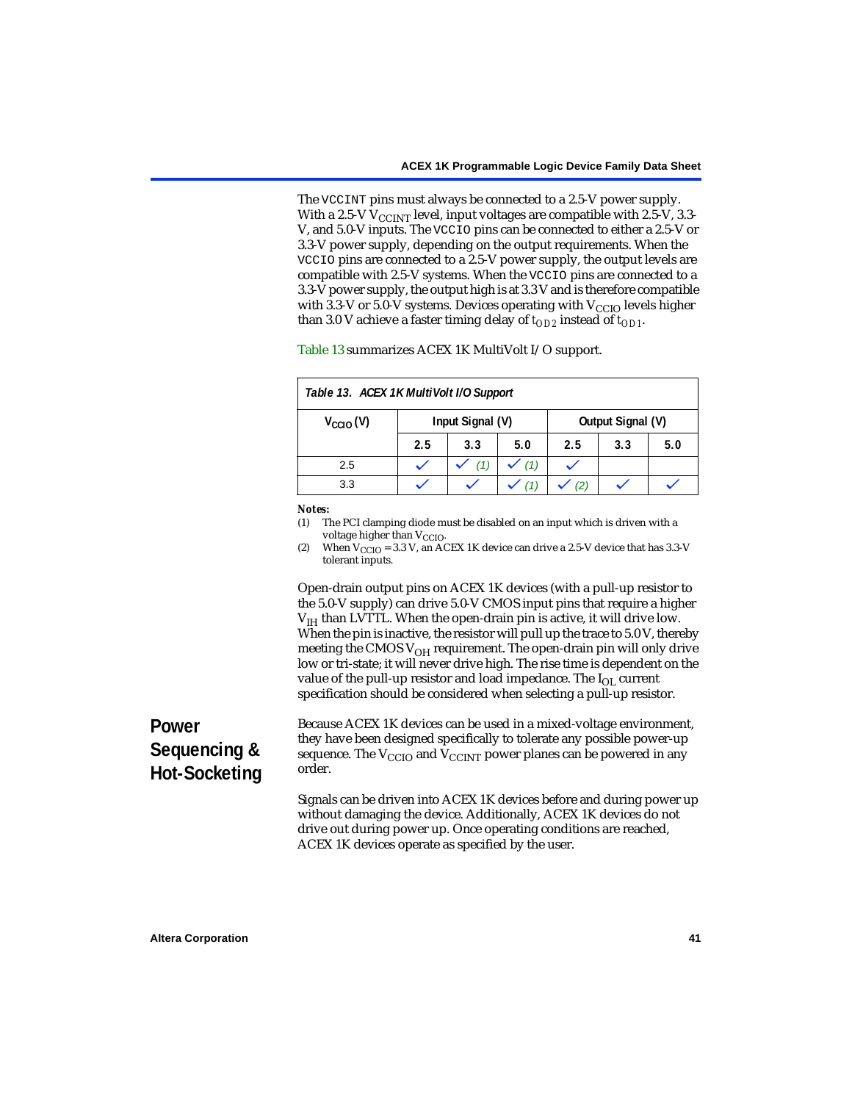The VCCINT pins must always be connected to a 2.5-V power supply. With a 2.5-V  $V_{CCMT}$  level, input voltages are compatible with 2.5-V, 3.3-V, and 5.0-V inputs. The VCCIO pins can be connected to either a 2.5-V or 3.3-V power supply, depending on the output requirements. When the VCCIO pins are connected to a 2.5-V power supply, the output levels are compatible with 2.5-V systems. When the VCCIO pins are connected to a 3.3-V power supply, the output high is at 3.3 V and is therefore compatible with 3.3-V or 5.0-V systems. Devices operating with  $V_{\text{CCIO}}$  levels higher than 3.0 V achieve a faster timing delay of  $t_{OD2}$  instead of  $t_{OD1}$ .

<span id="page-40-0"></span>

| Table 13. ACEX 1K MultiVolt I/O Support |                  |     |     |     |                   |     |  |
|-----------------------------------------|------------------|-----|-----|-----|-------------------|-----|--|
| $V_{\text{CCIO}}(V)$                    | Input Signal (V) |     |     |     | Output Signal (V) |     |  |
|                                         | 2.5              | 3.3 | 5.0 | 2.5 | 3.3               | 5.0 |  |
| 2.5                                     |                  | (1) | (1) |     |                   |     |  |
| 3.3                                     |                  |     |     |     |                   |     |  |

[Table 13](#page-40-0) summarizes ACEX 1K MultiVolt I/O support.

#### *Notes:*

<span id="page-40-1"></span>(1) The PCI clamping diode must be disabled on an input which is driven with a voltage higher than V<sub>CCIO</sub>.

<span id="page-40-2"></span>(2) When  $V_{\text{CCIO}} = 3.3$  V, an ACEX 1K device can drive a 2.5-V device that has 3.3-V tolerant inputs.

Open-drain output pins on ACEX 1K devices (with a pull-up resistor to the 5.0-V supply) can drive 5.0-V CMOS input pins that require a higher  $V<sub>IH</sub>$  than LVTTL. When the open-drain pin is active, it will drive low. When the pin is inactive, the resistor will pull up the trace to 5.0 V, thereby meeting the CMOS  $V_{OH}$  requirement. The open-drain pin will only drive low or tri-state; it will never drive high. The rise time is dependent on the value of the pull-up resistor and load impedance. The  $I_{OL}$  current specification should be considered when selecting a pull-up resistor.

# **Power Sequencing & Hot-Socketing**

Because ACEX 1K devices can be used in a mixed-voltage environment, they have been designed specifically to tolerate any possible power-up sequence. The  $V_{\text{CCIO}}$  and  $V_{\text{CCINT}}$  power planes can be powered in any order.

Signals can be driven into ACEX 1K devices before and during power up without damaging the device. Additionally, ACEX 1K devices do not drive out during power up. Once operating conditions are reached, ACEX 1K devices operate as specified by the user.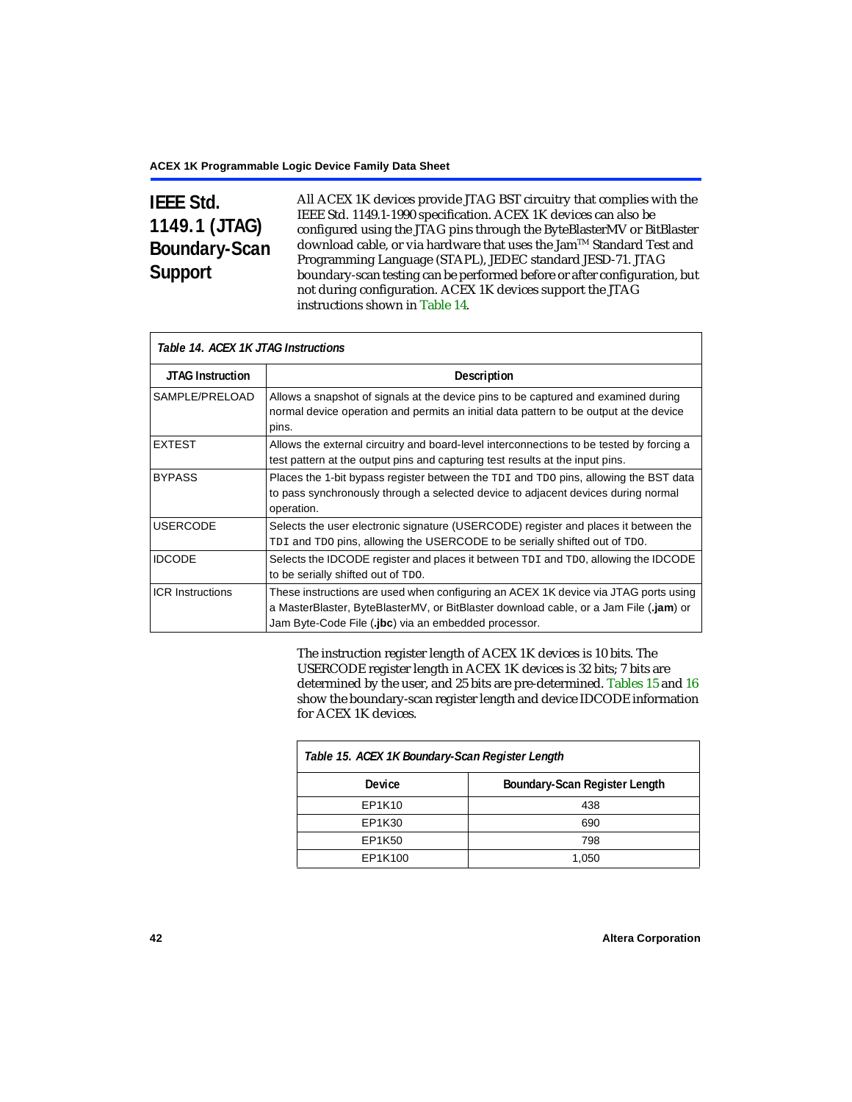# **IEEE Std. 1149.1 (JTAG) Boundary-Scan Support**

All ACEX 1K devices provide JTAG BST circuitry that complies with the IEEE Std. 1149.1-1990 specification. ACEX 1K devices can also be configured using the JTAG pins through the ByteBlasterMV or BitBlaster download cable, or via hardware that uses the Jam™ Standard Test and Programming Language (STAPL), JEDEC standard JESD-71. JTAG boundary-scan testing can be performed before or after configuration, but not during configuration. ACEX 1K devices support the JTAG instructions shown in [Table 14.](#page-41-0)

<span id="page-41-0"></span>

| Table 14. ACEX 1K JTAG Instructions |                                                                                                                                                                                                                                      |  |  |  |  |
|-------------------------------------|--------------------------------------------------------------------------------------------------------------------------------------------------------------------------------------------------------------------------------------|--|--|--|--|
| <b>JTAG Instruction</b>             | <b>Description</b>                                                                                                                                                                                                                   |  |  |  |  |
| SAMPLE/PRELOAD                      | Allows a snapshot of signals at the device pins to be captured and examined during<br>normal device operation and permits an initial data pattern to be output at the device<br>pins.                                                |  |  |  |  |
| <b>EXTEST</b>                       | Allows the external circuitry and board-level interconnections to be tested by forcing a<br>test pattern at the output pins and capturing test results at the input pins.                                                            |  |  |  |  |
| <b>BYPASS</b>                       | Places the 1-bit bypass register between the TDI and TDO pins, allowing the BST data<br>to pass synchronously through a selected device to adjacent devices during normal<br>operation.                                              |  |  |  |  |
| <b>USERCODE</b>                     | Selects the user electronic signature (USERCODE) register and places it between the<br>TDI and TDO pins, allowing the USERCODE to be serially shifted out of TDO.                                                                    |  |  |  |  |
| <b>IDCODE</b>                       | Selects the IDCODE register and places it between TDI and TDO, allowing the IDCODE<br>to be serially shifted out of TDO.                                                                                                             |  |  |  |  |
| <b>ICR Instructions</b>             | These instructions are used when configuring an ACEX 1K device via JTAG ports using<br>a MasterBlaster, ByteBlasterMV, or BitBlaster download cable, or a Jam File (.jam) or<br>Jam Byte-Code File (.jbc) via an embedded processor. |  |  |  |  |

The instruction register length of ACEX 1K devices is 10 bits. The USERCODE register length in ACEX 1K devices is 32 bits; 7 bits are determined by the user, and 25 bits are pre-determined. [Tables 15](#page-41-1) and [16](#page-42-0) show the boundary-scan register length and device IDCODE information for ACEX 1K devices.

<span id="page-41-1"></span>

| Table 15. ACEX 1K Boundary-Scan Register Length |                               |  |  |  |  |
|-------------------------------------------------|-------------------------------|--|--|--|--|
| Device                                          | Boundary-Scan Register Length |  |  |  |  |
| EP1K10                                          | 438                           |  |  |  |  |
| EP1K30                                          | 690                           |  |  |  |  |
| EP1K50                                          | 798                           |  |  |  |  |
| EP1K100                                         | 1,050                         |  |  |  |  |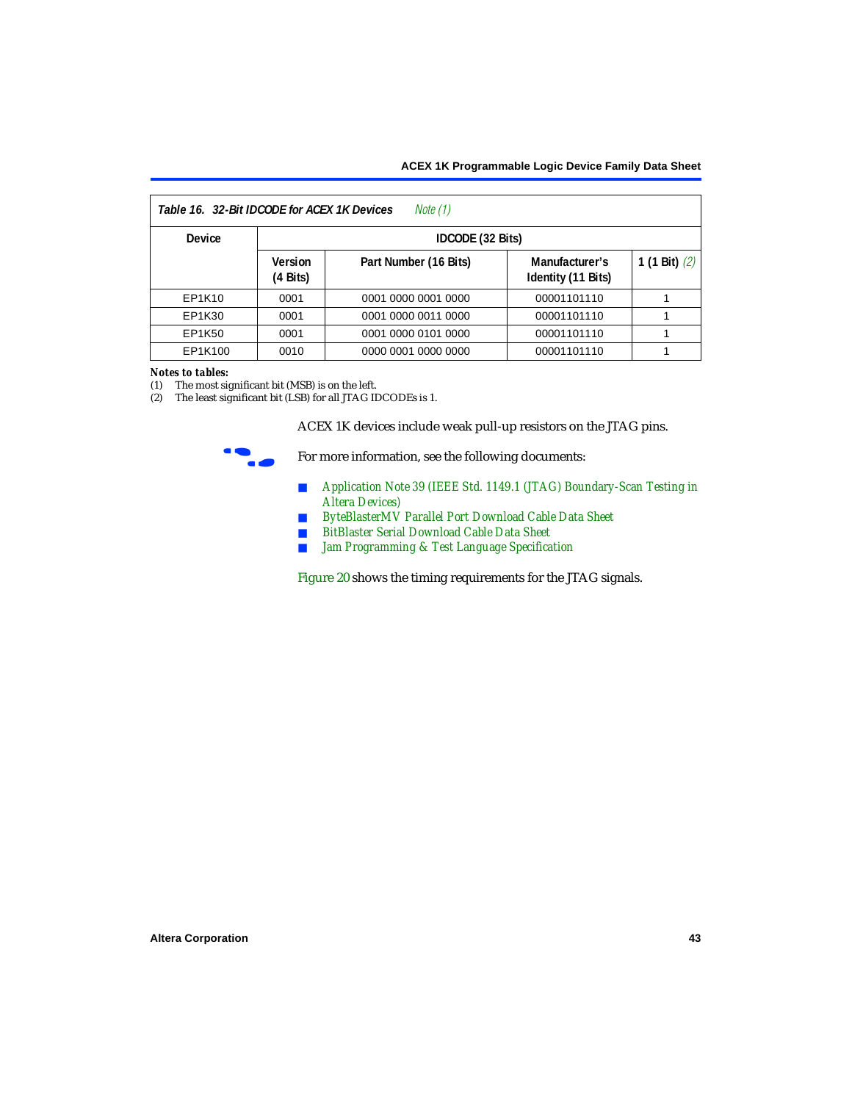<span id="page-42-0"></span>

| Note (1)<br>Table 16. 32-Bit IDCODE for ACEX 1K Devices |                               |                       |                                      |                 |  |  |  |
|---------------------------------------------------------|-------------------------------|-----------------------|--------------------------------------|-----------------|--|--|--|
| <b>Device</b>                                           | IDCODE (32 Bits)              |                       |                                      |                 |  |  |  |
|                                                         | Version<br>$(4 \text{ Bits})$ | Part Number (16 Bits) | Manufacturer's<br>Identity (11 Bits) | 1 (1 Bit) $(2)$ |  |  |  |
| EP1K10                                                  | 0001                          | 0001 0000 0001 0000   | 00001101110                          |                 |  |  |  |
| EP1K30                                                  | 0001                          | 0001 0000 0011 0000   | 00001101110                          |                 |  |  |  |
| EP1K50                                                  | 0001                          | 0001 0000 0101 0000   | 00001101110                          |                 |  |  |  |
| EP1K100                                                 | 0010                          | 0000 0001 0000 0000   | 00001101110                          |                 |  |  |  |

## *Notes to tables:*

<span id="page-42-1"></span>(1) The most significant bit (MSB) is on the left.

<span id="page-42-2"></span>(2) The least significant bit (LSB) for all JTAG IDCODEs is 1.

ACEX 1K devices include weak pull-up resistors on the JTAG pins.



For more information, see the following documents:

- *Application Note 39 (IEEE Std. 1149.1 (JTAG) Boundary-Scan Testing in [Altera Devices\)](#page-0-0)*
- *[ByteBlasterMV Parallel Port Download Cable Data Sheet](#page-0-0)*
- *[BitBlaster Serial Download Cable Data Sheet](#page-0-0)*
- *Jam Programming & Test Language Specification*

[Figure 20](#page-43-0) shows the timing requirements for the JTAG signals.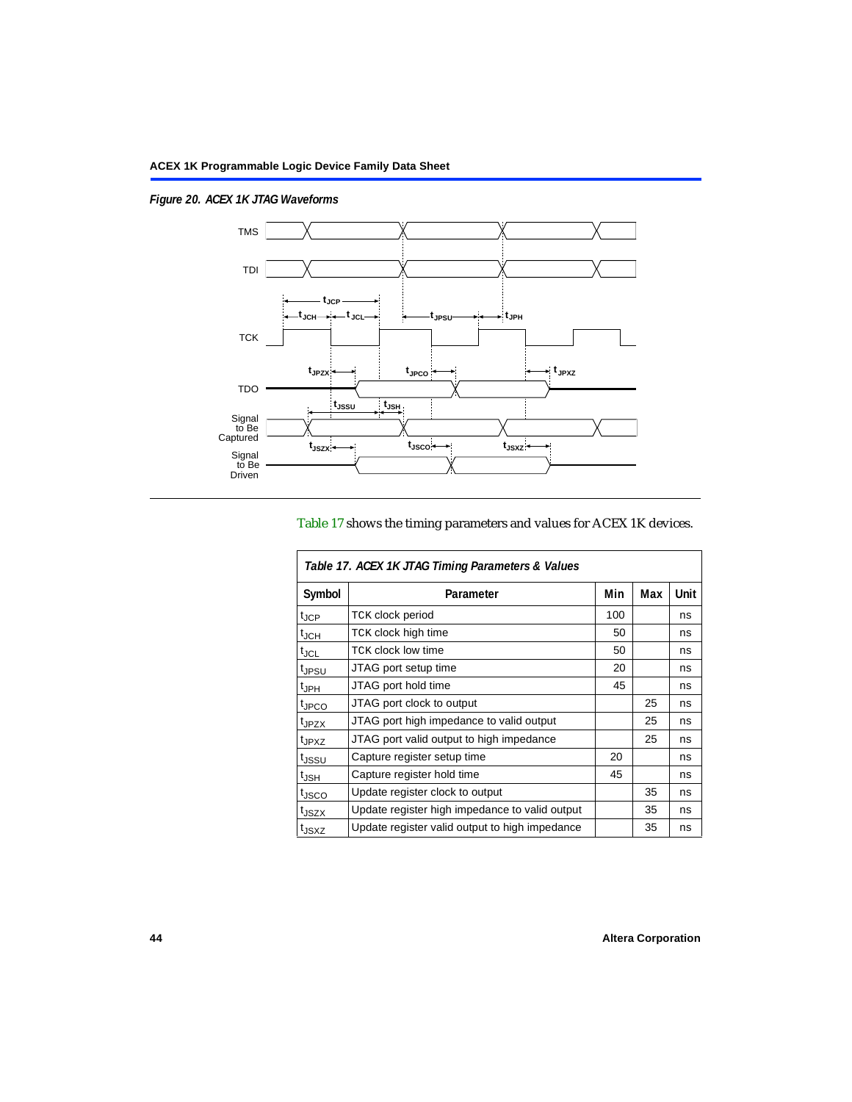Ī

<span id="page-43-0"></span>*Figure 20. ACEX 1K JTAG Waveforms*



# [Table 17](#page-43-1) shows the timing parameters and values for ACEX 1K devices.

<span id="page-43-1"></span>

| Table 17. ACEX 1K JTAG Timing Parameters & Values |                                                |     |     |      |  |  |  |
|---------------------------------------------------|------------------------------------------------|-----|-----|------|--|--|--|
| Symbol                                            | Parameter                                      | Min | Max | Unit |  |  |  |
| $t_{\text{JCP}}$                                  | <b>TCK clock period</b>                        | 100 |     | ns   |  |  |  |
| $t_{JCH}$                                         | TCK clock high time                            | 50  |     | ns   |  |  |  |
| tjcl                                              | <b>TCK clock low time</b>                      | 50  |     | ns   |  |  |  |
| t <sub>JPSU</sub>                                 | JTAG port setup time                           | 20  |     | ns   |  |  |  |
| $t_{\sf JPH}$                                     | JTAG port hold time                            | 45  |     | ns   |  |  |  |
| tjpco                                             | JTAG port clock to output                      |     | 25  | ns   |  |  |  |
| t <sub>JPZX</sub>                                 | JTAG port high impedance to valid output       |     | 25  | ns   |  |  |  |
| t <sub>JPXZ</sub>                                 | JTAG port valid output to high impedance       |     | 25  | ns   |  |  |  |
| tjssu                                             | Capture register setup time                    | 20  |     | ns   |  |  |  |
| $t_{\sf JSH}$                                     | Capture register hold time                     | 45  |     | ns   |  |  |  |
| tjsco                                             | Update register clock to output                |     | 35  | ns   |  |  |  |
| t <sub>JSZX</sub>                                 | Update register high impedance to valid output |     | 35  | ns   |  |  |  |
| t <sub>JSXZ</sub>                                 | Update register valid output to high impedance |     | 35  | ns   |  |  |  |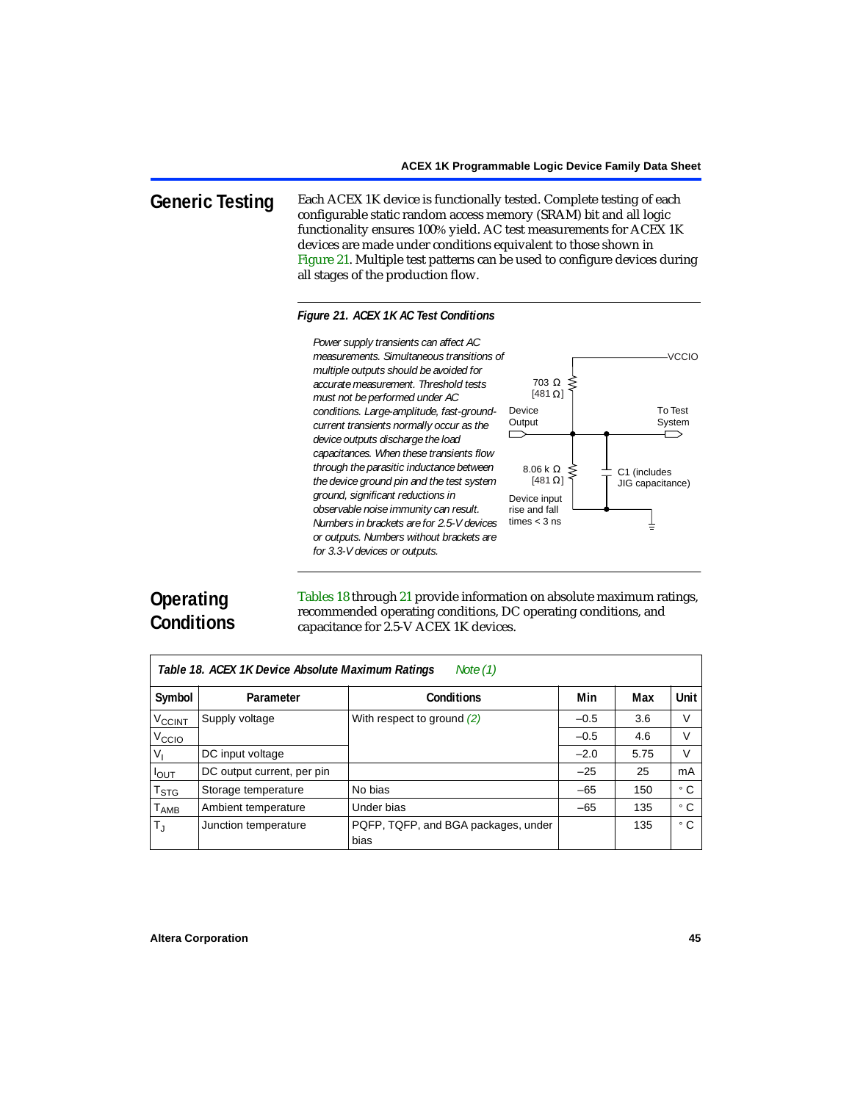**Generic Testing** Each ACEX 1K device is functionally tested. Complete testing of each configurable static random access memory (SRAM) bit and all logic functionality ensures 100% yield. AC test measurements for ACEX 1K devices are made under conditions equivalent to those shown in [Figure 21.](#page-44-0) Multiple test patterns can be used to configure devices during all stages of the production flow.

## <span id="page-44-0"></span>*Figure 21. ACEX 1K AC Test Conditions*



# **Operating Conditions**

[Tables 18](#page-44-1) through [21](#page-47-2) provide information on absolute maximum ratings, recommended operating conditions, DC operating conditions, and capacitance for 2.5-V ACEX 1K devices.

<span id="page-44-1"></span>

| Note $(1)$<br>Table 18. ACEX 1K Device Absolute Maximum Ratings |                            |                                             |        |      |           |  |  |
|-----------------------------------------------------------------|----------------------------|---------------------------------------------|--------|------|-----------|--|--|
| Symbol                                                          | Parameter                  | Conditions                                  | Min    | Max  | Unit      |  |  |
| <b>V<sub>CCINT</sub></b>                                        | Supply voltage             | With respect to ground $(2)$                | $-0.5$ | 3.6  | V         |  |  |
| V <sub>CCIO</sub>                                               |                            |                                             | $-0.5$ | 4.6  | V         |  |  |
| $V_{1}$                                                         | DC input voltage           |                                             | $-2.0$ | 5.75 | V         |  |  |
| $I_{OUT}$                                                       | DC output current, per pin |                                             | $-25$  | 25   | mA        |  |  |
| $\mathsf{T}_{\textsf{STG}}$                                     | Storage temperature        | No bias                                     | $-65$  | 150  | ۰c        |  |  |
| $T_{\sf AMB}$                                                   | Ambient temperature        | Under bias                                  | $-65$  | 135  | $\circ$ C |  |  |
| $T_{\rm J}$                                                     | Junction temperature       | PQFP, TQFP, and BGA packages, under<br>bias |        | 135  | ° C       |  |  |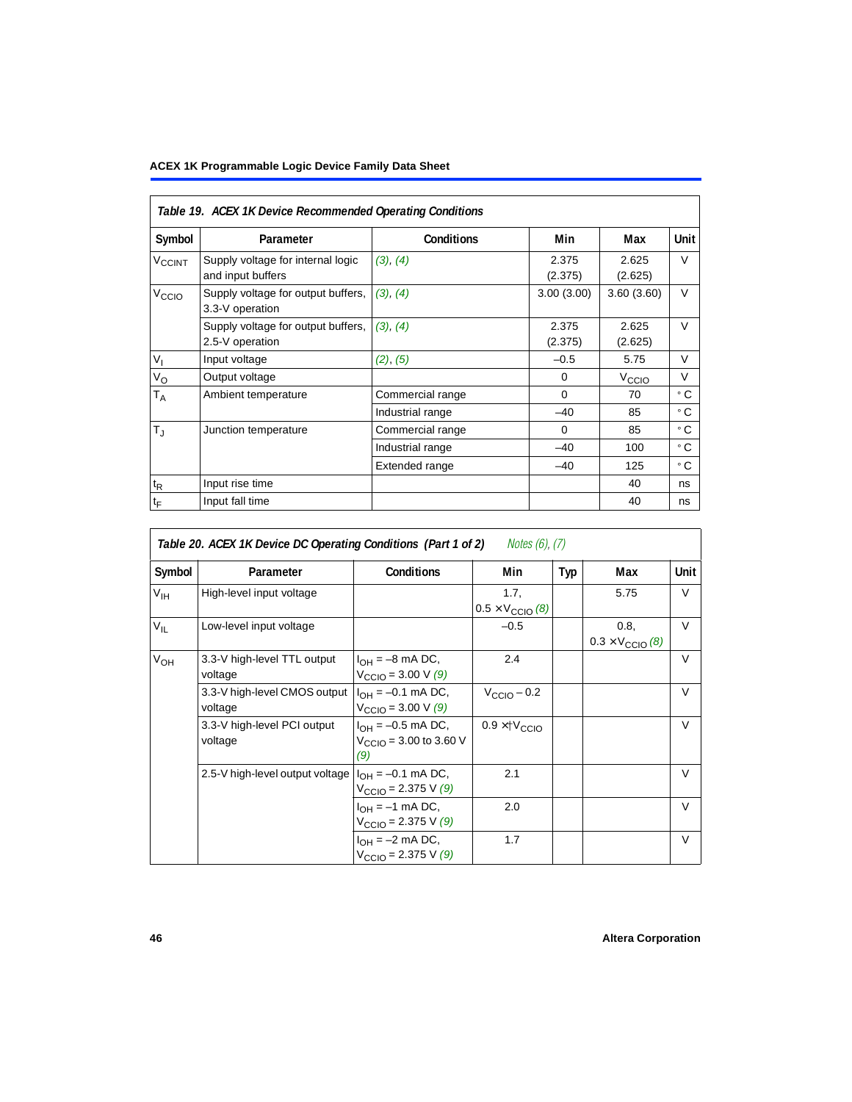<span id="page-45-0"></span>

|                    | Table 19. ACEX 1K Device Recommended Operating Conditions |                   |                  |                   |            |  |  |
|--------------------|-----------------------------------------------------------|-------------------|------------------|-------------------|------------|--|--|
| Symbol             | Parameter                                                 | <b>Conditions</b> | Min              | Max               | Unit       |  |  |
| V <sub>CCINT</sub> | Supply voltage for internal logic<br>and input buffers    | (3), (4)          | 2.375<br>(2.375) | 2.625<br>(2.625)  | V          |  |  |
| V <sub>CCIO</sub>  | Supply voltage for output buffers,<br>3.3-V operation     | (3), (4)          | 3.00(3.00)       | 3.60(3.60)        | V          |  |  |
|                    | Supply voltage for output buffers,<br>2.5-V operation     | (3), (4)          | 2.375<br>(2.375) | 2.625<br>(2.625)  | $\vee$     |  |  |
| $V_{I}$            | Input voltage                                             | (2), (5)          | $-0.5$           | 5.75              | $\vee$     |  |  |
| $V_{\rm O}$        | Output voltage                                            |                   | $\Omega$         | V <sub>CCIO</sub> | $\vee$     |  |  |
| Т <sub>А</sub>     | Ambient temperature                                       | Commercial range  | $\Omega$         | 70                | $\circ$ C. |  |  |
|                    |                                                           | Industrial range  | $-40$            | 85                | ۰c         |  |  |
| $T_{\rm J}$        | Junction temperature                                      | Commercial range  | $\Omega$         | 85                | ° C        |  |  |
|                    |                                                           | Industrial range  | $-40$            | 100               | ° C        |  |  |
|                    |                                                           | Extended range    | $-40$            | 125               | ۰с         |  |  |
| $t_{R}$            | Input rise time                                           |                   |                  | 40                | ns         |  |  |
| $t_{\mathsf{F}}$   | Input fall time                                           |                   |                  | 40                | ns         |  |  |

| <i>Notes (6), (7)</i><br>Table 20. ACEX 1K Device DC Operating Conditions (Part 1 of 2) |                                         |                                                                          |                                          |     |                                          |        |  |  |
|-----------------------------------------------------------------------------------------|-----------------------------------------|--------------------------------------------------------------------------|------------------------------------------|-----|------------------------------------------|--------|--|--|
| Symbol                                                                                  | Parameter                               | <b>Conditions</b>                                                        | Min                                      | Typ | Max                                      | Unit   |  |  |
| $V_{\text{IH}}$                                                                         | High-level input voltage                |                                                                          | 1.7,<br>$0.5 \times V_{\text{CCIO}}$ (8) |     | 5.75                                     | V      |  |  |
| $V_{IL}$                                                                                | Low-level input voltage                 |                                                                          | $-0.5$                                   |     | 0.8.<br>$0.3 \times V_{\text{CCIO}}$ (8) | $\vee$ |  |  |
| $V_{OH}$                                                                                | 3.3-V high-level TTL output<br>voltage  | $I_{OH} = -8$ mA DC,<br>$V_{\text{CCIO}} = 3.00 \text{ V } (9)$          | 2.4                                      |     |                                          | $\vee$ |  |  |
|                                                                                         | 3.3-V high-level CMOS output<br>voltage | $I_{OH} = -0.1$ mA DC,<br>$V_{\text{CCIO}} = 3.00 \text{ V } (9)$        | $V_{\text{CCIO}} - 0.2$                  |     |                                          | V      |  |  |
|                                                                                         | 3.3-V high-level PCI output<br>voltage  | $I_{OH} = -0.5$ mA DC,<br>$V_{\text{CCIO}} = 3.00$ to 3.60 V<br>(9)      | $0.9 \times$ † $V_{\text{CCIO}}$         |     |                                          | $\vee$ |  |  |
|                                                                                         | 2.5-V high-level output voltage         | $I_{\text{OH}}$ = -0.1 mA DC,<br>$V_{\text{CCIO}} = 2.375 \text{ V} (9)$ | 2.1                                      |     |                                          | $\vee$ |  |  |
|                                                                                         |                                         | $I_{OH} = -1$ mA DC,<br>$V_{\text{CCIO}} = 2.375 \text{ V} (9)$          | 2.0                                      |     |                                          | $\vee$ |  |  |
|                                                                                         |                                         | $I_{OH} = -2$ mA DC,<br>$V_{\text{CCIO}} = 2.375 \text{ V} (9)$          | 1.7                                      |     |                                          | $\vee$ |  |  |

## **46 Altera Corporation**

5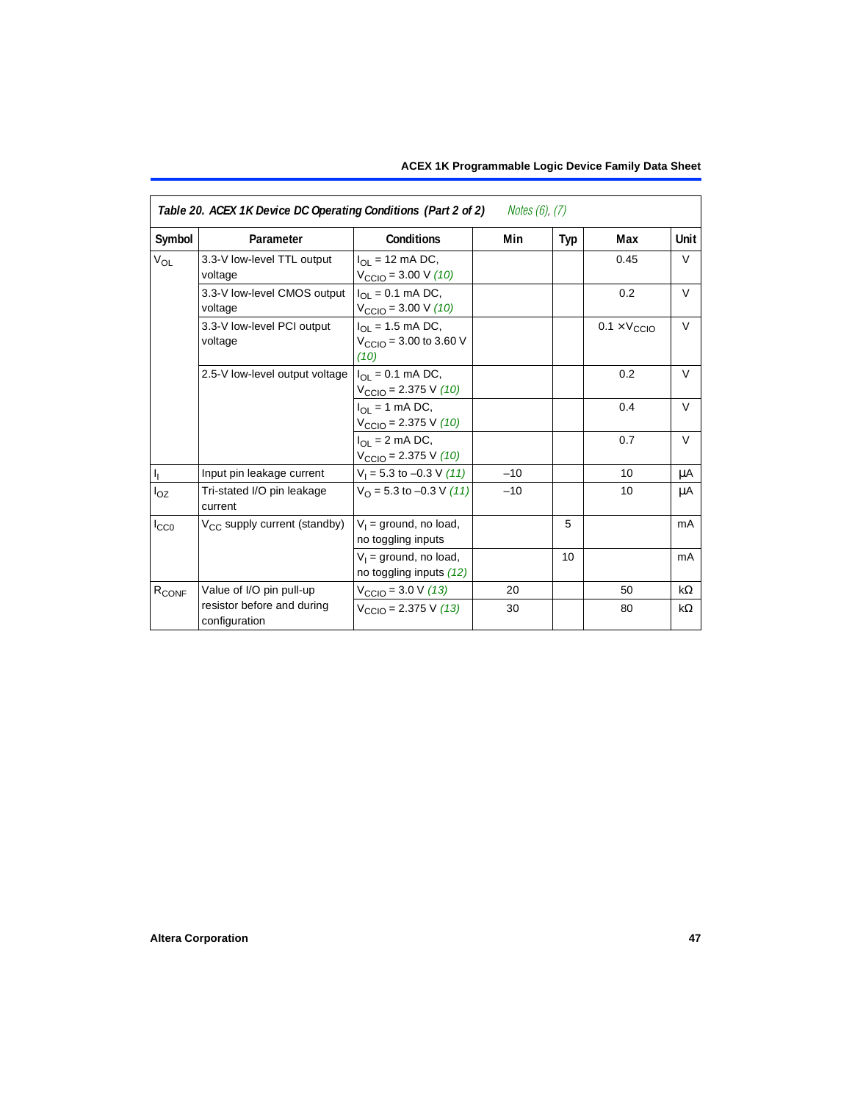| Table 20. ACEX 1K Device DC Operating Conditions (Part 2 of 2)<br>Notes $(6)$ , $(7)$ |                                             |                                                                         |       |     |                              |           |
|---------------------------------------------------------------------------------------|---------------------------------------------|-------------------------------------------------------------------------|-------|-----|------------------------------|-----------|
| Symbol                                                                                | Parameter                                   | <b>Conditions</b>                                                       | Min   | Typ | Max                          | Unit      |
| <b>V<sub>OL</sub></b>                                                                 | 3.3-V low-level TTL output<br>voltage       | $I_{\Omega}$ = 12 mA DC,<br>$V_{\text{CCIO}} = 3.00 \text{ V} (10)$     |       |     | 0.45                         | $\vee$    |
|                                                                                       | 3.3-V low-level CMOS output<br>voltage      | $I_{OL} = 0.1$ mA DC,<br>$V_{\text{CCIO}} = 3.00 \text{ V} (10)$        |       |     | 0.2                          | $\vee$    |
|                                                                                       | 3.3-V low-level PCI output<br>voltage       | $I_{OL}$ = 1.5 mA DC,<br>$V_{\text{CCIO}} = 3.00$ to 3.60 V<br>(10)     |       |     | $0.1 \times V_{\text{CCIO}}$ | V         |
|                                                                                       | 2.5-V low-level output voltage              | $I_{\Omega I} = 0.1$ mA DC,<br>$V_{\text{CCIO}} = 2.375 \text{ V} (10)$ |       |     | 0.2                          | $\vee$    |
|                                                                                       |                                             | $I_{OL}$ = 1 mA DC,<br>$V_{\text{CCIO}} = 2.375 \text{ V} (10)$         |       |     | 0.4                          | $\vee$    |
|                                                                                       |                                             | $I_{\Omega}$ = 2 mA DC,<br>$V_{\text{CCIO}} = 2.375 \text{ V} (10)$     |       |     | 0.7                          | $\vee$    |
| $\mathsf{I}_\mathsf{I}$                                                               | Input pin leakage current                   | $V_1 = 5.3$ to $-0.3$ V (11)                                            | $-10$ |     | 10                           | μA        |
| $I_{OZ}$                                                                              | Tri-stated I/O pin leakage<br>current       | $V_O$ = 5.3 to -0.3 V (11)                                              | $-10$ |     | 10                           | μA        |
| $I_{CC0}$                                                                             | V <sub>CC</sub> supply current (standby)    | $V_1$ = ground, no load,<br>no toggling inputs                          |       | 5   |                              | mA        |
|                                                                                       |                                             | $V_1$ = ground, no load,<br>no toggling inputs (12)                     |       | 10  |                              | mA        |
| R <sub>CONF</sub>                                                                     | Value of I/O pin pull-up                    | $V_{\text{CCIO}} = 3.0 \text{ V} (13)$                                  | 20    |     | 50                           | $k\Omega$ |
|                                                                                       | resistor before and during<br>configuration | $V_{\text{CCIO}} = 2.375 \text{ V} (13)$                                | 30    |     | 80                           | $k\Omega$ |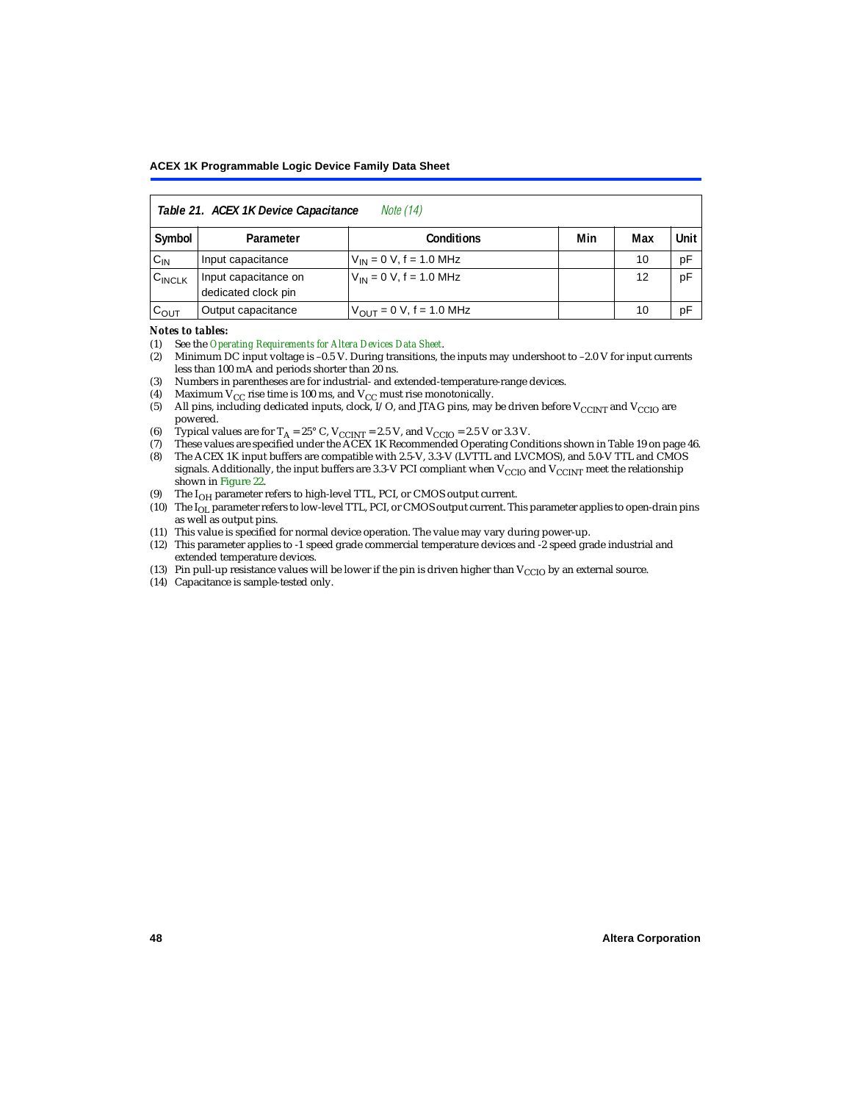<span id="page-47-2"></span>

| <i>Note</i> (14)<br>Table 21. ACEX 1K Device Capacitance |                                             |                                     |     |     |      |  |  |
|----------------------------------------------------------|---------------------------------------------|-------------------------------------|-----|-----|------|--|--|
| Symbol                                                   | Parameter                                   | <b>Conditions</b>                   | Min | Max | Unit |  |  |
| $C_{IN}$                                                 | Input capacitance                           | $V_{IN} = 0 V$ , f = 1.0 MHz        |     | 10  | рF   |  |  |
| $C_{\text{INCLK}}$                                       | Input capacitance on<br>dedicated clock pin | $V_{1N} = 0 V$ , f = 1.0 MHz        |     | 12  | pF   |  |  |
| $C_{OUT}$                                                | Output capacitance                          | $V_{\text{OUT}} = 0$ V, f = 1.0 MHz |     | 10  | рF   |  |  |

#### *Notes to tables:*

<span id="page-47-0"></span>(1) See the *[Operating Requirements for Altera Devices Data Sheet](#page-0-0)*.

- <span id="page-47-1"></span>(2) Minimum DC input voltage is –0.5 V. During transitions, the inputs may undershoot to –2.0 V for input currents less than 100 mA and periods shorter than 20 ns.
- <span id="page-47-3"></span>(3) Numbers in parentheses are for industrial- and extended-temperature-range devices.
- <span id="page-47-4"></span>(4) Maximum  $V_{CC}$  rise time is 100 ms, and  $V_{CC}$  must rise monotonically.<br>(5) All pins, including dedicated inputs, clock, I/O, and JTAG pins, may
- <span id="page-47-5"></span>All pins, including dedicated inputs, clock, I/O, and JTAG pins, may be driven before  $V_{\text{CCINT}}$  and  $V_{\text{CCIO}}$  are powered.
- <span id="page-47-6"></span>(6) Typical values are for  $T_A = 25^\circ$  C,  $V_{CClNT} = 2.5$  V, and  $V_{CClO} = 2.5$  V or 3.3 V.<br>(7) These values are specified under the ACEX 1K Recommended Operating Cone
- <span id="page-47-9"></span>(7) These values are specified under the ACEX 1K Recommended Operating Conditions shown in [Table 19 on page 46.](#page-45-0)<br>(8) The ACEX 1K input buffers are compatible with 2.5-V. 3.3-V (LVTTL and LVCMOS), and 5.0-V TTL and CMOS
- <span id="page-47-7"></span>The ACEX 1K input buffers are compatible with 2.5-V, 3.3-V (LVTTL and LVCMOS), and 5.0-V TTL and CMOS signals. Additionally, the input buffers are 3.3-V PCI compliant when  $V_{CCIO}$  and  $V_{CCINT}$  meet the relationship shown in [Figure 22](#page-48-0).
- <span id="page-47-8"></span>(9) The  $I_{OH}$  parameter refers to high-level TTL, PCI, or CMOS output current.
- <span id="page-47-10"></span>(10) The I<sub>OL</sub> parameter refers to low-level TTL, PCI, or CMOS output current. This parameter applies to open-drain pins as well as output pins.
- <span id="page-47-13"></span>(11) This value is specified for normal device operation. The value may vary during power-up.
- <span id="page-47-11"></span>(12) This parameter applies to -1 speed grade commercial temperature devices and -2 speed grade industrial and extended temperature devices.
- <span id="page-47-12"></span>(13) Pin pull-up resistance values will be lower if the pin is driven higher than  $V_{\text{CCIO}}$  by an external source.
- <span id="page-47-14"></span>(14) Capacitance is sample-tested only.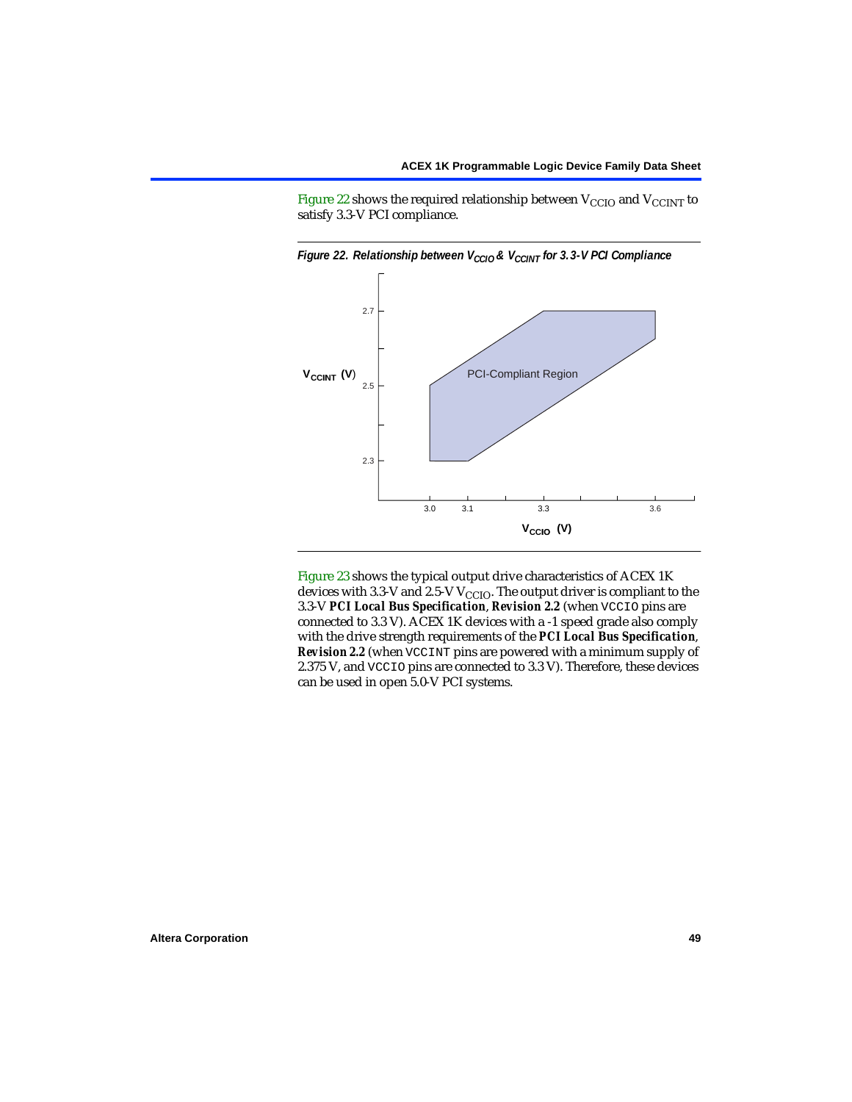[Figure 22](#page-48-0) shows the required relationship between  $V_{\text{CCIO}}$  and  $V_{\text{CCINT}}$  to satisfy 3.3-V PCI compliance.



<span id="page-48-0"></span>

[Figure 23](#page-49-0) shows the typical output drive characteristics of ACEX 1K devices with 3.3-V and 2.5-V  $V_{\text{CCIO}}$ . The output driver is compliant to the 3.3-V *PCI Local Bus Specification*, *Revision 2.2* (when VCCIO pins are connected to 3.3 V). ACEX 1K devices with a -1 speed grade also comply with the drive strength requirements of the *PCI Local Bus Specification*, *Revision 2.2* (when VCCINT pins are powered with a minimum supply of 2.375 V, and VCCIO pins are connected to 3.3 V). Therefore, these devices can be used in open 5.0-V PCI systems.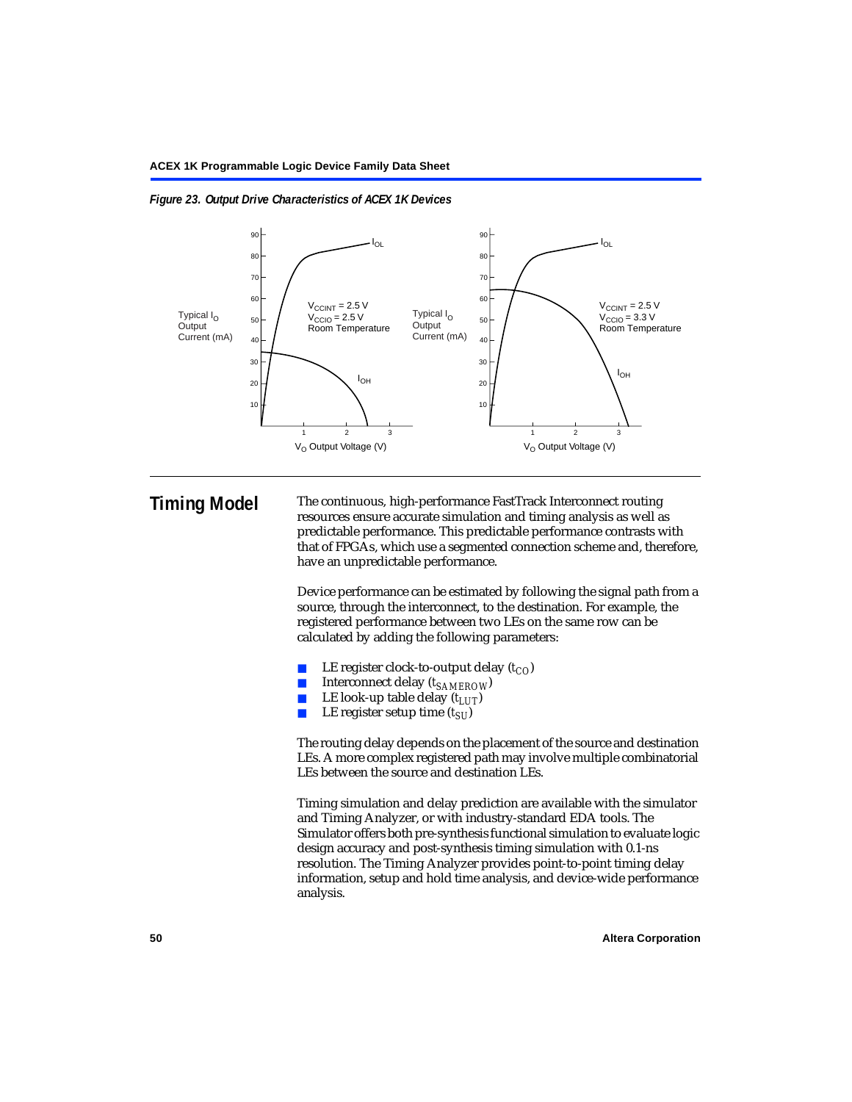

#### <span id="page-49-0"></span>*Figure 23. Output Drive Characteristics of ACEX 1K Devices*

**Timing Model** The continuous, high-performance FastTrack Interconnect routing resources ensure accurate simulation and timing analysis as well as predictable performance. This predictable performance contrasts with that of FPGAs, which use a segmented connection scheme and, therefore, have an unpredictable performance.

> Device performance can be estimated by following the signal path from a source, through the interconnect, to the destination. For example, the registered performance between two LEs on the same row can be calculated by adding the following parameters:

- LE register clock-to-output delay  $(t_{CO})$
- Interconnect delay ( $t_{SAMFROW}$ )
- **■** LE look-up table delay  $(t_{LUT})$ <br>
LE register setup time  $(t_{SL})$
- LE register setup time  $(t_{SI})$

The routing delay depends on the placement of the source and destination LEs. A more complex registered path may involve multiple combinatorial LEs between the source and destination LEs.

Timing simulation and delay prediction are available with the simulator and Timing Analyzer, or with industry-standard EDA tools. The Simulator offers both pre-synthesis functional simulation to evaluate logic design accuracy and post-synthesis timing simulation with 0.1-ns resolution. The Timing Analyzer provides point-to-point timing delay information, setup and hold time analysis, and device-wide performance analysis.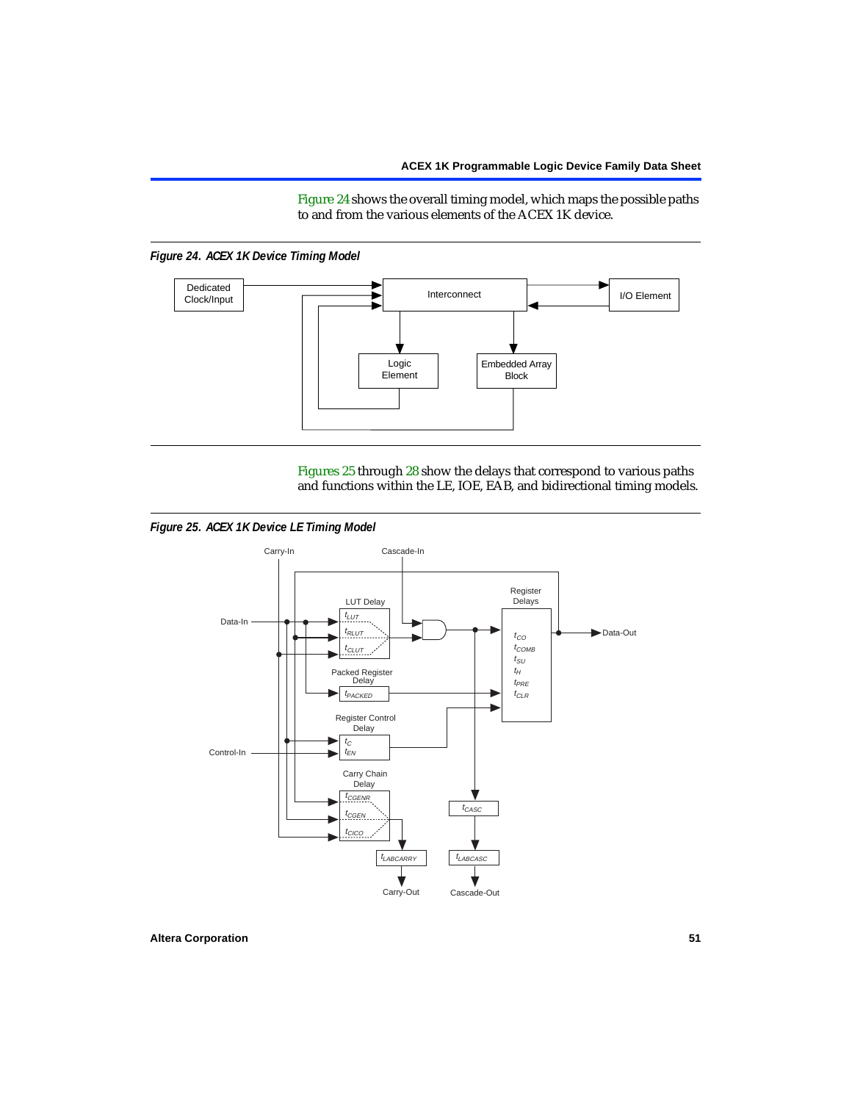[Figure 24](#page-50-0) shows the overall timing model, which maps the possible paths to and from the various elements of the ACEX 1K device.

<span id="page-50-0"></span>



[Figures 25](#page-50-1) through [28](#page-52-0) show the delays that correspond to various paths and functions within the LE, IOE, EAB, and bidirectional timing models.

<span id="page-50-1"></span>*Figure 25. ACEX 1K Device LE Timing Model*

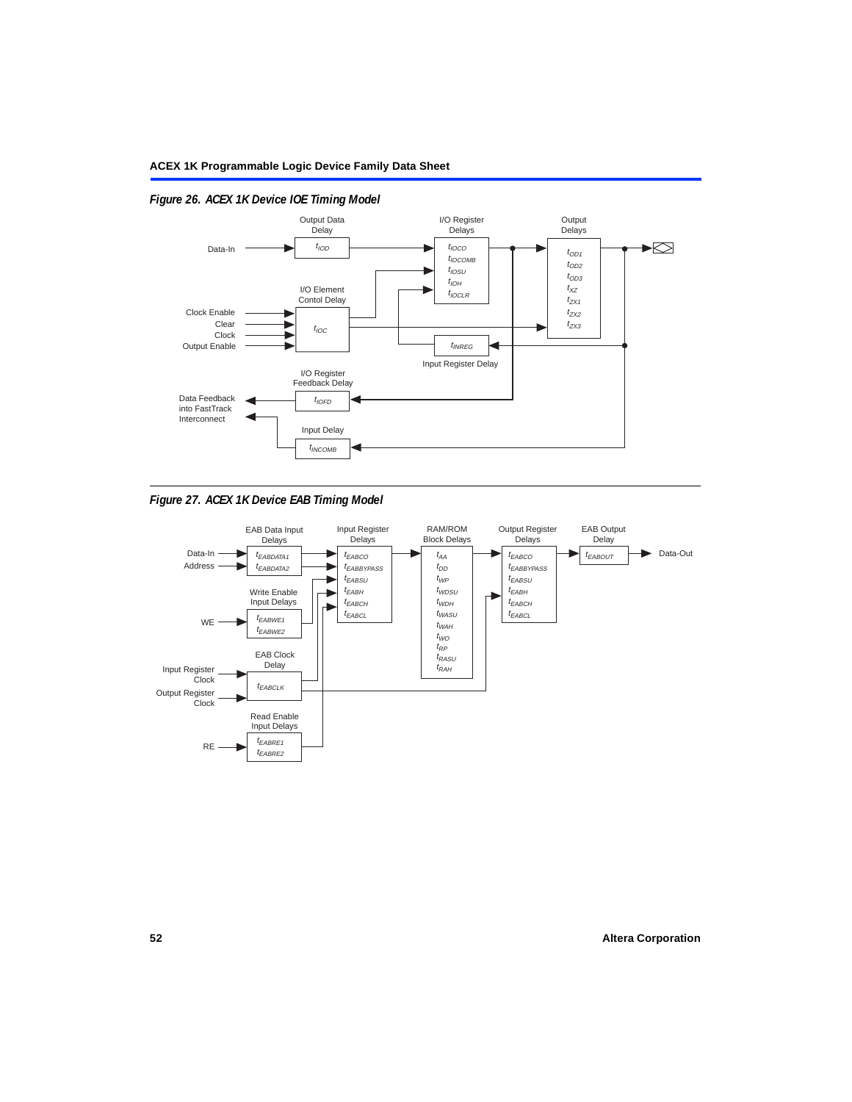

# *Figure 26. ACEX 1K Device IOE Timing Model*



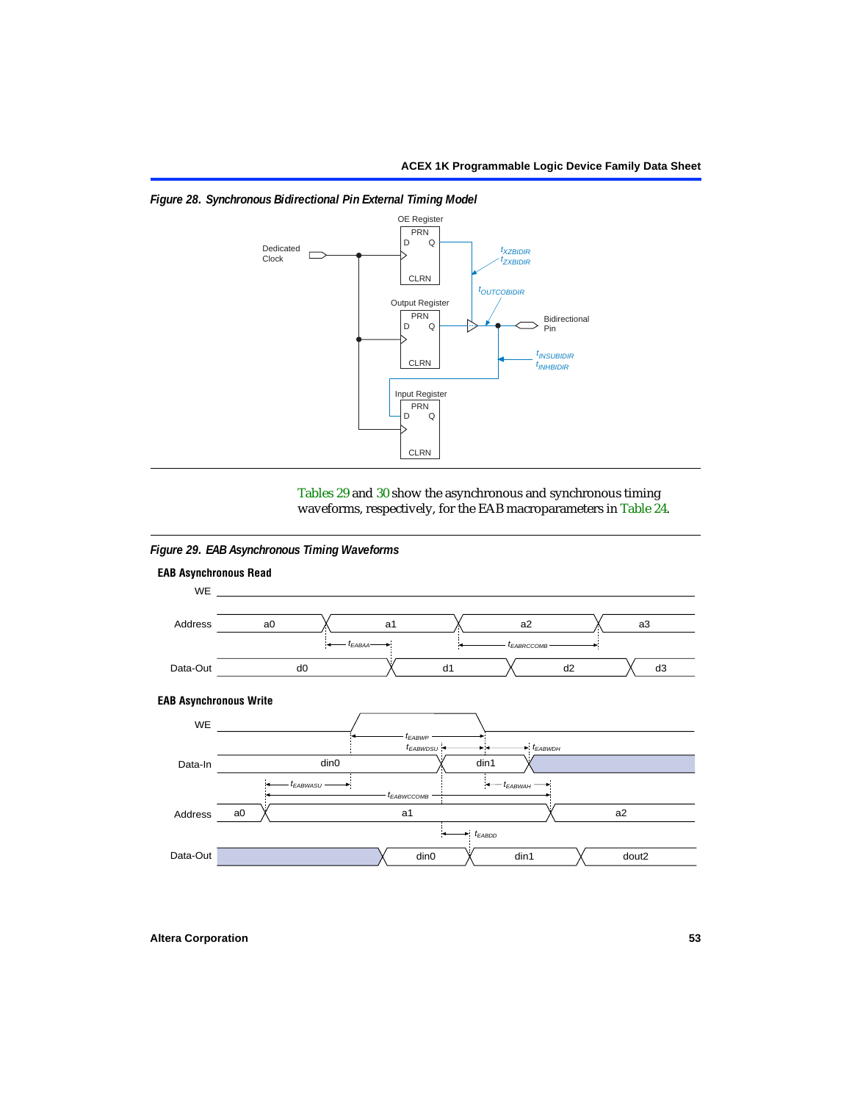

<span id="page-52-0"></span>*Figure 28. Synchronous Bidirectional Pin External Timing Model*

[Tables 29](#page-58-0) and [30](#page-59-0) show the asynchronous and synchronous timing waveforms, respectively, for the EAB macroparameters in [Table 24.](#page-55-0)

*Figure 29. EAB Asynchronous Timing Waveforms*

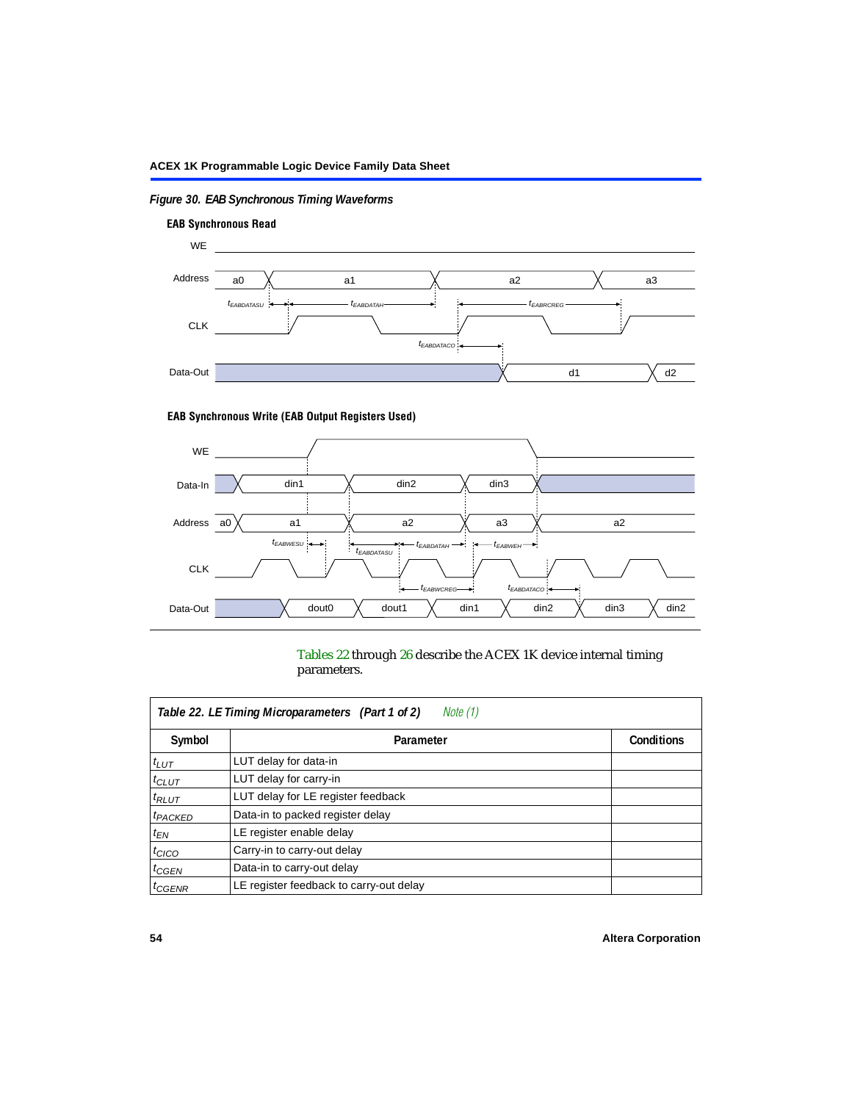# *Figure 30. EAB Synchronous Timing Waveforms*



## **EAB Synchronous Write (EAB Output Registers Used)**



[Tables 22](#page-53-0) through [26](#page-57-1) describe the ACEX 1K device internal timing parameters.

<span id="page-53-0"></span>

|                         | Note (1)<br>Table 22. LE Timing Microparameters (Part 1 of 2) |                   |
|-------------------------|---------------------------------------------------------------|-------------------|
| Symbol                  | Parameter                                                     | <b>Conditions</b> |
| $t_{LUT}$               | LUT delay for data-in                                         |                   |
| $t_{CLUT}$              | LUT delay for carry-in                                        |                   |
| $t_{RLUT}$              | LUT delay for LE register feedback                            |                   |
| <sup>t</sup> PACKED     | Data-in to packed register delay                              |                   |
| $t_{EN}$                | LE register enable delay                                      |                   |
| $t_{CICO}$              | Carry-in to carry-out delay                                   |                   |
| $t_{G\text{E}\text{N}}$ | Data-in to carry-out delay                                    |                   |
| ${}^t$ CGENR            | LE register feedback to carry-out delay                       |                   |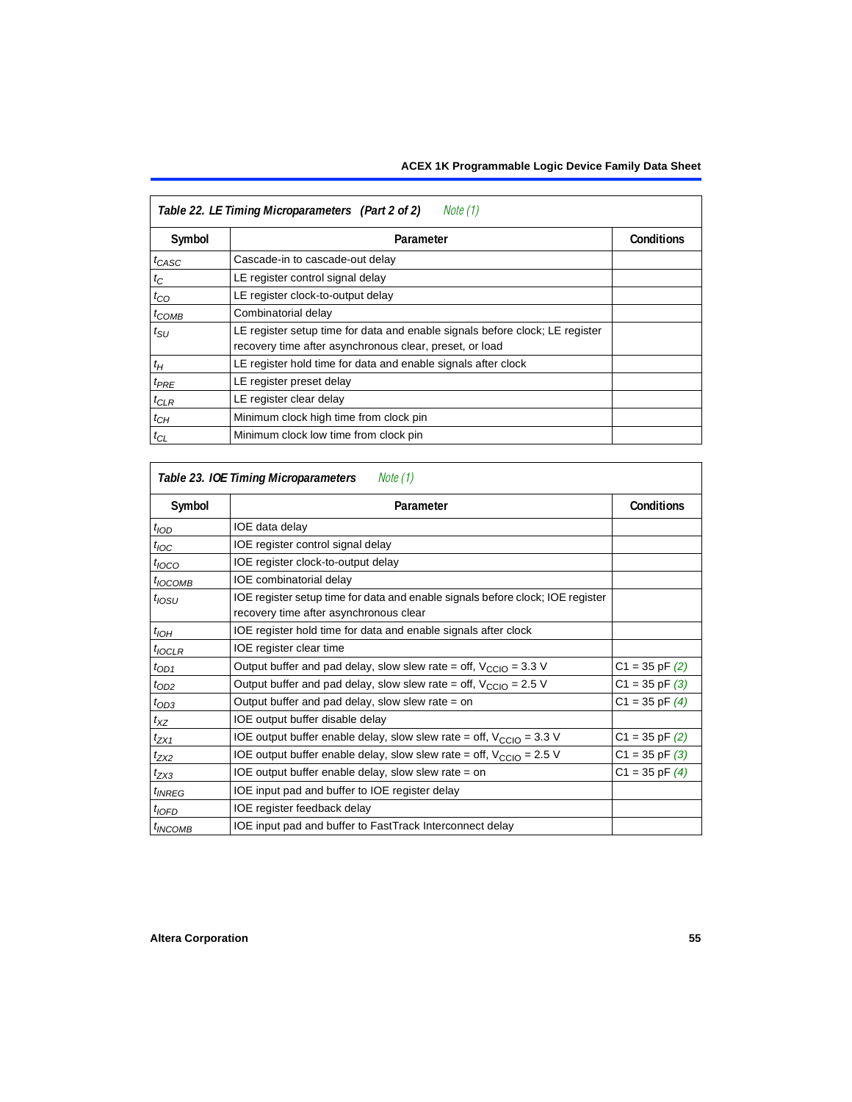|                   | Table 22. LE Timing Microparameters (Part 2 of 2)<br>Note (1)                                                                           |                   |
|-------------------|-----------------------------------------------------------------------------------------------------------------------------------------|-------------------|
| Symbol            | Parameter                                                                                                                               | <b>Conditions</b> |
| t <sub>CASC</sub> | Cascade-in to cascade-out delay                                                                                                         |                   |
| $t_C$             | LE register control signal delay                                                                                                        |                   |
| $t_{CO}$          | LE register clock-to-output delay                                                                                                       |                   |
| $t_{COMB}$        | Combinatorial delay                                                                                                                     |                   |
| $t_{\rm SU}$      | LE register setup time for data and enable signals before clock; LE register<br>recovery time after asynchronous clear, preset, or load |                   |
| $t_H$             | LE register hold time for data and enable signals after clock                                                                           |                   |
| $t_{PRE}$         | LE register preset delay                                                                                                                |                   |
| $t_{CLR}$         | LE register clear delay                                                                                                                 |                   |
| $t_{CH}$          | Minimum clock high time from clock pin                                                                                                  |                   |
| $t_{CL}$          | Minimum clock low time from clock pin                                                                                                   |                   |

|                     | Table 23. IOE Timing Microparameters<br>Note (1)                                                                         |                    |
|---------------------|--------------------------------------------------------------------------------------------------------------------------|--------------------|
| Symbol              | Parameter                                                                                                                | <b>Conditions</b>  |
| t <sub>IOD</sub>    | IOE data delay                                                                                                           |                    |
| $t_{\text{IOC}}$    | IOE register control signal delay                                                                                        |                    |
| $t_{\text{IOCO}}$   | IOE register clock-to-output delay                                                                                       |                    |
| $t_{\text{IOCOMB}}$ | IOE combinatorial delay                                                                                                  |                    |
| $t_{\text{OSU}}$    | IOE register setup time for data and enable signals before clock; IOE register<br>recovery time after asynchronous clear |                    |
| $t_{IOH}$           | IOE register hold time for data and enable signals after clock                                                           |                    |
| $t_{IOCLR}$         | IOE register clear time                                                                                                  |                    |
| $t_{OD1}$           | Output buffer and pad delay, slow slew rate = off, $V_{\text{CCIO}} = 3.3$ V                                             | $C1 = 35$ pF $(2)$ |
| $t_{OD2}$           | Output buffer and pad delay, slow slew rate = off, $V_{\text{CCIO}} = 2.5$ V                                             | $C1 = 35$ pF $(3)$ |
| $t_{OD3}$           | Output buffer and pad delay, slow slew rate $=$ on                                                                       | $C1 = 35$ pF $(4)$ |
| $t_{XZ}$            | IOE output buffer disable delay                                                                                          |                    |
| $t_{ZX1}$           | IOE output buffer enable delay, slow slew rate = off, $V_{\text{CCIO}} = 3.3$ V                                          | $C1 = 35$ pF $(2)$ |
| t <sub>ZX2</sub>    | IOE output buffer enable delay, slow slew rate = off, $V_{\text{CCIO}} = 2.5 V$                                          | $C1 = 35$ pF $(3)$ |
| $t_{ZX3}$           | IOE output buffer enable delay, slow slew rate $=$ on                                                                    | $C1 = 35$ pF $(4)$ |
| <i><b>UNREG</b></i> | IOE input pad and buffer to IOE register delay                                                                           |                    |
| $t_{IOFD}$          | IOE register feedback delay                                                                                              |                    |
| <sup>t</sup> INCOMB | IOE input pad and buffer to FastTrack Interconnect delay                                                                 |                    |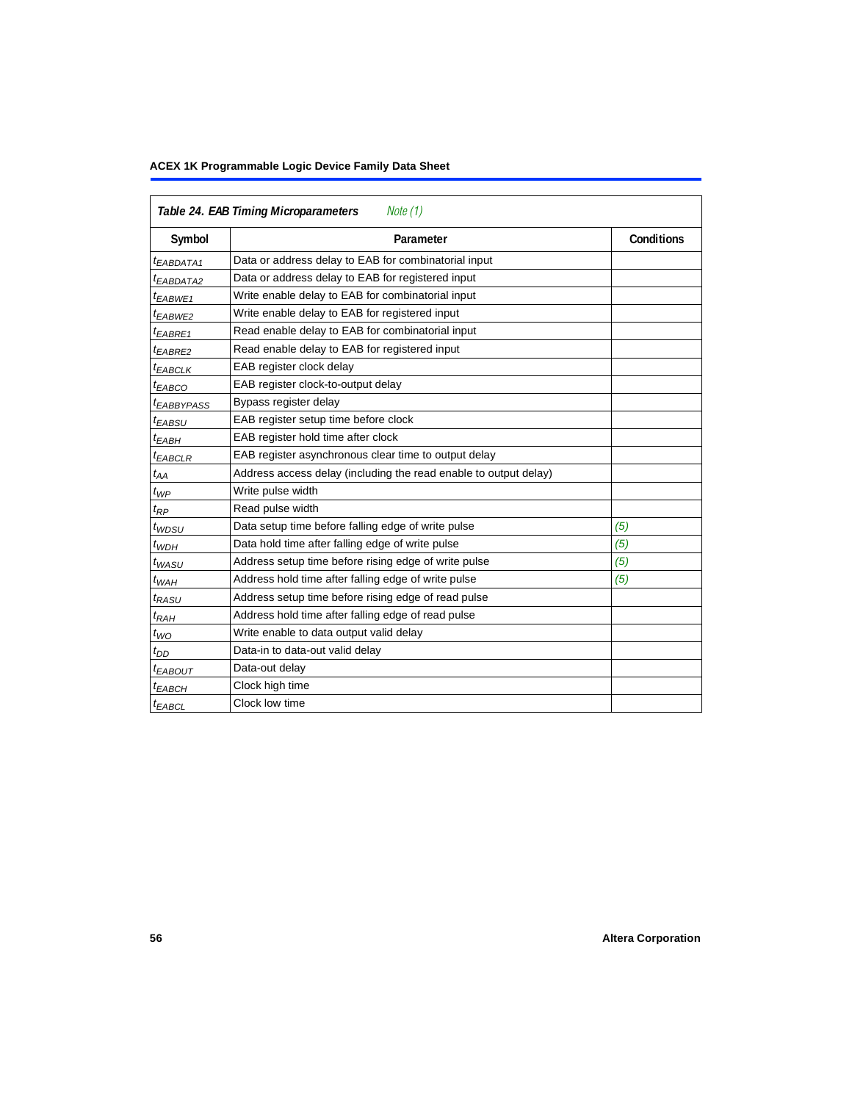<span id="page-55-0"></span>

|                        | Table 24. EAB Timing Microparameters<br>Note (1)                 |            |
|------------------------|------------------------------------------------------------------|------------|
| Symbol                 | Parameter                                                        | Conditions |
| <sup>t</sup> EABDATA1  | Data or address delay to EAB for combinatorial input             |            |
| <sup>t</sup> EABDATA2  | Data or address delay to EAB for registered input                |            |
| <sup>t</sup> EABWE1    | Write enable delay to EAB for combinatorial input                |            |
| <sup>t</sup> EABWE2    | Write enable delay to EAB for registered input                   |            |
| <sup>t</sup> EABRE1    | Read enable delay to EAB for combinatorial input                 |            |
| t <sub>EABRE2</sub>    | Read enable delay to EAB for registered input                    |            |
| ${}^t$ EABCLK          | EAB register clock delay                                         |            |
| <sup>t</sup> ЕАВСО     | EAB register clock-to-output delay                               |            |
| <sup>t</sup> EABBYPASS | Bypass register delay                                            |            |
| <sup>t</sup> EABSU     | EAB register setup time before clock                             |            |
| <sup>t</sup> EABH      | EAB register hold time after clock                               |            |
| ${}^t$ EABCLR          | EAB register asynchronous clear time to output delay             |            |
| $t_{AA}$               | Address access delay (including the read enable to output delay) |            |
| $t_{WP}$               | Write pulse width                                                |            |
| t <sub>RP</sub>        | Read pulse width                                                 |            |
| t <sub>WDSU</sub>      | Data setup time before falling edge of write pulse               | (5)        |
| $t_{WDH}$              | Data hold time after falling edge of write pulse                 | (5)        |
| $t_{WASU}$             | Address setup time before rising edge of write pulse             | (5)        |
| $t_{WAH}$              | Address hold time after falling edge of write pulse              | (5)        |
| t <sub>RASU</sub>      | Address setup time before rising edge of read pulse              |            |
| $t_{RAH}$              | Address hold time after falling edge of read pulse               |            |
| $t_{WO}$               | Write enable to data output valid delay                          |            |
| $t_{DD}$               | Data-in to data-out valid delay                                  |            |
| <sup>t</sup> EABOUT    | Data-out delay                                                   |            |
| <sup>t</sup> ЕАВСН     | Clock high time                                                  |            |
| $t_{EABCL}$            | Clock low time                                                   |            |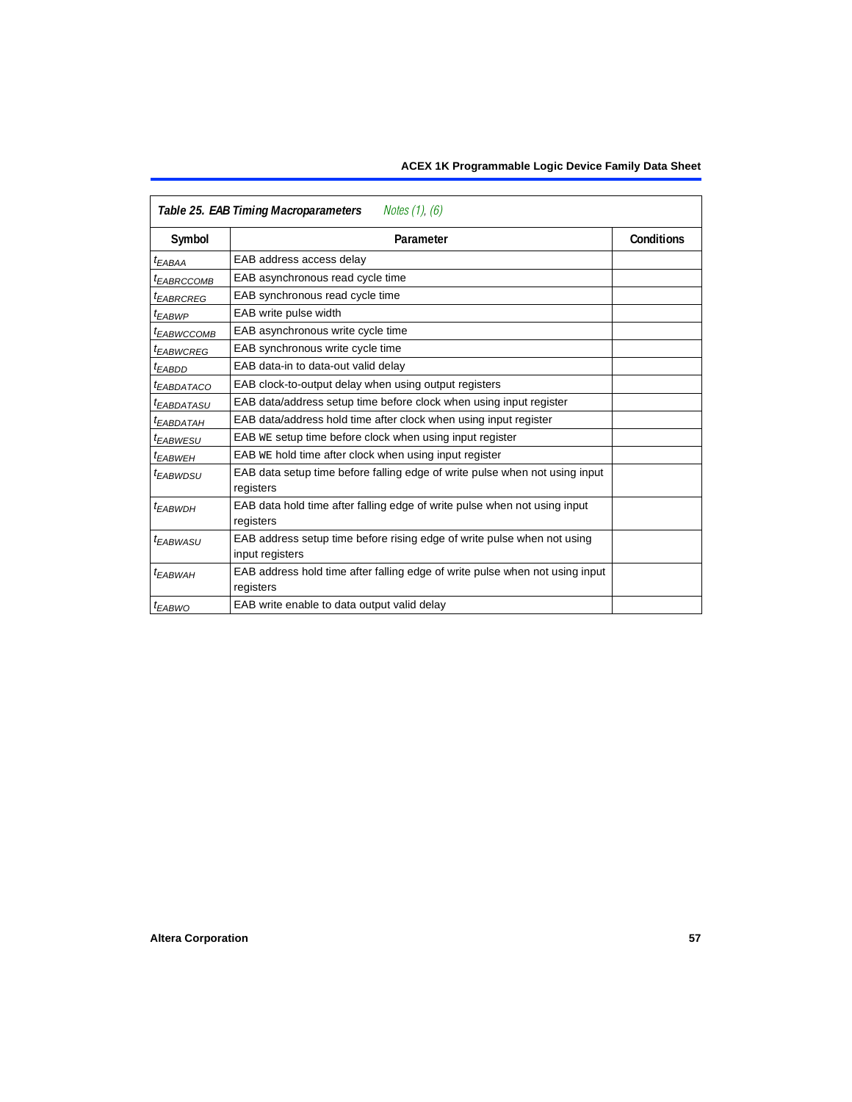|                        | Table 25. EAB Timing Macroparameters<br>Notes $(1)$ , $(6)$                                |                   |
|------------------------|--------------------------------------------------------------------------------------------|-------------------|
| Symbol                 | Parameter                                                                                  | <b>Conditions</b> |
| <sup>t</sup> EABAA     | EAB address access delay                                                                   |                   |
| <sup>t</sup> EABRCCOMB | EAB asynchronous read cycle time                                                           |                   |
| <sup>t</sup> EABRCREG  | EAB synchronous read cycle time                                                            |                   |
| t <sub>EABWP</sub>     | EAB write pulse width                                                                      |                   |
| <sup>t</sup> EABWCCOMB | EAB asynchronous write cycle time                                                          |                   |
| <sup>t</sup> EABWCREG  | EAB synchronous write cycle time                                                           |                   |
| <sup>t</sup> EABDD     | EAB data-in to data-out valid delay                                                        |                   |
| <sup>t</sup> EABDATACO | EAB clock-to-output delay when using output registers                                      |                   |
| <sup>t</sup> EABDATASU | EAB data/address setup time before clock when using input register                         |                   |
| <sup>T</sup> EABDATAH  | EAB data/address hold time after clock when using input register                           |                   |
| <sup>t</sup> EABWESU   | EAB WE setup time before clock when using input register                                   |                   |
| <sup>t</sup> EABWEH    | EAB WE hold time after clock when using input register                                     |                   |
| t <sub>EABWDSU</sub>   | EAB data setup time before falling edge of write pulse when not using input<br>registers   |                   |
| t <sub>EABWDH</sub>    | EAB data hold time after falling edge of write pulse when not using input<br>registers     |                   |
| t <sub>EABWASU</sub>   | EAB address setup time before rising edge of write pulse when not using<br>input registers |                   |
| <sup>t</sup> EABWAH    | EAB address hold time after falling edge of write pulse when not using input<br>registers  |                   |
| t <sub>EABWO</sub>     | EAB write enable to data output valid delay                                                |                   |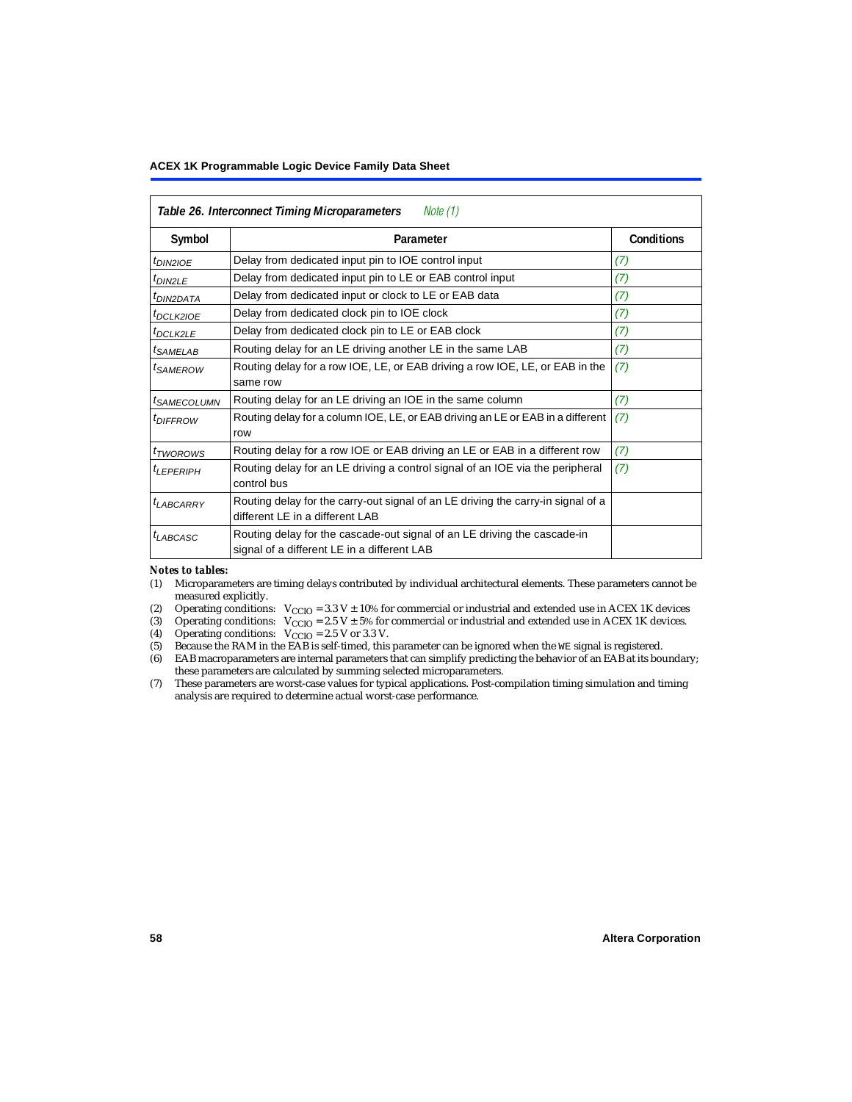<span id="page-57-1"></span>

|                             | Table 26. Interconnect Timing Microparameters<br>Note $(1)$                                                             |     |  |  |  |
|-----------------------------|-------------------------------------------------------------------------------------------------------------------------|-----|--|--|--|
| Symbol                      | Parameter                                                                                                               |     |  |  |  |
| $t_{DINZIOE}$               | Delay from dedicated input pin to IOE control input                                                                     | (7) |  |  |  |
| $t_{DIN2LE}$                | Delay from dedicated input pin to LE or EAB control input                                                               | (7) |  |  |  |
| <sup>t</sup> DIN2DATA       | Delay from dedicated input or clock to LE or EAB data                                                                   | (7) |  |  |  |
| $t_{DCLK2IOE}$              | Delay from dedicated clock pin to IOE clock                                                                             | (7) |  |  |  |
| $t_{DCLK2LE}$               | Delay from dedicated clock pin to LE or EAB clock                                                                       | (7) |  |  |  |
| <sup>t</sup> SAMELAB        | Routing delay for an LE driving another LE in the same LAB                                                              | (7) |  |  |  |
| <sup>t</sup> SAMEROW        | Routing delay for a row IOE, LE, or EAB driving a row IOE, LE, or EAB in the<br>same row                                | (7) |  |  |  |
| <sup>t</sup> SAMECOLUMN     | Routing delay for an LE driving an IOE in the same column                                                               | (7) |  |  |  |
| <i>t<sub>DIFFROW</sub></i>  | Routing delay for a column IOE, LE, or EAB driving an LE or EAB in a different<br>row                                   | (7) |  |  |  |
| <i>t</i> <sub>TWOROWS</sub> | Routing delay for a row IOE or EAB driving an LE or EAB in a different row                                              | (7) |  |  |  |
| <sup>t</sup> LEPERIPH       | Routing delay for an LE driving a control signal of an IOE via the peripheral<br>control bus                            | (7) |  |  |  |
| $t_{LABCARRY}$              | Routing delay for the carry-out signal of an LE driving the carry-in signal of a<br>different LE in a different LAB     |     |  |  |  |
| $t_{LABCASC}$               | Routing delay for the cascade-out signal of an LE driving the cascade-in<br>signal of a different LE in a different LAB |     |  |  |  |

#### *Notes to tables:*

- <span id="page-57-0"></span>(1) Microparameters are timing delays contributed by individual architectural elements. These parameters cannot be measured explicitly.
- <span id="page-57-2"></span>(2) Operating conditions:  $V_{\text{CCIO}} = 3.3 V \pm 10\%$  for commercial or industrial and extended use in ACEX 1K devices (3) Operating conditions:  $V_{\text{CCIO}} = 2.5 V \pm 5\%$  for commercial or industrial and extended use in ACEX 1K
- <span id="page-57-3"></span>(3) Operating conditions:  $V_{CCIO} = 2.5 V \pm 5\%$  for commercial or industrial and extended use in ACEX 1K devices.<br>(4) Operating conditions:  $V_{CCIO} = 2.5 V$  or 3.3 V.
- <span id="page-57-4"></span>(4) Operating conditions:  $V_{\text{CCIO}} = 2.5 \text{ V or } 3.3 \text{ V.}$ <br>(5) Because the RAM in the EAB is self-timed, this
- <span id="page-57-5"></span>Because the RAM in the EAB is self-timed, this parameter can be ignored when the WE signal is registered.
- <span id="page-57-6"></span>(6) EAB macroparameters are internal parameters that can simplify predicting the behavior of an EAB at its boundary; these parameters are calculated by summing selected microparameters.
- <span id="page-57-7"></span>(7) These parameters are worst-case values for typical applications. Post-compilation timing simulation and timing analysis are required to determine actual worst-case performance.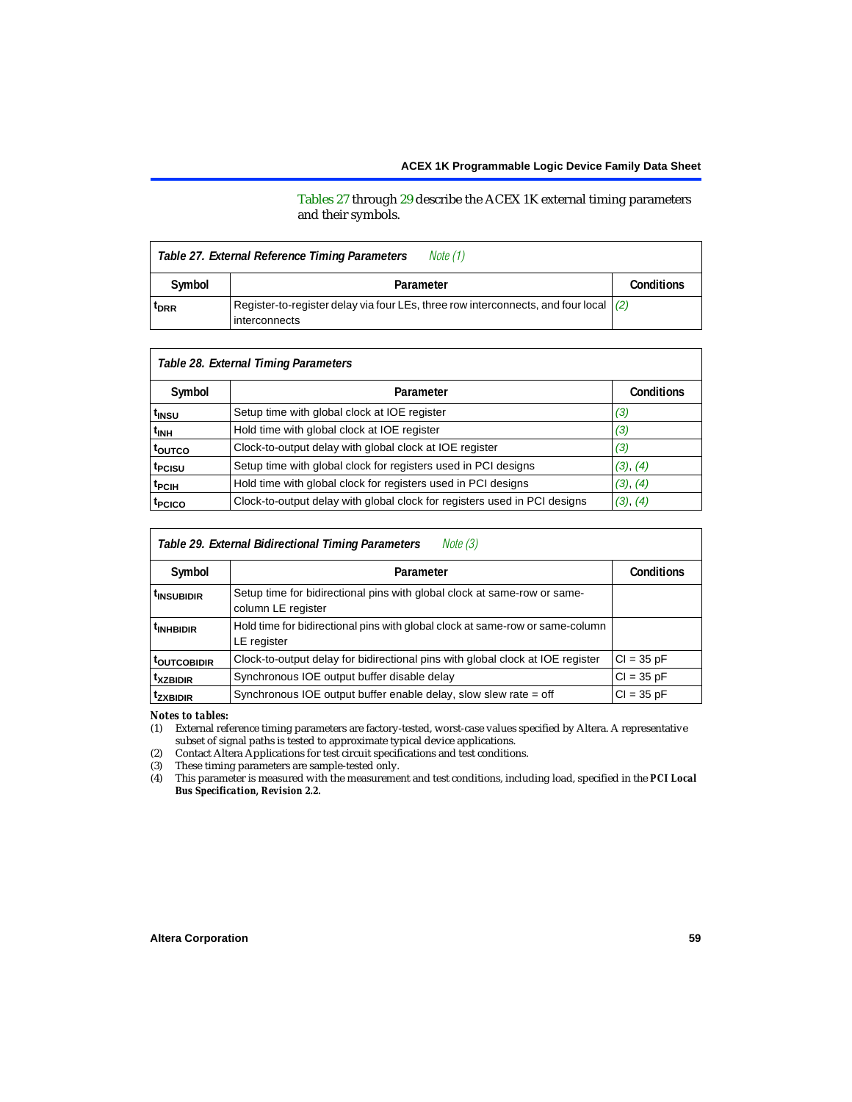[Tables 27](#page-58-5) through [29](#page-58-0) describe the ACEX 1K external timing parameters and their symbols.

<span id="page-58-5"></span>

|                  | Note (1)<br>Table 27. External Reference Timing Parameters                                              |                   |
|------------------|---------------------------------------------------------------------------------------------------------|-------------------|
| Symbol           | Parameter                                                                                               | <b>Conditions</b> |
| t <sub>DRR</sub> | Register-to-register delay via four LEs, three row interconnects, and four local $(2)$<br>interconnects |                   |

|                    | Table 28. External Timing Parameters                                      |                   |
|--------------------|---------------------------------------------------------------------------|-------------------|
| Symbol             | Parameter                                                                 | <b>Conditions</b> |
| t <sub>insu</sub>  | Setup time with global clock at IOE register                              | (3)               |
| t <sub>INH</sub>   | Hold time with global clock at IOE register                               | (3)               |
| toutco             | Clock-to-output delay with global clock at IOE register                   | (3)               |
| t <sub>PCISU</sub> | Setup time with global clock for registers used in PCI designs            | (3), (4)          |
| <sup>t</sup> PCIH  | Hold time with global clock for registers used in PCI designs             | (3), (4)          |
| t <sub>PCICO</sub> | Clock-to-output delay with global clock for registers used in PCI designs | (3), (4)          |

<span id="page-58-0"></span>

|                           | Table 29. External Bidirectional Timing Parameters<br>Note (3)                                 |                   |
|---------------------------|------------------------------------------------------------------------------------------------|-------------------|
| Symbol                    | Parameter                                                                                      | <b>Conditions</b> |
| <sup>t</sup> insubidir    | Setup time for bidirectional pins with global clock at same-row or same-<br>column LE register |                   |
| <sup>t</sup> INHBIDIR     | Hold time for bidirectional pins with global clock at same-row or same-column<br>LE register   |                   |
| <b><i>LOUTCOBIDIR</i></b> | Clock-to-output delay for bidirectional pins with global clock at IOE register                 | $CI = 35 pF$      |
| <sup>t</sup> xzbidir      | Synchronous IOE output buffer disable delay                                                    | $CI = 35 pF$      |
| <sup>t</sup> zxbidir      | Synchronous IOE output buffer enable delay, slow slew rate = off                               | $CI = 35 pF$      |

*Notes to tables:*

<span id="page-58-1"></span>(1) External reference timing parameters are factory-tested, worst-case values specified by Altera. A representative subset of signal paths is tested to approximate typical device applications.

<span id="page-58-2"></span>(2) Contact Altera Applications for test circuit specifications and test conditions.

<span id="page-58-4"></span>(3) These timing parameters are sample-tested only.

<span id="page-58-3"></span>(4) This parameter is measured with the measurement and test conditions, including load, specified in the *PCI Local Bus Specification, Revision 2.2.*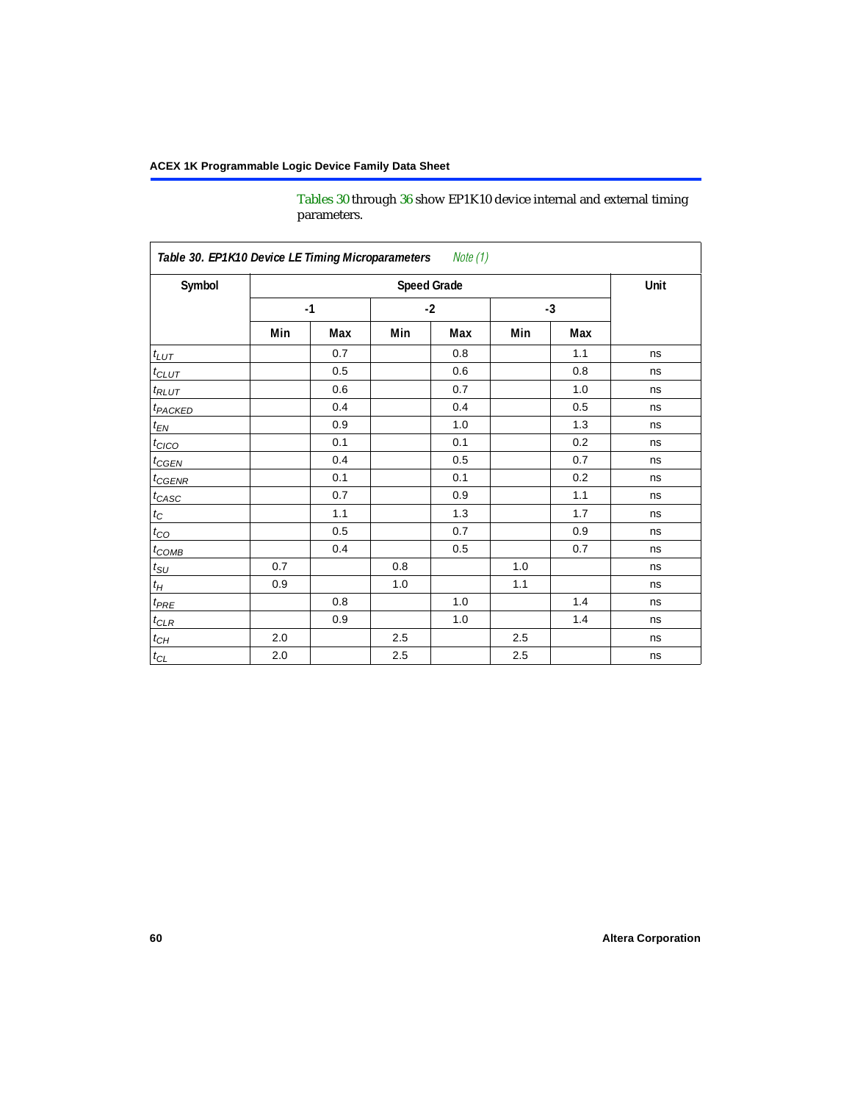[Tables 30](#page-59-0) through [36](#page-64-1) show EP1K10 device internal and external timing parameters.

<span id="page-59-0"></span>

| Symbol                     | <b>Speed Grade</b> |     |      |     |      |     | Unit |
|----------------------------|--------------------|-----|------|-----|------|-----|------|
|                            | $-1$               |     | $-2$ |     | $-3$ |     |      |
|                            | Min                | Max | Min  | Max | Min  | Max |      |
| $t_{LUT}$                  |                    | 0.7 |      | 0.8 |      | 1.1 | ns   |
| $t_{CLUT}$                 |                    | 0.5 |      | 0.6 |      | 0.8 | ns   |
| $t_{RLUT}$                 |                    | 0.6 |      | 0.7 |      | 1.0 | ns   |
| <b>t</b> <sub>PACKED</sub> |                    | 0.4 |      | 0.4 |      | 0.5 | ns   |
| $t_{EN}$                   |                    | 0.9 |      | 1.0 |      | 1.3 | ns   |
| $t_{CICO}$                 |                    | 0.1 |      | 0.1 |      | 0.2 | ns   |
| $t_{\text{CGEN}}$          |                    | 0.4 |      | 0.5 |      | 0.7 | ns   |
| $t_{GENR}$                 |                    | 0.1 |      | 0.1 |      | 0.2 | ns   |
| $t_{CASC}$                 |                    | 0.7 |      | 0.9 |      | 1.1 | ns   |
| $t_C$                      |                    | 1.1 |      | 1.3 |      | 1.7 | ns   |
| $t_{CO}$                   |                    | 0.5 |      | 0.7 |      | 0.9 | ns   |
| $t_{COMB}$                 |                    | 0.4 |      | 0.5 |      | 0.7 | ns   |
| $t_{\rm SU}$               | 0.7                |     | 0.8  |     | 1.0  |     | ns   |
| $t_H\,$                    | 0.9                |     | 1.0  |     | 1.1  |     | ns   |
| $t_{PRE}$                  |                    | 0.8 |      | 1.0 |      | 1.4 | ns   |
| $t_{CLR}$                  |                    | 0.9 |      | 1.0 |      | 1.4 | ns   |
| $t_{CH}$                   | 2.0                |     | 2.5  |     | 2.5  |     | ns   |
| $t_{\rm CL}$               | 2.0                |     | 2.5  |     | 2.5  |     | ns   |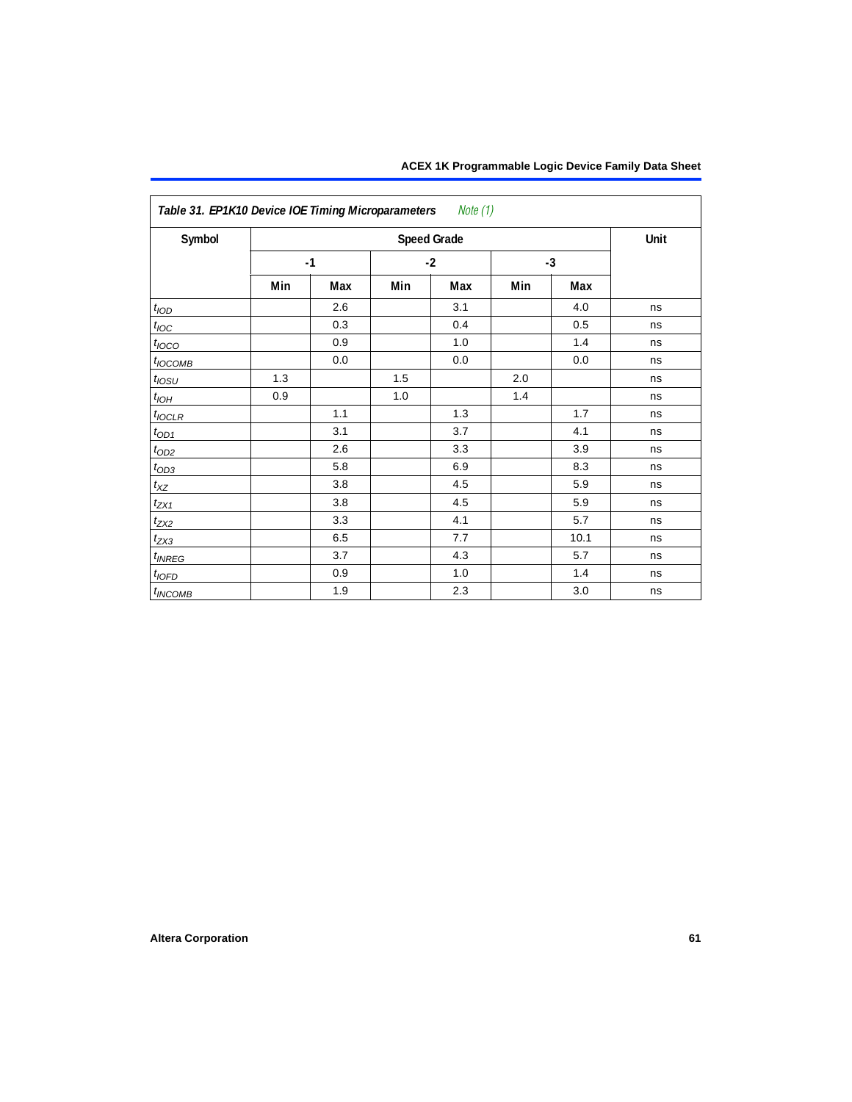| ACEX 1K Programmable Logic Device Family Data Sheet |  |  |  |
|-----------------------------------------------------|--|--|--|
|-----------------------------------------------------|--|--|--|

| Symbol                |     |      |      | <b>Speed Grade</b> |      |      | Unit |
|-----------------------|-----|------|------|--------------------|------|------|------|
|                       |     | $-1$ | $-2$ |                    | $-3$ |      |      |
|                       | Min | Max  | Min  | Max                | Min  | Max  |      |
| t <sub>IOD</sub>      |     | 2.6  |      | 3.1                |      | 4.0  | ns   |
| $t_{\text{IOC}}$      |     | 0.3  |      | 0.4                |      | 0.5  | ns   |
| $t_{IOCO}$            |     | 0.9  |      | 1.0                |      | 1.4  | ns   |
| $t_{IOCOMB}$          |     | 0.0  |      | 0.0                |      | 0.0  | ns   |
| $t_{IOSU}$            | 1.3 |      | 1.5  |                    | 2.0  |      | ns   |
| $t_{I\underline{OH}}$ | 0.9 |      | 1.0  |                    | 1.4  |      | ns   |
| $t_{\text{IOCLR}}$    |     | 1.1  |      | 1.3                |      | 1.7  | ns   |
| $t_{OD1}$             |     | 3.1  |      | 3.7                |      | 4.1  | ns   |
| $t_{\text{OD2}}$      |     | 2.6  |      | 3.3                |      | 3.9  | ns   |
| $t_{OD3}$             |     | 5.8  |      | 6.9                |      | 8.3  | ns   |
| $t_{XZ}$              |     | 3.8  |      | 4.5                |      | 5.9  | ns   |
| $t_{ZX1}$             |     | 3.8  |      | 4.5                |      | 5.9  | ns   |
| $t_{ZX2}$             |     | 3.3  |      | 4.1                |      | 5.7  | ns   |
| $t_{ZX3}$             |     | 6.5  |      | 7.7                |      | 10.1 | ns   |
| $t_{INREG}$           |     | 3.7  |      | 4.3                |      | 5.7  | ns   |
| $t_{IOFD}$            |     | 0.9  |      | 1.0                |      | 1.4  | ns   |
| $t_{INCOMB}$          |     | 1.9  |      | 2.3                |      | 3.0  | ns   |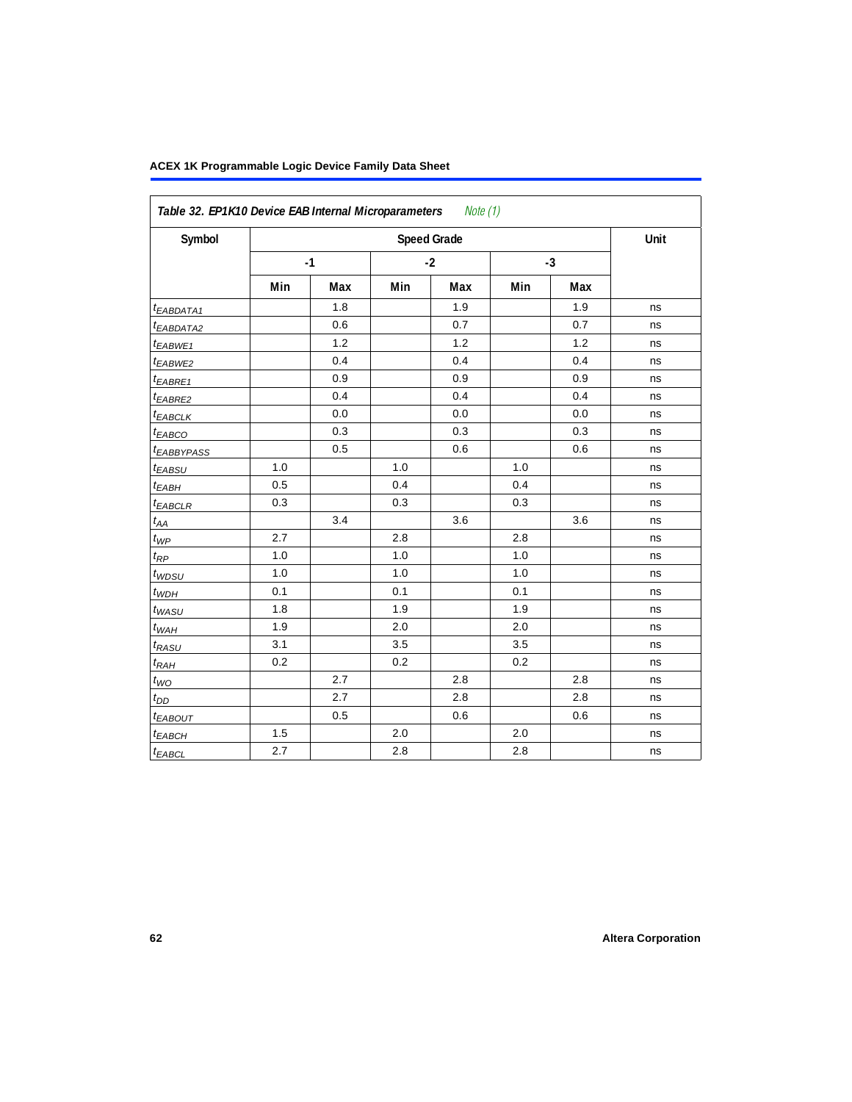| Symbol                 |     | <b>Speed Grade</b> |      |     |      |     |    |  |  |  |
|------------------------|-----|--------------------|------|-----|------|-----|----|--|--|--|
|                        |     | $-1$               | $-2$ |     | $-3$ |     |    |  |  |  |
|                        | Min | Max                | Min  | Max | Min  | Max |    |  |  |  |
| t <sub>EABDATA1</sub>  |     | 1.8                |      | 1.9 |      | 1.9 | ns |  |  |  |
| $t_{EABDATA2}$         |     | 0.6                |      | 0.7 |      | 0.7 | ns |  |  |  |
| t <sub>EABWE1</sub>    |     | $1.2$              |      | 1.2 |      | 1.2 | ns |  |  |  |
| t <sub>EABWE2</sub>    |     | 0.4                |      | 0.4 |      | 0.4 | ns |  |  |  |
| $t_{EABRE1}$           |     | 0.9                |      | 0.9 |      | 0.9 | ns |  |  |  |
| t <sub>EABRE2</sub>    |     | 0.4                |      | 0.4 |      | 0.4 | ns |  |  |  |
| $t_{EABCLK}$           |     | 0.0                |      | 0.0 |      | 0.0 | ns |  |  |  |
| t <sub>EABCO</sub>     |     | 0.3                |      | 0.3 |      | 0.3 | ns |  |  |  |
| <sup>t</sup> EABBYPASS |     | 0.5                |      | 0.6 |      | 0.6 | ns |  |  |  |
| $t_{EABSU}$            | 1.0 |                    | 1.0  |     | 1.0  |     | ns |  |  |  |
| $t_{EABH}$             | 0.5 |                    | 0.4  |     | 0.4  |     | ns |  |  |  |
| $t_{EABCLR}$           | 0.3 |                    | 0.3  |     | 0.3  |     | ns |  |  |  |
| $t_{AA}$               |     | 3.4                |      | 3.6 |      | 3.6 | ns |  |  |  |
| $t_{\mathit{WP}}$      | 2.7 |                    | 2.8  |     | 2.8  |     | ns |  |  |  |
| $t_{\mathit{RP}}$      | 1.0 |                    | 1.0  |     | 1.0  |     | ns |  |  |  |
| $t_{WDSU}$             | 1.0 |                    | 1.0  |     | 1.0  |     | ns |  |  |  |
| $t_{WDH}$              | 0.1 |                    | 0.1  |     | 0.1  |     | ns |  |  |  |
| $t_{WASU}$             | 1.8 |                    | 1.9  |     | 1.9  |     | ns |  |  |  |
| $t_{WAH}$              | 1.9 |                    | 2.0  |     | 2.0  |     | ns |  |  |  |
| $t_{RASU}$             | 3.1 |                    | 3.5  |     | 3.5  |     | ns |  |  |  |
| $t_{RAH}$              | 0.2 |                    | 0.2  |     | 0.2  |     | ns |  |  |  |
| $t_{\textit{WO}}$      |     | 2.7                |      | 2.8 |      | 2.8 | ns |  |  |  |
| $t_{DD}$               |     | 2.7                |      | 2.8 |      | 2.8 | ns |  |  |  |
| t <sub>EABOUT</sub>    |     | 0.5                |      | 0.6 |      | 0.6 | ns |  |  |  |
| $t_{EABCH}$            | 1.5 |                    | 2.0  |     | 2.0  |     | ns |  |  |  |
| $t_{EABCL}$            | 2.7 |                    | 2.8  |     | 2.8  |     | ns |  |  |  |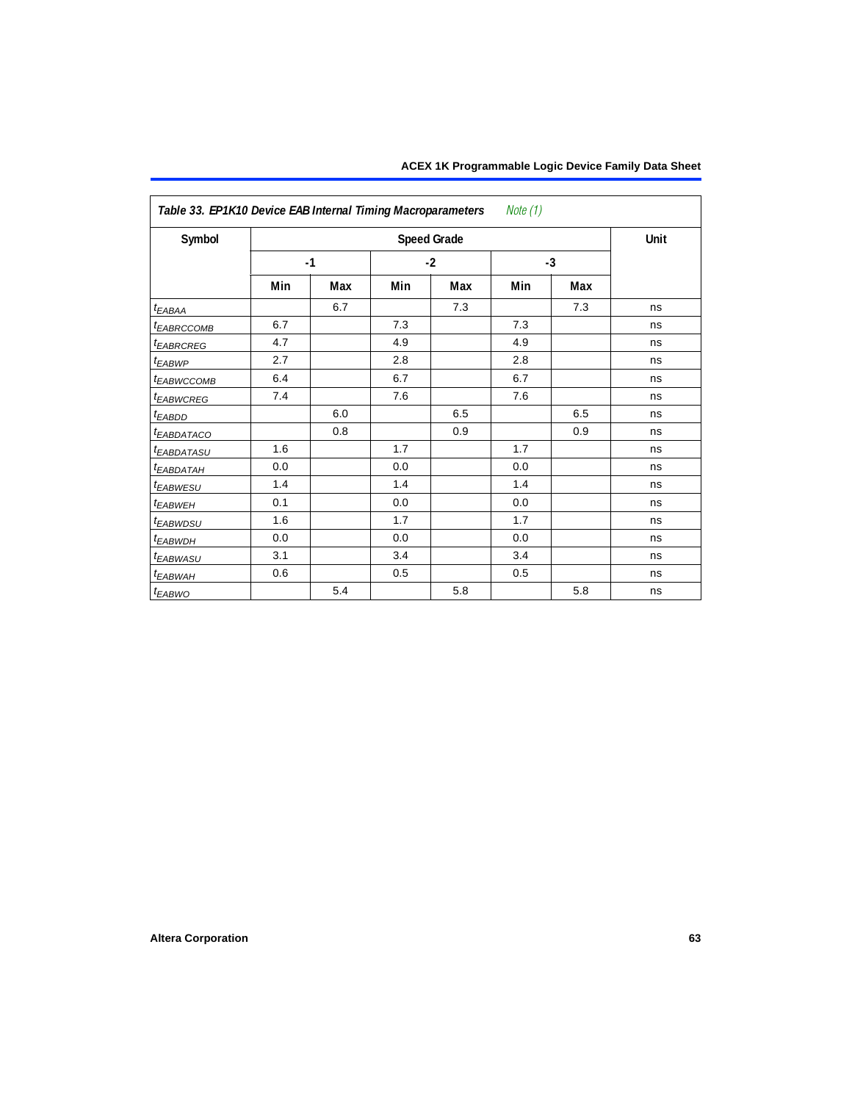| Table 33. EP1K10 Device EAB Internal Timing Macroparameters<br>Note (1) |     |      |     |                    |     |      |      |  |
|-------------------------------------------------------------------------|-----|------|-----|--------------------|-----|------|------|--|
| Symbol                                                                  |     |      |     | <b>Speed Grade</b> |     |      | Unit |  |
|                                                                         |     | $-1$ |     | $-2$               |     | $-3$ |      |  |
|                                                                         | Min | Max  | Min | Max                | Min | Max  |      |  |
| $t_{EABA}$                                                              |     | 6.7  |     | 7.3                |     | 7.3  | ns   |  |
| <b><i>EABRCCOMB</i></b>                                                 | 6.7 |      | 7.3 |                    | 7.3 |      | ns   |  |
| <b><i>EABRCREG</i></b>                                                  | 4.7 |      | 4.9 |                    | 4.9 |      | ns   |  |
| <sup>t</sup> EABWP                                                      | 2.7 |      | 2.8 |                    | 2.8 |      | ns   |  |
| <sup>t</sup> EABWCCOMB                                                  | 6.4 |      | 6.7 |                    | 6.7 |      | ns   |  |
| <sup>t</sup> EABWCREG                                                   | 7.4 |      | 7.6 |                    | 7.6 |      | ns   |  |
| $t_{EABDD}$                                                             |     | 6.0  |     | 6.5                |     | 6.5  | ns   |  |
| <b><i>EABDATACO</i></b>                                                 |     | 0.8  |     | 0.9                |     | 0.9  | ns   |  |
| t <sub>EABDATASU</sub>                                                  | 1.6 |      | 1.7 |                    | 1.7 |      | ns   |  |
| <sup>t</sup> EABDATAH                                                   | 0.0 |      | 0.0 |                    | 0.0 |      | ns   |  |
| t <sub>EABWESU</sub>                                                    | 1.4 |      | 1.4 |                    | 1.4 |      | ns   |  |
| t <sub>EABWEH</sub>                                                     | 0.1 |      | 0.0 |                    | 0.0 |      | ns   |  |
| <sup>t</sup> EABWDSU                                                    | 1.6 |      | 1.7 |                    | 1.7 |      | ns   |  |
| <sup>t</sup> EABWDH                                                     | 0.0 |      | 0.0 |                    | 0.0 |      | ns   |  |
| <sup>t</sup> EABWASU                                                    | 3.1 |      | 3.4 |                    | 3.4 |      | ns   |  |
| <sup>t</sup> EABWAH                                                     | 0.6 |      | 0.5 |                    | 0.5 |      | ns   |  |
| t <sub>EABWO</sub>                                                      |     | 5.4  |     | 5.8                |     | 5.8  | ns   |  |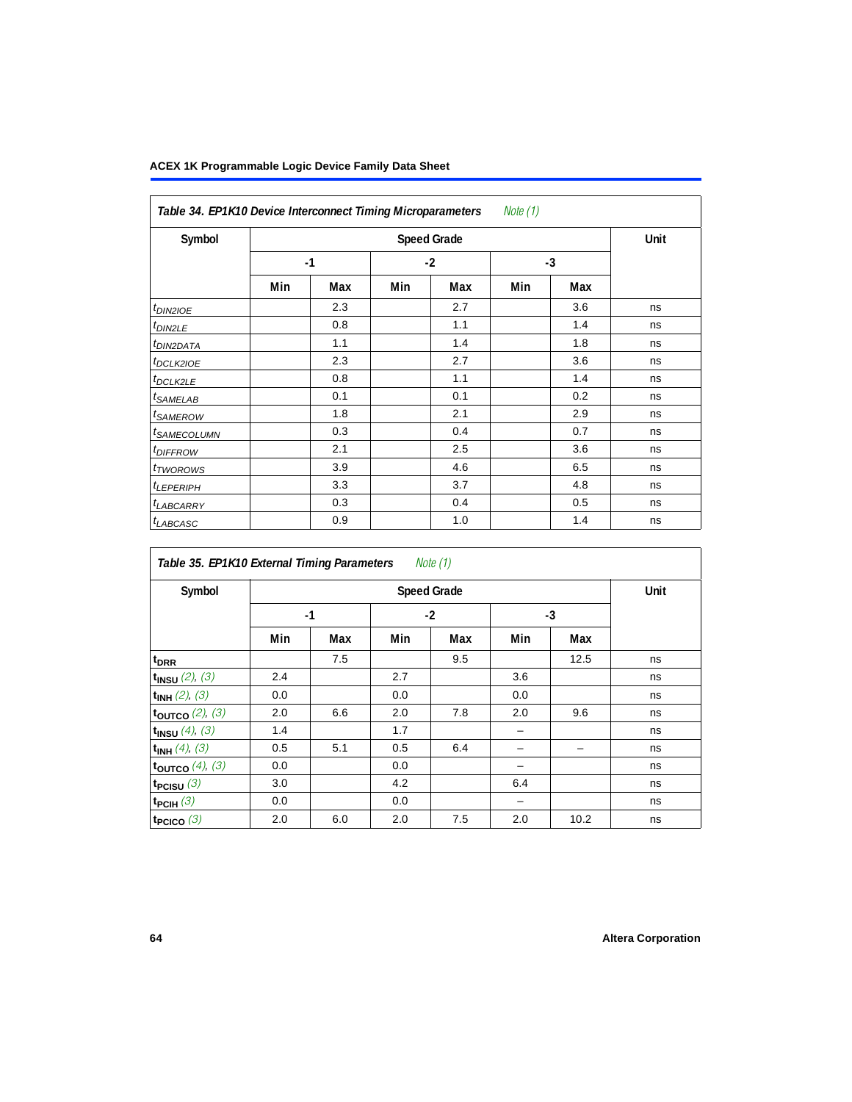| Table 34. EP1K10 Device Interconnect Timing Microparameters<br><i>Note</i> $(1)$ |     |      |     |                    |     |      |      |  |  |
|----------------------------------------------------------------------------------|-----|------|-----|--------------------|-----|------|------|--|--|
| Symbol                                                                           |     |      |     | <b>Speed Grade</b> |     |      | Unit |  |  |
|                                                                                  |     | $-1$ |     | $-2$               |     | $-3$ |      |  |  |
|                                                                                  | Min | Max  | Min | Max                | Min | Max  |      |  |  |
| $t_{DINZIOE}$                                                                    |     | 2.3  |     | 2.7                |     | 3.6  | ns   |  |  |
| $t_{DIN2LE}$                                                                     |     | 0.8  |     | 1.1                |     | 1.4  | ns   |  |  |
| <sup>t</sup> DIN2DATA                                                            |     | 1.1  |     | 1.4                |     | 1.8  | ns   |  |  |
| <sup>t</sup> DCLK2IOE                                                            |     | 2.3  |     | 2.7                |     | 3.6  | ns   |  |  |
| <sup>t</sup> DCLK2LE                                                             |     | 0.8  |     | 1.1                |     | 1.4  | ns   |  |  |
| <sup>t</sup> SAMELAB                                                             |     | 0.1  |     | 0.1                |     | 0.2  | ns   |  |  |
| <sup>t</sup> SAMEROW                                                             |     | 1.8  |     | 2.1                |     | 2.9  | ns   |  |  |
| <sup>t</sup> SAMECOLUMN                                                          |     | 0.3  |     | 0.4                |     | 0.7  | ns   |  |  |
| <sup>t</sup> DIFFROW                                                             |     | 2.1  |     | 2.5                |     | 3.6  | ns   |  |  |
| <sup>t</sup> TWOROWS                                                             |     | 3.9  |     | 4.6                |     | 6.5  | ns   |  |  |
| <sup>t</sup> LEPERIPH                                                            |     | 3.3  |     | 3.7                |     | 4.8  | ns   |  |  |
| <sup>t</sup> LABCARRY                                                            |     | 0.3  |     | 0.4                |     | 0.5  | ns   |  |  |
| <sup>t</sup> LABCASC                                                             |     | 0.9  |     | 1.0                |     | 1.4  | ns   |  |  |

| Symbol               |     | <b>Speed Grade</b> |     |      |      |      |    |  |  |  |
|----------------------|-----|--------------------|-----|------|------|------|----|--|--|--|
|                      |     | $-1$               |     | $-2$ | $-3$ |      |    |  |  |  |
|                      | Min | Max                | Min | Max  | Min  | Max  |    |  |  |  |
| t <sub>DRR</sub>     |     | 7.5                |     | 9.5  |      | 12.5 | ns |  |  |  |
| $t_{INSU}$ (2), (3)  | 2.4 |                    | 2.7 |      | 3.6  |      | ns |  |  |  |
| $t_{INH}$ (2), (3)   | 0.0 |                    | 0.0 |      | 0.0  |      | ns |  |  |  |
| toutco $(2)$ , $(3)$ | 2.0 | 6.6                | 2.0 | 7.8  | 2.0  | 9.6  | ns |  |  |  |
| $t_{INSU}$ (4), (3)  | 1.4 |                    | 1.7 |      | -    |      | ns |  |  |  |
| $t_{INH}$ (4), (3)   | 0.5 | 5.1                | 0.5 | 6.4  |      |      | ns |  |  |  |
| toutco $(4)$ , $(3)$ | 0.0 |                    | 0.0 |      |      |      | ns |  |  |  |
| $t_{PCISU}$ (3)      | 3.0 |                    | 4.2 |      | 6.4  |      | ns |  |  |  |
| $t_{PCH}(3)$         | 0.0 |                    | 0.0 |      | -    |      | ns |  |  |  |
| $t_{PCICO}$ (3)      | 2.0 | 6.0                | 2.0 | 7.5  | 2.0  | 10.2 | ns |  |  |  |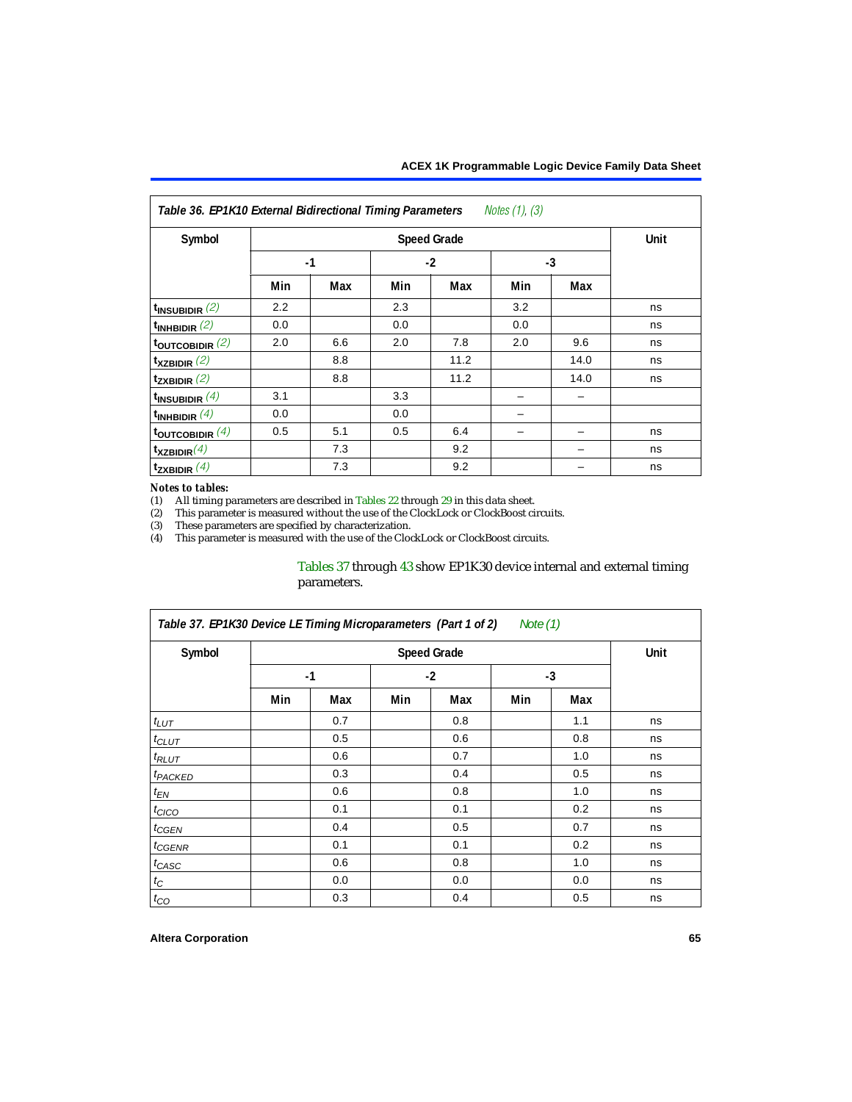<span id="page-64-1"></span>

| Table 36. EP1K10 External Bidirectional Timing Parameters Notes (1), (3) |     |      |     |                    |      |      |      |  |  |  |
|--------------------------------------------------------------------------|-----|------|-----|--------------------|------|------|------|--|--|--|
| Symbol                                                                   |     |      |     | <b>Speed Grade</b> |      |      | Unit |  |  |  |
|                                                                          |     | $-1$ |     | $-2$               | $-3$ |      |      |  |  |  |
|                                                                          | Min | Max  | Min | Max                | Min  | Max  |      |  |  |  |
| $t_{\text{INSUBIDIR}}(2)$                                                | 2.2 |      | 2.3 |                    | 3.2  |      | ns   |  |  |  |
| $t_{INHBIDIR}$ (2)                                                       | 0.0 |      | 0.0 |                    | 0.0  |      | ns   |  |  |  |
| $t_{\text{OUTCOBIDIR}}$ (2)                                              | 2.0 | 6.6  | 2.0 | 7.8                | 2.0  | 9.6  | ns   |  |  |  |
| $t_{XZBIDIR}$ (2)                                                        |     | 8.8  |     | 11.2               |      | 14.0 | ns   |  |  |  |
| $t_{ZXBIDIR}$ (2)                                                        |     | 8.8  |     | 11.2               |      | 14.0 | ns   |  |  |  |
| $t_{INSUBIDIR}$ (4)                                                      | 3.1 |      | 3.3 |                    |      |      |      |  |  |  |
| $t_{INHBIDIR}(4)$                                                        | 0.0 |      | 0.0 |                    |      |      |      |  |  |  |
| toutcobidir $(4)$                                                        | 0.5 | 5.1  | 0.5 | 6.4                |      |      | ns   |  |  |  |
| $t_{XZBIDIR}(4)$                                                         |     | 7.3  |     | 9.2                |      |      | ns   |  |  |  |
| $t_{ZXBIDIR}$ (4)                                                        |     | 7.3  |     | 9.2                |      |      | ns   |  |  |  |

### *Notes to tables:*

<span id="page-64-0"></span>(1) All timing parameters are described in Tables  $22$  through  $29$  in this data sheet.<br>(2) This parameter is measured without the use of the ClockLock or ClockBoost cir

<span id="page-64-2"></span>(2) This parameter is measured without the use of the ClockLock or ClockBoost circuits.

<span id="page-64-4"></span>These parameters are specified by characterization.

<span id="page-64-3"></span>(4) This parameter is measured with the use of the ClockLock or ClockBoost circuits.

## [Tables 37](#page-64-5) through [43](#page-69-0) show EP1K30 device internal and external timing parameters.

<span id="page-64-5"></span>

| Table 37. EP1K30 Device LE Timing Microparameters (Part 1 of 2)<br>Note (1) |     |      |     |                    |      |     |      |  |
|-----------------------------------------------------------------------------|-----|------|-----|--------------------|------|-----|------|--|
| Symbol                                                                      |     |      |     | <b>Speed Grade</b> |      |     | Unit |  |
|                                                                             |     | $-1$ |     | $-2$               | $-3$ |     |      |  |
|                                                                             | Min | Max  | Min | Max                | Min  | Max |      |  |
| $t_{LUT}$                                                                   |     | 0.7  |     | 0.8                |      | 1.1 | ns   |  |
| $t_{CLUT}$                                                                  |     | 0.5  |     | 0.6                |      | 0.8 | ns   |  |
| $t_{RLUT}$                                                                  |     | 0.6  |     | 0.7                |      | 1.0 | ns   |  |
| <sup>t</sup> PACKED                                                         |     | 0.3  |     | 0.4                |      | 0.5 | ns   |  |
| $t_{EN}$                                                                    |     | 0.6  |     | 0.8                |      | 1.0 | ns   |  |
| $t_{CICO}$                                                                  |     | 0.1  |     | 0.1                |      | 0.2 | ns   |  |
| $t_{GEN}$                                                                   |     | 0.4  |     | 0.5                |      | 0.7 | ns   |  |
| t <sub>CGENR</sub>                                                          |     | 0.1  |     | 0.1                |      | 0.2 | ns   |  |
| t <sub>CASC</sub>                                                           |     | 0.6  |     | 0.8                |      | 1.0 | ns   |  |
| $t_C$                                                                       |     | 0.0  |     | 0.0                |      | 0.0 | ns   |  |
| $t_{CO}$                                                                    |     | 0.3  |     | 0.4                |      | 0.5 | ns   |  |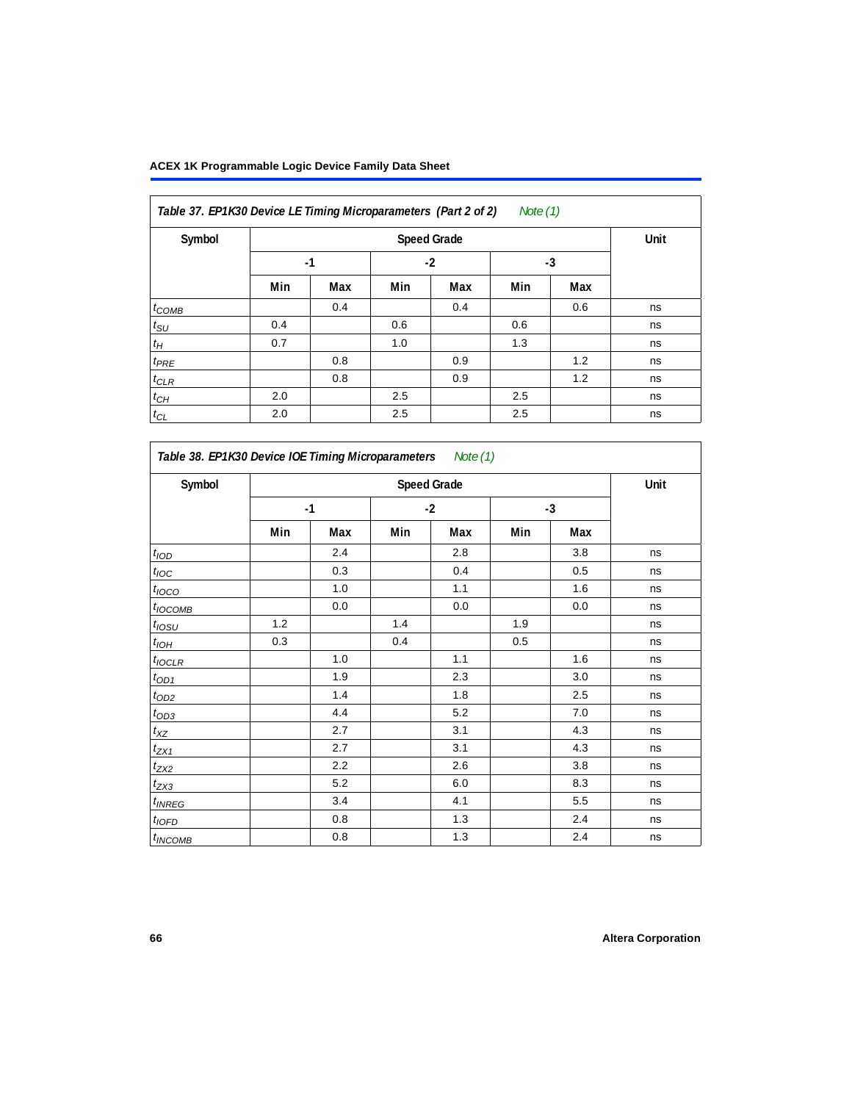| Table 37. EP1K30 Device LE Timing Microparameters (Part 2 of 2)<br>Note $(1)$ |      |      |      |     |      |     |    |  |  |
|-------------------------------------------------------------------------------|------|------|------|-----|------|-----|----|--|--|
| Symbol                                                                        |      | Unit |      |     |      |     |    |  |  |
|                                                                               | $-1$ |      | $-2$ |     | $-3$ |     |    |  |  |
|                                                                               | Min  | Max  | Min  | Max | Min  | Max |    |  |  |
| $t_{COMB}$                                                                    |      | 0.4  |      | 0.4 |      | 0.6 | ns |  |  |
| $t_{\rm SU}$                                                                  | 0.4  |      | 0.6  |     | 0.6  |     | ns |  |  |
| $t_H$                                                                         | 0.7  |      | 1.0  |     | 1.3  |     | ns |  |  |
| $t_{PRE}$                                                                     |      | 0.8  |      | 0.9 |      | 1.2 | ns |  |  |
| $t_{CLR}$                                                                     |      | 0.8  |      | 0.9 |      | 1.2 | ns |  |  |
| $t_{CH}$                                                                      | 2.0  |      | 2.5  |     | 2.5  |     | ns |  |  |
| $t_{CL}$                                                                      | 2.0  |      | 2.5  |     | 2.5  |     | ns |  |  |

| Table 38. EP1K30 Device IOE Timing Microparameters Note (1) |     |      |      |                    |      |     |      |  |
|-------------------------------------------------------------|-----|------|------|--------------------|------|-----|------|--|
| Symbol                                                      |     |      |      | <b>Speed Grade</b> |      |     | Unit |  |
|                                                             |     | $-1$ | $-2$ |                    | $-3$ |     |      |  |
|                                                             | Min | Max  | Min  | Max                | Min  | Max |      |  |
| $t$ <sub>IOD</sub>                                          |     | 2.4  |      | 2.8                |      | 3.8 | ns   |  |
| $t_{\text{IOC}}$                                            |     | 0.3  |      | 0.4                |      | 0.5 | ns   |  |
| $t_{IOCO}$                                                  |     | 1.0  |      | 1.1                |      | 1.6 | ns   |  |
| $t_{IOCOMB}$                                                |     | 0.0  |      | 0.0                |      | 0.0 | ns   |  |
| $t_{IOSU}$                                                  | 1.2 |      | 1.4  |                    | 1.9  |     | ns   |  |
| $t_{IOH}$                                                   | 0.3 |      | 0.4  |                    | 0.5  |     | ns   |  |
| $t_{IOCLR}$                                                 |     | 1.0  |      | 1.1                |      | 1.6 | ns   |  |
| $t_{OD1}$                                                   |     | 1.9  |      | 2.3                |      | 3.0 | ns   |  |
| $t_{OD2}$                                                   |     | 1.4  |      | 1.8                |      | 2.5 | ns   |  |
| $t_{OD3}$                                                   |     | 4.4  |      | 5.2                |      | 7.0 | ns   |  |
| $t_{XZ}$                                                    |     | 2.7  |      | 3.1                |      | 4.3 | ns   |  |
| $t_{ZX1}$                                                   |     | 2.7  |      | 3.1                |      | 4.3 | ns   |  |
| $t_{ZX2}$                                                   |     | 2.2  |      | 2.6                |      | 3.8 | ns   |  |
| $t_{ZX3}$                                                   |     | 5.2  |      | 6.0                |      | 8.3 | ns   |  |
| <i>t</i> <sub>INREG</sub>                                   |     | 3.4  |      | 4.1                |      | 5.5 | ns   |  |
| $t_{IOFD}$                                                  |     | 0.8  |      | 1.3                |      | 2.4 | ns   |  |
| <sup>t</sup> INCOMB                                         |     | 0.8  |      | 1.3                |      | 2.4 | ns   |  |

٦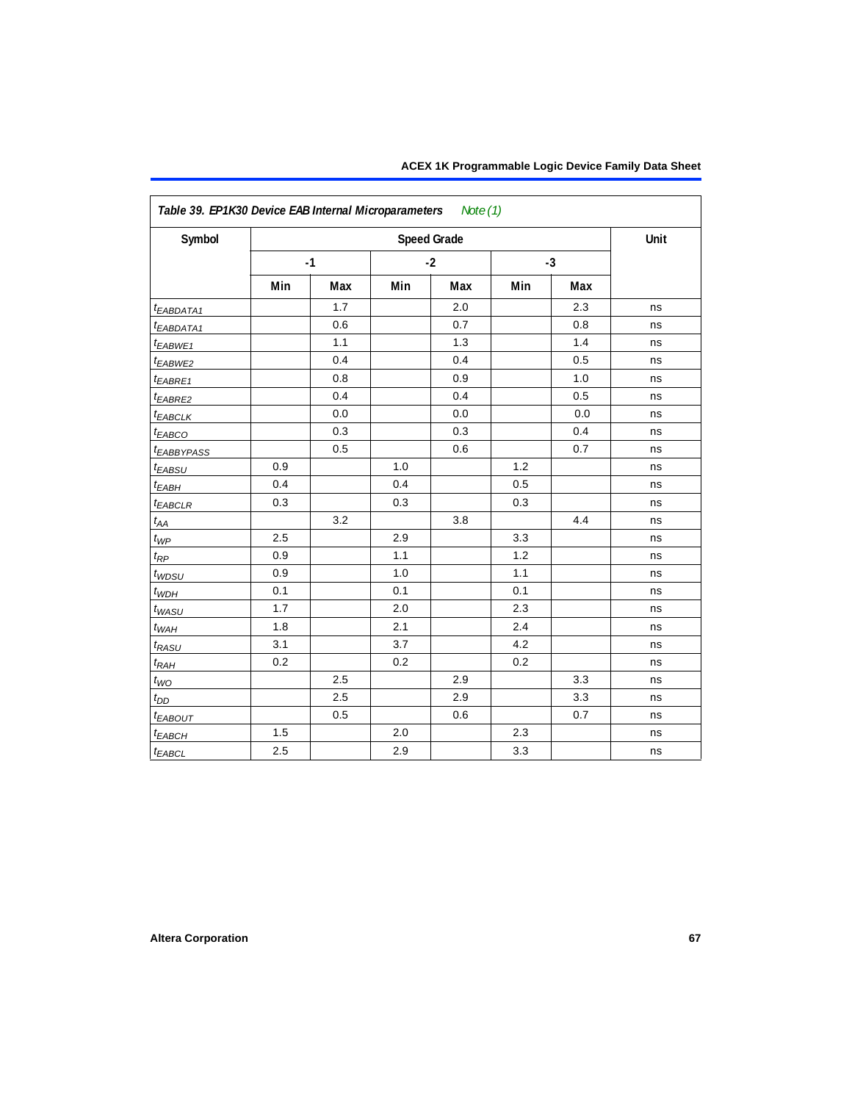| Symbol                 |     |      |     | <b>Speed Grade</b> |      |     | Unit |
|------------------------|-----|------|-----|--------------------|------|-----|------|
|                        |     | $-1$ |     | $-2$               | $-3$ |     |      |
|                        | Min | Max  | Min | Max                | Min  | Max |      |
| t <sub>EABDATA1</sub>  |     | 1.7  |     | 2.0                |      | 2.3 | ns   |
| <sup>t</sup> EABDATA1  |     | 0.6  |     | 0.7                |      | 0.8 | ns   |
| t <sub>EABWE1</sub>    |     | 1.1  |     | 1.3                |      | 1.4 | ns   |
| <sup>t</sup> EABWE2    |     | 0.4  |     | 0.4                |      | 0.5 | ns   |
| t <sub>EABRE1</sub>    |     | 0.8  |     | 0.9                |      | 1.0 | ns   |
| <sup>t</sup> EABRE2    |     | 0.4  |     | 0.4                |      | 0.5 | ns   |
| <b><i>EABCLK</i></b>   |     | 0.0  |     | 0.0                |      | 0.0 | ns   |
| $t_{EABCO}$            |     | 0.3  |     | 0.3                |      | 0.4 | ns   |
| <sup>t</sup> EABBYPASS |     | 0.5  |     | 0.6                |      | 0.7 | ns   |
| <sup>t</sup> EABSU     | 0.9 |      | 1.0 |                    | 1.2  |     | ns   |
| $t_{EABH}$             | 0.4 |      | 0.4 |                    | 0.5  |     | ns   |
| <b><i>EABCLR</i></b>   | 0.3 |      | 0.3 |                    | 0.3  |     | ns   |
| $t_{AA}$               |     | 3.2  |     | 3.8                |      | 4.4 | ns   |
| $t_{\mathcal{WP}}$     | 2.5 |      | 2.9 |                    | 3.3  |     | ns   |
| $t_{\!R\!P}$           | 0.9 |      | 1.1 |                    | 1.2  |     | ns   |
| t <sub>WDSU</sub>      | 0.9 |      | 1.0 |                    | 1.1  |     | ns   |
| $t_{WDH}$              | 0.1 |      | 0.1 |                    | 0.1  |     | ns   |
| $t_{WASU}$             | 1.7 |      | 2.0 |                    | 2.3  |     | ns   |
| $t_{WAH}$              | 1.8 |      | 2.1 |                    | 2.4  |     | ns   |
| $t_{RASU}$             | 3.1 |      | 3.7 |                    | 4.2  |     | ns   |
| t <sub>RАН</sub>       | 0.2 |      | 0.2 |                    | 0.2  |     | ns   |
| $t_{WO}$               |     | 2.5  |     | 2.9                |      | 3.3 | ns   |
| $t_{DD}$               |     | 2.5  |     | 2.9                |      | 3.3 | ns   |
| <i>EABOUT</i>          |     | 0.5  |     | 0.6                |      | 0.7 | ns   |
| $t_{EABCH}$            | 1.5 |      | 2.0 |                    | 2.3  |     | ns   |
| $t_{EABCL}$            | 2.5 |      | 2.9 |                    | 3.3  |     | ns   |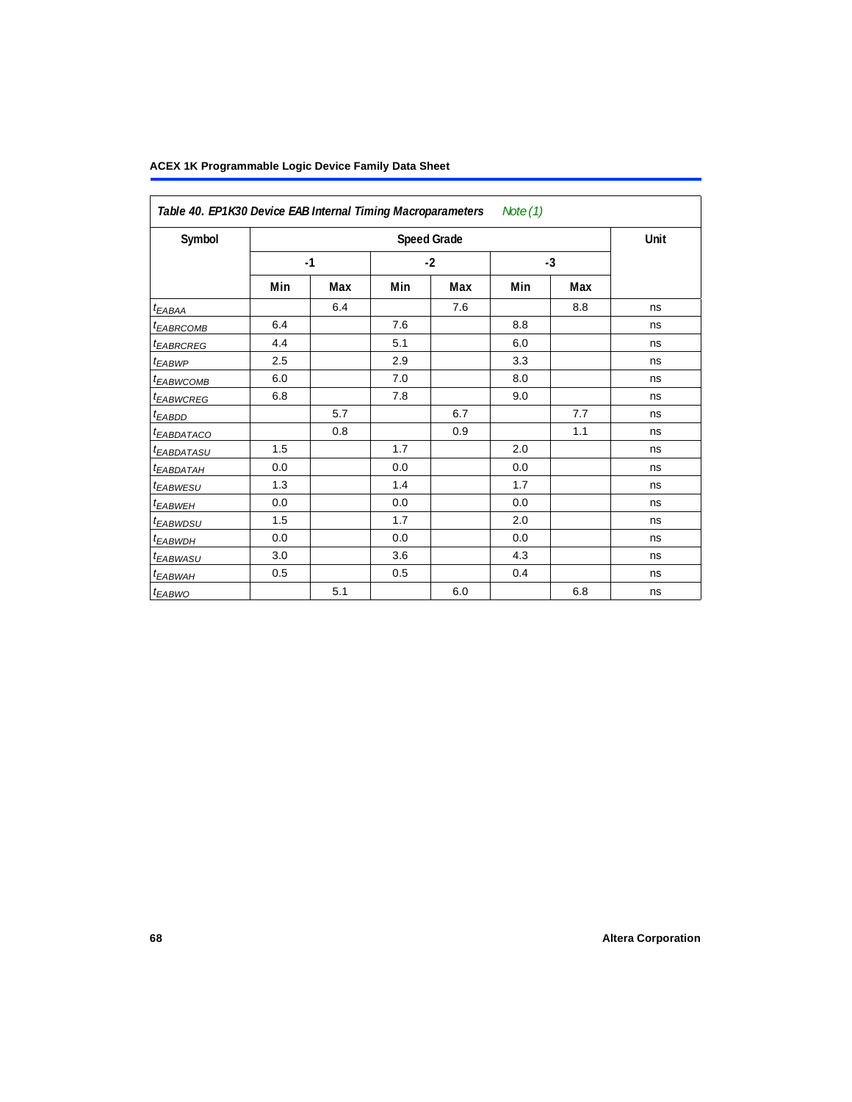| Table 40. EP1K30 Device EAB Internal Timing Macroparameters<br>Note (1) |     |      |     |                    |     |      |      |  |
|-------------------------------------------------------------------------|-----|------|-----|--------------------|-----|------|------|--|
| Symbol                                                                  |     |      |     | <b>Speed Grade</b> |     |      | Unit |  |
|                                                                         |     | $-1$ |     | $-2$               |     | $-3$ |      |  |
|                                                                         | Min | Max  | Min | Max                | Min | Max  |      |  |
| $t_{EABA}$                                                              |     | 6.4  |     | 7.6                |     | 8.8  | ns   |  |
| <sup>t</sup> EABRCOMB                                                   | 6.4 |      | 7.6 |                    | 8.8 |      | ns   |  |
| <sup>t</sup> EABRCREG                                                   | 4.4 |      | 5.1 |                    | 6.0 |      | ns   |  |
| <sup>t</sup> EABWP                                                      | 2.5 |      | 2.9 |                    | 3.3 |      | ns   |  |
| <sup>t</sup> ЕАВWСОМВ                                                   | 6.0 |      | 7.0 |                    | 8.0 |      | ns   |  |
| <sup>t</sup> EABWCREG                                                   | 6.8 |      | 7.8 |                    | 9.0 |      | ns   |  |
| <sup>t</sup> EABDD                                                      |     | 5.7  |     | 6.7                |     | 7.7  | ns   |  |
| <sup>t</sup> EABDATACO                                                  |     | 0.8  |     | 0.9                |     | 1.1  | ns   |  |
| <sup>t</sup> EABDATASU                                                  | 1.5 |      | 1.7 |                    | 2.0 |      | ns   |  |
| <sup>t</sup> EABDATAH                                                   | 0.0 |      | 0.0 |                    | 0.0 |      | ns   |  |
| <sup>t</sup> EABWESU                                                    | 1.3 |      | 1.4 |                    | 1.7 |      | ns   |  |
| t <sub>EABWEH</sub>                                                     | 0.0 |      | 0.0 |                    | 0.0 |      | ns   |  |
| <sup>t</sup> EABWDSU                                                    | 1.5 |      | 1.7 |                    | 2.0 |      | ns   |  |
| <sup>t</sup> EABWDH                                                     | 0.0 |      | 0.0 |                    | 0.0 |      | ns   |  |
| <sup>t</sup> EABWASU                                                    | 3.0 |      | 3.6 |                    | 4.3 |      | ns   |  |
| <sup>t</sup> EABWAH                                                     | 0.5 |      | 0.5 |                    | 0.4 |      | ns   |  |
| <sup>t</sup> EABWO                                                      |     | 5.1  |     | 6.0                |     | 6.8  | ns   |  |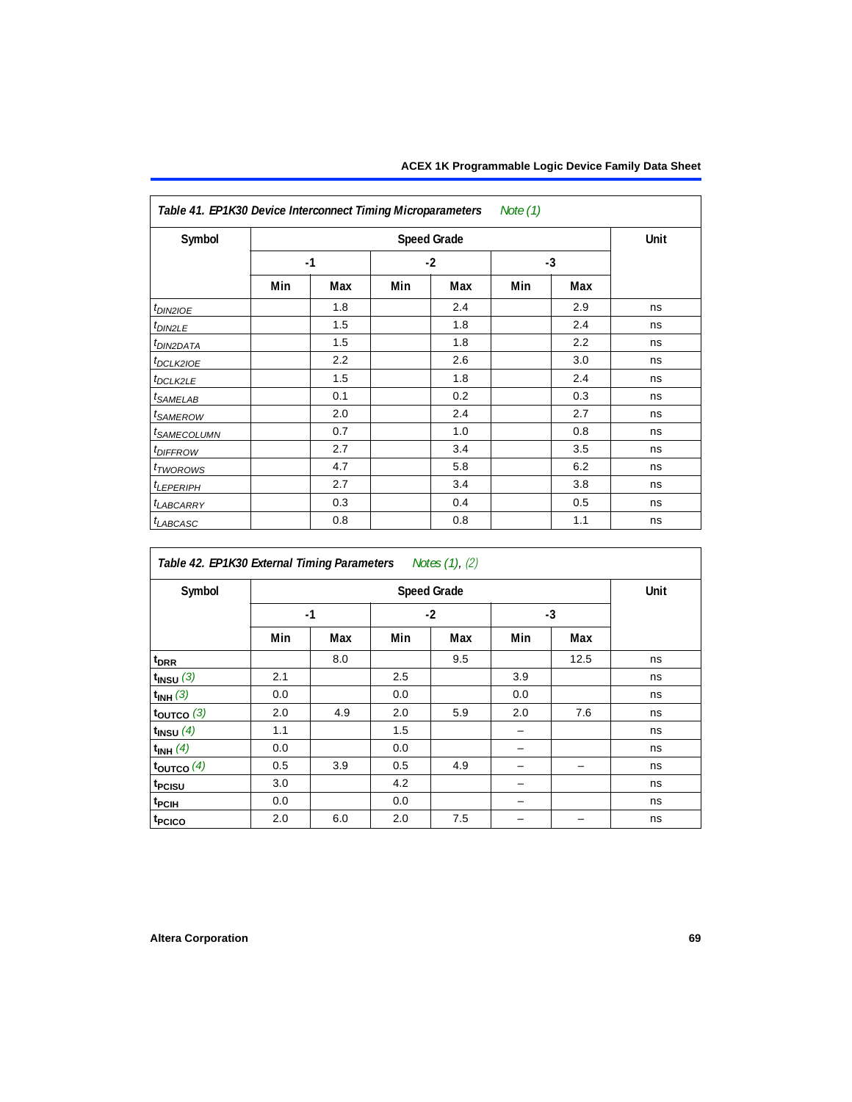| Table 41. EP1K30 Device Interconnect Timing Microparameters Note (1) |      |     |      |                    |      |     |             |  |  |
|----------------------------------------------------------------------|------|-----|------|--------------------|------|-----|-------------|--|--|
| Symbol                                                               |      |     |      | <b>Speed Grade</b> |      |     | <b>Unit</b> |  |  |
|                                                                      | $-1$ |     | $-2$ |                    | $-3$ |     |             |  |  |
|                                                                      | Min  | Max | Min  | Max                | Min  | Max |             |  |  |
| $tD$ IN2IOE                                                          |      | 1.8 |      | 2.4                |      | 2.9 | ns          |  |  |
| t <sub>DIN2LE</sub>                                                  |      | 1.5 |      | 1.8                |      | 2.4 | ns          |  |  |
| t <sub>DIN2DATA</sub>                                                |      | 1.5 |      | 1.8                |      | 2.2 | ns          |  |  |
| t <sub>DCLK210E</sub>                                                |      | 2.2 |      | 2.6                |      | 3.0 | ns          |  |  |
| $t_{DCLK2LE}$                                                        |      | 1.5 |      | 1.8                |      | 2.4 | ns          |  |  |
| t <sub>SAMELAB</sub>                                                 |      | 0.1 |      | 0.2                |      | 0.3 | ns          |  |  |
| t <sub>SAMEROW</sub>                                                 |      | 2.0 |      | 2.4                |      | 2.7 | ns          |  |  |
| <i>t<sub>SAMECOLUMN</sub></i>                                        |      | 0.7 |      | 1.0                |      | 0.8 | ns          |  |  |
| t <sub>DIFFROW</sub>                                                 |      | 2.7 |      | 3.4                |      | 3.5 | ns          |  |  |
| <i>t</i> <sub>TWOROWS</sub>                                          |      | 4.7 |      | 5.8                |      | 6.2 | ns          |  |  |
| t <sub>LEPERIPH</sub>                                                |      | 2.7 |      | 3.4                |      | 3.8 | ns          |  |  |
| <b><i>LABCARRY</i></b>                                               |      | 0.3 |      | 0.4                |      | 0.5 | ns          |  |  |
| <sup>t</sup> LABCASC                                                 |      | 0.8 |      | 0.8                |      | 1.1 | ns          |  |  |

| Table 42. EP1K30 External Timing Parameters | Notes (1), (2) |
|---------------------------------------------|----------------|
|---------------------------------------------|----------------|

| Symbol                    |     | Unit |     |      |     |      |    |
|---------------------------|-----|------|-----|------|-----|------|----|
|                           |     | $-1$ |     | $-2$ |     | $-3$ |    |
|                           | Min | Max  | Min | Max  | Min | Max  |    |
| $t_{DRR}$                 |     | 8.0  |     | 9.5  |     | 12.5 | ns |
| $t_{INSU}(3)$             | 2.1 |      | 2.5 |      | 3.9 |      | ns |
| $t_{INH}$ (3)             | 0.0 |      | 0.0 |      | 0.0 |      | ns |
| $t_{OUTCO}$ (3)           | 2.0 | 4.9  | 2.0 | 5.9  | 2.0 | 7.6  | ns |
| $t$ <sub>INSU</sub> $(4)$ | 1.1 |      | 1.5 |      | -   |      | ns |
| $t_{INH}$ (4)             | 0.0 |      | 0.0 |      |     |      | ns |
| $t_{\text{OUTCO}}(4)$     | 0.5 | 3.9  | 0.5 | 4.9  |     |      | ns |
| t <sub>PCISU</sub>        | 3.0 |      | 4.2 |      |     |      | ns |
| t <sub>PCIH</sub>         | 0.0 |      | 0.0 |      |     |      | ns |
| t <sub>PCICO</sub>        | 2.0 | 6.0  | 2.0 | 7.5  |     |      | ns |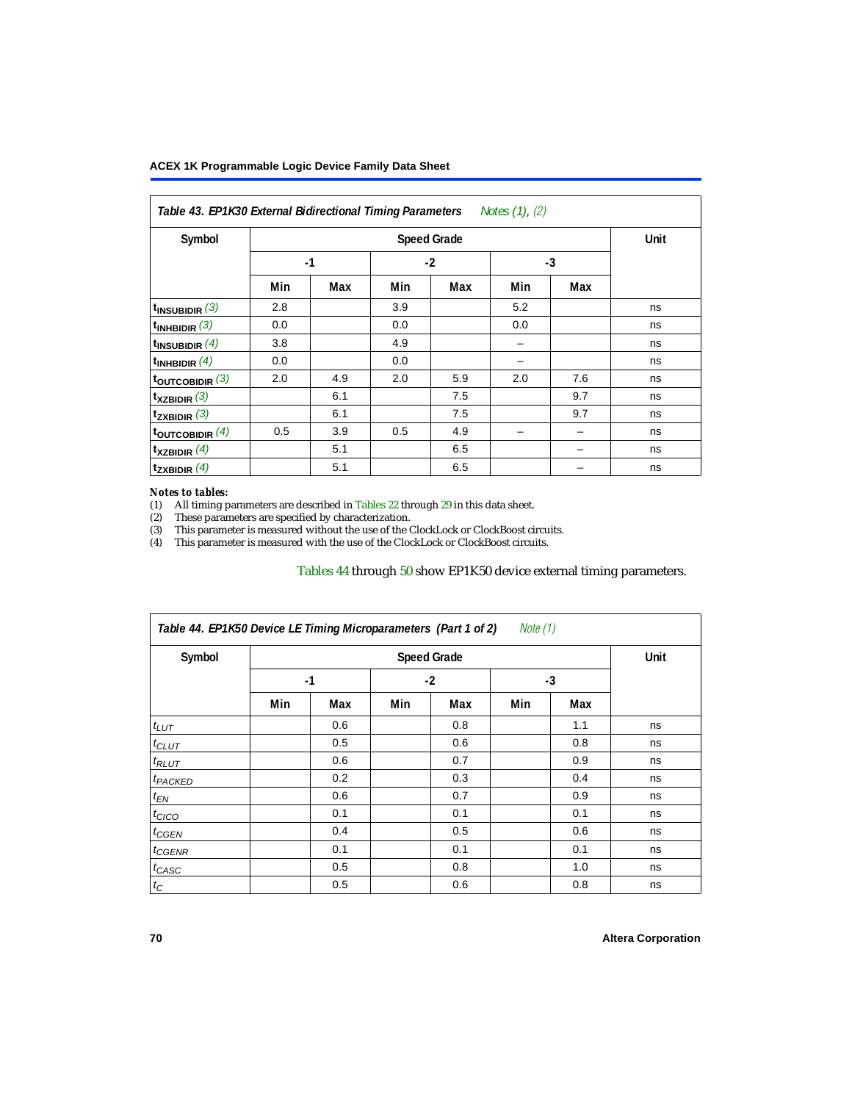<span id="page-69-0"></span>

| Table 43. EP1K30 External Bidirectional Timing Parameters Notes (1), (2) |     |      |     |      |     |      |    |
|--------------------------------------------------------------------------|-----|------|-----|------|-----|------|----|
| Symbol                                                                   |     | Unit |     |      |     |      |    |
|                                                                          |     | $-1$ |     | $-2$ |     | $-3$ |    |
|                                                                          | Min | Max  | Min | Max  | Min | Max  |    |
| $t_{INSUBIDIR}$ (3)                                                      | 2.8 |      | 3.9 |      | 5.2 |      | ns |
| t <sub>INHBIDIR</sub> $(3)$                                              | 0.0 |      | 0.0 |      | 0.0 |      | ns |
| $t_{INSUBIDIR}(4)$                                                       | 3.8 |      | 4.9 |      |     |      | ns |
| $t_{INHBIDIR}(4)$                                                        | 0.0 |      | 0.0 |      |     |      | ns |
| toutcobidir $(3)$                                                        | 2.0 | 4.9  | 2.0 | 5.9  | 2.0 | 7.6  | ns |
| $t_{XZBIDIR}$ (3)                                                        |     | 6.1  |     | 7.5  |     | 9.7  | ns |
| $t_{ZXBIDIR}$ (3)                                                        |     | 6.1  |     | 7.5  |     | 9.7  | ns |
| toutcobidir $(4)$                                                        | 0.5 | 3.9  | 0.5 | 4.9  |     |      | ns |
| $t_{XZBIDIR}$ (4)                                                        |     | 5.1  |     | 6.5  |     |      | ns |
| $t_{ZXBIDIR}$ (4)                                                        |     | 5.1  |     | 6.5  |     |      | ns |

#### *Notes to tables:*

<span id="page-69-1"></span>(1) All timing parameters are described in [Tables 22](#page-53-0) through [29](#page-58-0) in this data sheet.

<span id="page-69-2"></span>(2) These parameters are specified by characterization.

<span id="page-69-3"></span>(3) This parameter is measured without the use of the ClockLock or ClockBoost circuits.

<span id="page-69-4"></span>(4) This parameter is measured with the use of the ClockLock or ClockBoost circuits.

### [Tables 44](#page-69-5) through [50](#page-74-0) show EP1K50 device external timing parameters.

<span id="page-69-5"></span>

| Symbol              |      | <b>Speed Grade</b> |      |     |     |     |    |  |  |  |
|---------------------|------|--------------------|------|-----|-----|-----|----|--|--|--|
|                     | $-1$ |                    | $-2$ |     | -3  |     |    |  |  |  |
|                     | Min  | Max                | Min  | Max | Min | Max |    |  |  |  |
| $t_{LUT}$           |      | 0.6                |      | 0.8 |     | 1.1 | ns |  |  |  |
| $t_{CLUT}$          |      | 0.5                |      | 0.6 |     | 0.8 | ns |  |  |  |
| $t_{RLUT}$          |      | 0.6                |      | 0.7 |     | 0.9 | ns |  |  |  |
| <sup>t</sup> PACKED |      | 0.2                |      | 0.3 |     | 0.4 | ns |  |  |  |
| $t_{EN}$            |      | 0.6                |      | 0.7 |     | 0.9 | ns |  |  |  |
| $t_{CICO}$          |      | 0.1                |      | 0.1 |     | 0.1 | ns |  |  |  |
| $t_{GEN}$           |      | 0.4                |      | 0.5 |     | 0.6 | ns |  |  |  |
| $t_{GENR}$          |      | 0.1                |      | 0.1 |     | 0.1 | ns |  |  |  |
| $t_{CASC}$          |      | 0.5                |      | 0.8 |     | 1.0 | ns |  |  |  |
| $t_C$               |      | 0.5                |      | 0.6 |     | 0.8 | ns |  |  |  |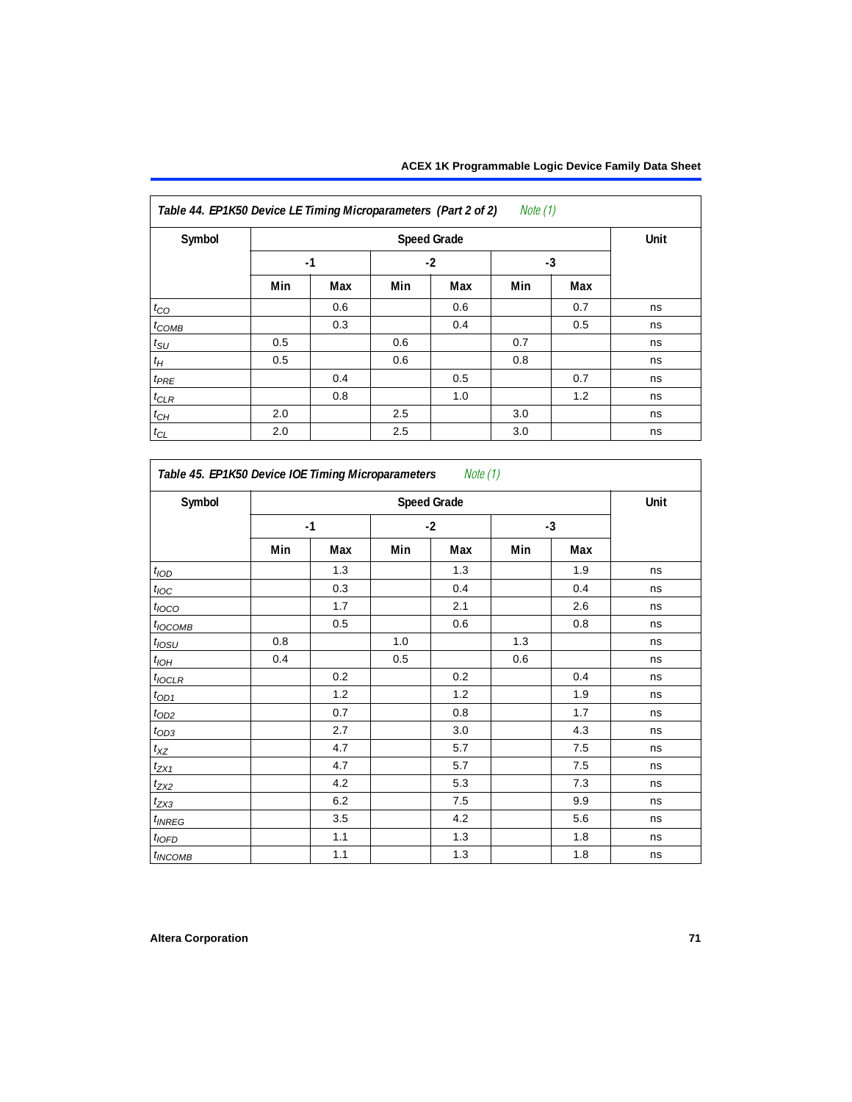| Symbol          | <b>Speed Grade</b> |      |     |      |     |     |    |  |
|-----------------|--------------------|------|-----|------|-----|-----|----|--|
|                 |                    | $-1$ |     | $-2$ |     | -3  |    |  |
|                 | Min                | Max  | Min | Max  | Min | Max |    |  |
| $t_{CO}$        |                    | 0.6  |     | 0.6  |     | 0.7 | ns |  |
| $t_{COMB}$      |                    | 0.3  |     | 0.4  |     | 0.5 | ns |  |
| $t_{\text{SU}}$ | 0.5                |      | 0.6 |      | 0.7 |     | ns |  |
| $t_H$           | 0.5                |      | 0.6 |      | 0.8 |     | ns |  |
| $t_{PRE}$       |                    | 0.4  |     | 0.5  |     | 0.7 | ns |  |
| $t_{CLR}$       |                    | 0.8  |     | 1.0  |     | 1.2 | ns |  |
| $t_{CH}$        | 2.0                |      | 2.5 |      | 3.0 |     | ns |  |
| $t_{CL}$        | 2.0                |      | 2.5 |      | 3.0 |     | ns |  |

| Symbol            | <b>Speed Grade</b> |     |       |       |      |     |    |  |
|-------------------|--------------------|-----|-------|-------|------|-----|----|--|
|                   | $-1$               |     | $-2$  |       | $-3$ |     |    |  |
|                   | Min                | Max | Min   | Max   | Min  | Max |    |  |
| t <sub>IOD</sub>  |                    | 1.3 |       | 1.3   |      | 1.9 | ns |  |
| $t_{\text{IOC}}$  |                    | 0.3 |       | 0.4   |      | 0.4 | ns |  |
| $t_{IOCO}$        |                    | 1.7 |       | 2.1   |      | 2.6 | ns |  |
| $t_{IOCOMB}$      |                    | 0.5 |       | 0.6   |      | 0.8 | ns |  |
| t <sub>IOSU</sub> | 0.8                |     | $1.0$ |       | 1.3  |     | ns |  |
| $t_{IOH}$         | 0.4                |     | 0.5   |       | 0.6  |     | ns |  |
| $t_{IOCLR}$       |                    | 0.2 |       | 0.2   |      | 0.4 | ns |  |
| $t_{OD1}$         |                    | 1.2 |       | 1.2   |      | 1.9 | ns |  |
| $t_{OD2}$         |                    | 0.7 |       | 0.8   |      | 1.7 | ns |  |
| $t_{OD3}$         |                    | 2.7 |       | 3.0   |      | 4.3 | ns |  |
| $t_{XZ}$          |                    | 4.7 |       | 5.7   |      | 7.5 | ns |  |
| $t_{ZX1}$         |                    | 4.7 |       | 5.7   |      | 7.5 | ns |  |
| $t_{ZX2}$         |                    | 4.2 |       | 5.3   |      | 7.3 | ns |  |
| $t_{ZX3}$         |                    | 6.2 |       | $7.5$ |      | 9.9 | ns |  |
| $t_{INREG}$       |                    | 3.5 |       | 4.2   |      | 5.6 | ns |  |
| $t_{IOFD}$        |                    | 1.1 |       | 1.3   |      | 1.8 | ns |  |
| $t_{INCOMB}$      |                    | 1.1 |       | 1.3   |      | 1.8 | ns |  |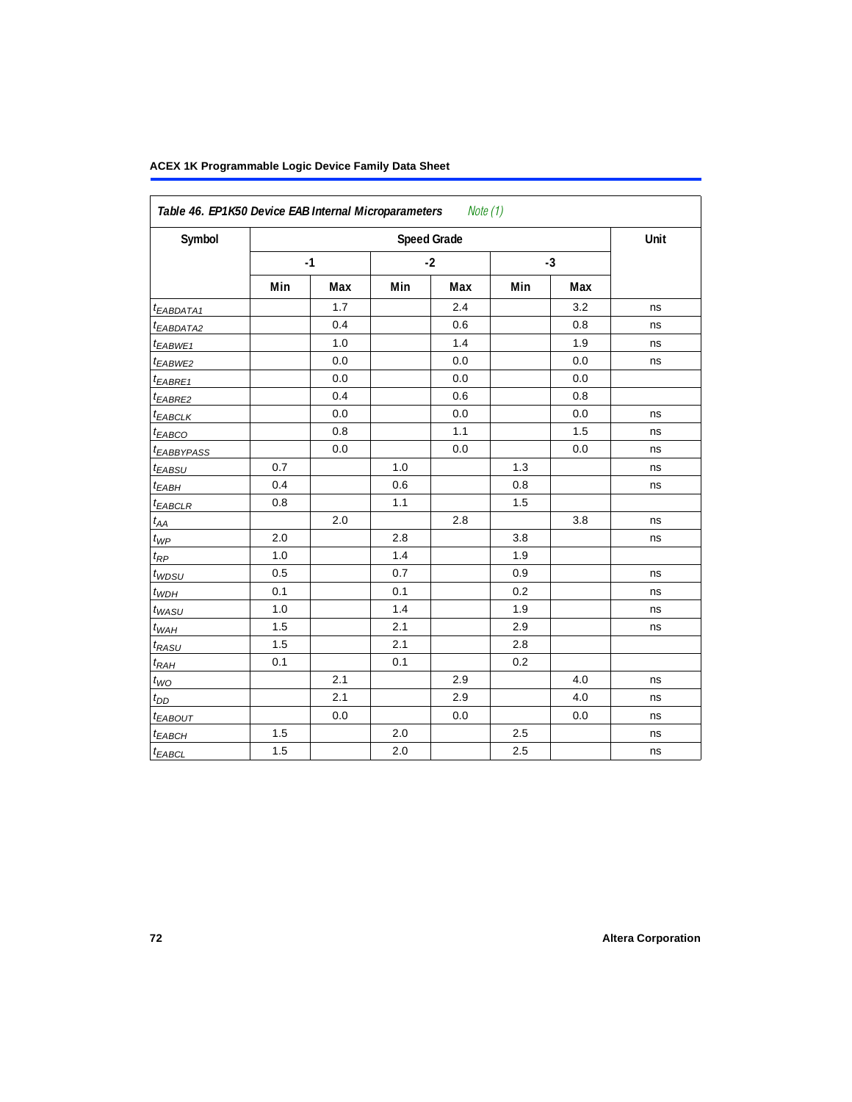| Symbol                 |      | <b>Speed Grade</b> |      |         |      |     |    |  |  |
|------------------------|------|--------------------|------|---------|------|-----|----|--|--|
|                        | $-1$ |                    | $-2$ |         | $-3$ |     |    |  |  |
|                        | Min  | Max                | Min  | Max     | Min  | Max |    |  |  |
| t <sub>EABDATA1</sub>  |      | 1.7                |      | 2.4     |      | 3.2 | ns |  |  |
| t <sub>EABDATA2</sub>  |      | 0.4                |      | 0.6     |      | 0.8 | ns |  |  |
| t <sub>EABWE1</sub>    |      | 1.0                |      | 1.4     |      | 1.9 | ns |  |  |
| t <sub>EABWE2</sub>    |      | 0.0                |      | $0.0\,$ |      | 0.0 | ns |  |  |
| $t_{EABRE1}$           |      | 0.0                |      | 0.0     |      | 0.0 |    |  |  |
| t <sub>EABRE2</sub>    |      | 0.4                |      | 0.6     |      | 0.8 |    |  |  |
| $t_{EABCLK}$           |      | 0.0                |      | 0.0     |      | 0.0 | ns |  |  |
| $t_{EABCO}$            |      | 0.8                |      | 1.1     |      | 1.5 | ns |  |  |
| <sup>t</sup> EABBYPASS |      | 0.0                |      | 0.0     |      | 0.0 | ns |  |  |
| $t_{EABSU}$            | 0.7  |                    | 1.0  |         | 1.3  |     | ns |  |  |
| $t_{EABH}$             | 0.4  |                    | 0.6  |         | 0.8  |     | ns |  |  |
| $t_{EABCLR}$           | 0.8  |                    | 1.1  |         | 1.5  |     |    |  |  |
| $t_{AA}$               |      | 2.0                |      | 2.8     |      | 3.8 | ns |  |  |
| $t_{\mathit{WP}}$      | 2.0  |                    | 2.8  |         | 3.8  |     | ns |  |  |
| $t_{\mathit{RP}}$      | 1.0  |                    | 1.4  |         | 1.9  |     |    |  |  |
| $t_{WDSU}$             | 0.5  |                    | 0.7  |         | 0.9  |     | ns |  |  |
| $t_{WDH}$              | 0.1  |                    | 0.1  |         | 0.2  |     | ns |  |  |
| $t_{WASU}$             | 1.0  |                    | 1.4  |         | 1.9  |     | ns |  |  |
| $t_{WAH}$              | 1.5  |                    | 2.1  |         | 2.9  |     | ns |  |  |
| $t_{RASU}$             | 1.5  |                    | 2.1  |         | 2.8  |     |    |  |  |
| $t_{RAH}$              | 0.1  |                    | 0.1  |         | 0.2  |     |    |  |  |
| $t_{WO}$               |      | 2.1                |      | 2.9     |      | 4.0 | ns |  |  |
| $t_{DD}$               |      | 2.1                |      | 2.9     |      | 4.0 | ns |  |  |
| t <sub>EABOUT</sub>    |      | 0.0                |      | 0.0     |      | 0.0 | ns |  |  |
| $t_{EABCH}$            | 1.5  |                    | 2.0  |         | 2.5  |     | ns |  |  |
| $t_{EABCL}$            | 1.5  |                    | 2.0  |         | 2.5  |     | ns |  |  |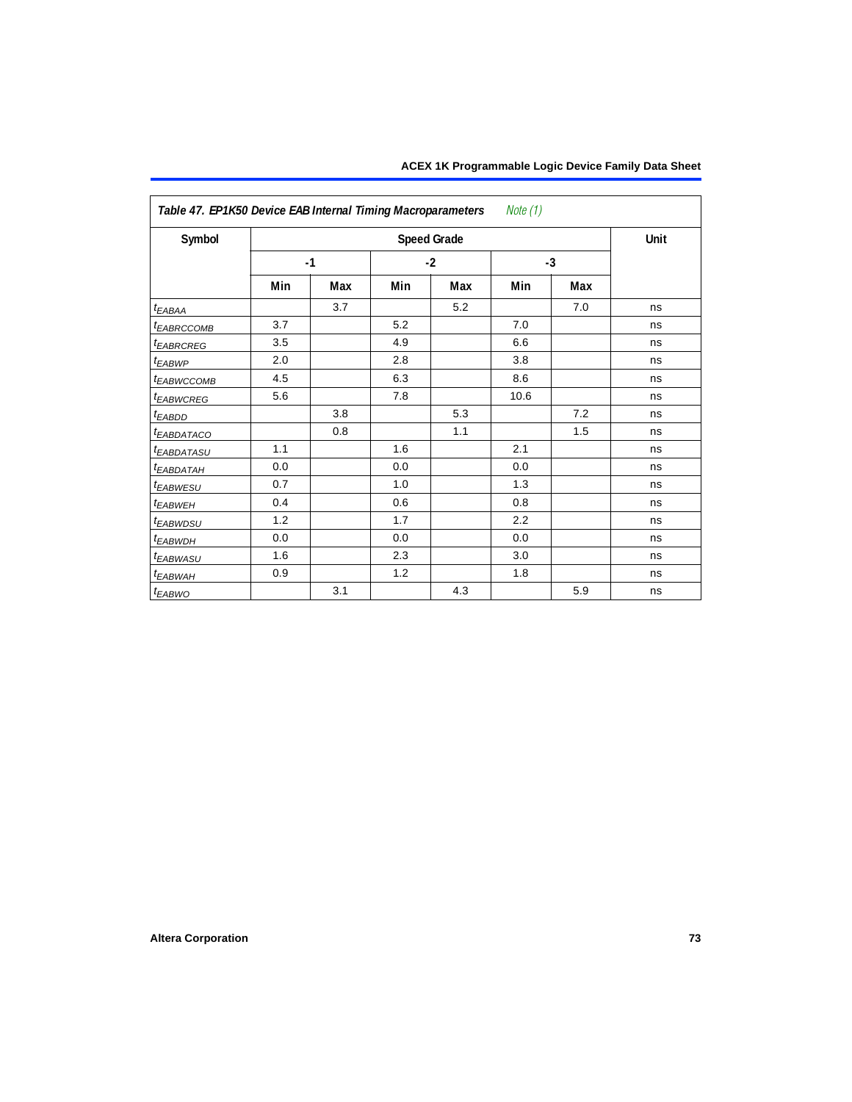| Note (1)<br>Table 47. EP1K50 Device EAB Internal Timing Macroparameters |     |      |     |                    |      |      |      |
|-------------------------------------------------------------------------|-----|------|-----|--------------------|------|------|------|
| Symbol                                                                  |     |      |     | <b>Speed Grade</b> |      |      | Unit |
|                                                                         |     | $-1$ |     | $-2$               |      | $-3$ |      |
|                                                                         | Min | Max  | Min | Max                | Min  | Max  |      |
| $t_{EABA}$                                                              |     | 3.7  |     | 5.2                |      | 7.0  | ns   |
| <b><i>EABRCCOMB</i></b>                                                 | 3.7 |      | 5.2 |                    | 7.0  |      | ns   |
| t <sub>EABRCREG</sub>                                                   | 3.5 |      | 4.9 |                    | 6.6  |      | ns   |
| $t_{EABWP}$                                                             | 2.0 |      | 2.8 |                    | 3.8  |      | ns   |
| <sup>t</sup> EABWCCOMB                                                  | 4.5 |      | 6.3 |                    | 8.6  |      | ns   |
| <b><i>EABWCREG</i></b>                                                  | 5.6 |      | 7.8 |                    | 10.6 |      | ns   |
| $t_{EABDD}$                                                             |     | 3.8  |     | 5.3                |      | 7.2  | ns   |
| <i>EABDATACO</i>                                                        |     | 0.8  |     | 1.1                |      | 1.5  | ns   |
| <sup>t</sup> EABDATASU                                                  | 1.1 |      | 1.6 |                    | 2.1  |      | ns   |
| <sup>t</sup> EABDATAH                                                   | 0.0 |      | 0.0 |                    | 0.0  |      | ns   |
| <i>EABWESU</i>                                                          | 0.7 |      | 1.0 |                    | 1.3  |      | ns   |
| <sup>t</sup> EABWEH                                                     | 0.4 |      | 0.6 |                    | 0.8  |      | ns   |
| <sup>t</sup> EABWDSU                                                    | 1.2 |      | 1.7 |                    | 2.2  |      | ns   |
| t <sub>EABWDH</sub>                                                     | 0.0 |      | 0.0 |                    | 0.0  |      | ns   |
| t <sub>EABWASU</sub>                                                    | 1.6 |      | 2.3 |                    | 3.0  |      | ns   |
| t <sub>EABWAH</sub>                                                     | 0.9 |      | 1.2 |                    | 1.8  |      | ns   |
| t <sub>EABWO</sub>                                                      |     | 3.1  |     | 4.3                |      | 5.9  | ns   |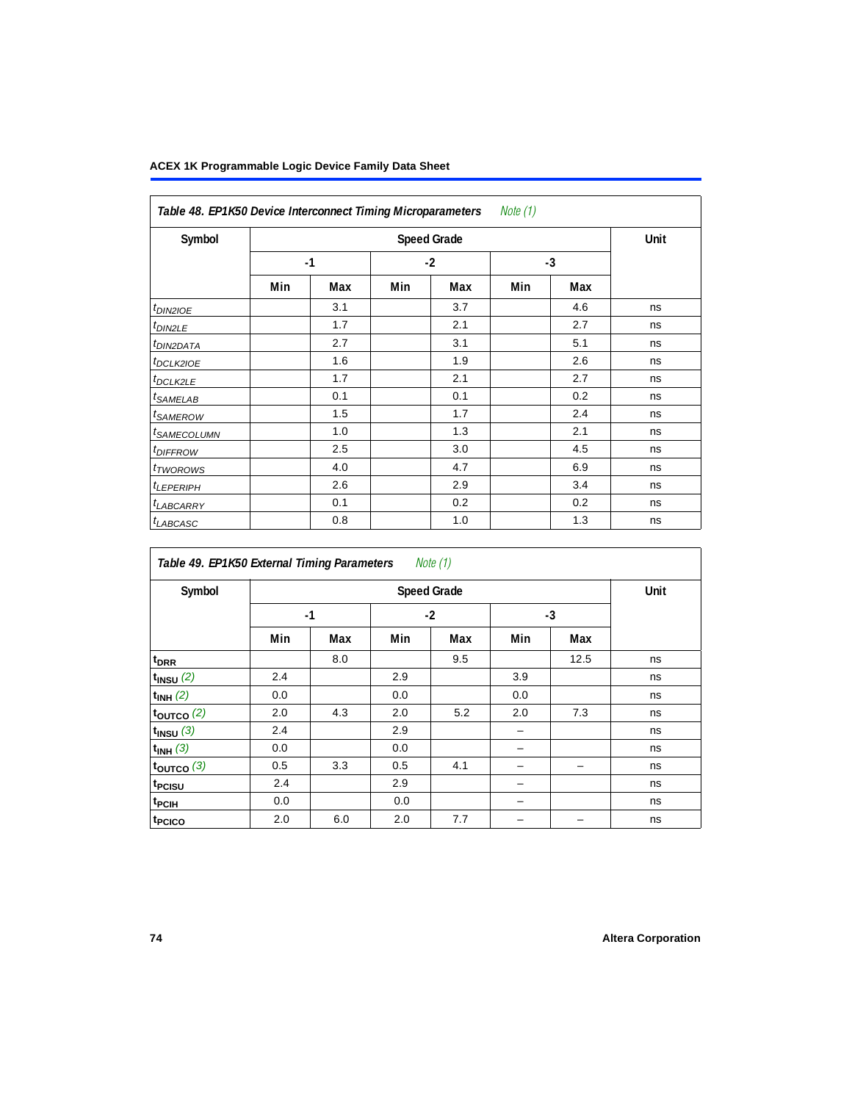| Symbol                     |     | <b>Speed Grade</b> |      |     |      |     |    |  |  |  |
|----------------------------|-----|--------------------|------|-----|------|-----|----|--|--|--|
|                            |     | $-1$               | $-2$ |     | $-3$ |     |    |  |  |  |
|                            | Min | Max                | Min  | Max | Min  | Max |    |  |  |  |
| $t_{DIN2IOE}$              |     | 3.1                |      | 3.7 |      | 4.6 | ns |  |  |  |
| t <sub>DIN2LE</sub>        |     | 1.7                |      | 2.1 |      | 2.7 | ns |  |  |  |
| <sup>t</sup> DIN2DATA      |     | 2.7                |      | 3.1 |      | 5.1 | ns |  |  |  |
| <sup>t</sup> DCLK2IOE      |     | 1.6                |      | 1.9 |      | 2.6 | ns |  |  |  |
| <sup>t</sup> DCLK2LE       |     | 1.7                |      | 2.1 |      | 2.7 | ns |  |  |  |
| <sup>t</sup> SAMELAB       |     | 0.1                |      | 0.1 |      | 0.2 | ns |  |  |  |
| <sup>t</sup> SAMEROW       |     | 1.5                |      | 1.7 |      | 2.4 | ns |  |  |  |
| <sup>t</sup> SAMECOLUMN    |     | 1.0                |      | 1.3 |      | 2.1 | ns |  |  |  |
| <i>t<sub>DIFFROW</sub></i> |     | 2.5                |      | 3.0 |      | 4.5 | ns |  |  |  |
| <sup>t</sup> TWOROWS       |     | 4.0                |      | 4.7 |      | 6.9 | ns |  |  |  |
| <sup>t</sup> LEPERIPH      |     | 2.6                |      | 2.9 |      | 3.4 | ns |  |  |  |
| <sup>t</sup> LABCARRY      |     | 0.1                |      | 0.2 |      | 0.2 | ns |  |  |  |
| <sup>t</sup> LABCASC       |     | 0.8                |      | 1.0 |      | 1.3 | ns |  |  |  |

| Table 49. EP1K50 External Timing Parameters |     |                    |     | Note (1) |     |      | Unit |  |  |  |
|---------------------------------------------|-----|--------------------|-----|----------|-----|------|------|--|--|--|
| Symbol                                      |     | <b>Speed Grade</b> |     |          |     |      |      |  |  |  |
|                                             |     | $-1$               |     | $-2$     |     | $-3$ |      |  |  |  |
|                                             | Min | Max                | Min | Max      | Min | Max  |      |  |  |  |
| t <sub>DRR</sub>                            |     | 8.0                |     | 9.5      |     | 12.5 | ns   |  |  |  |
| $t_{INSU}$ $(2)$                            | 2.4 |                    | 2.9 |          | 3.9 |      | ns   |  |  |  |
| $t_{INH}$ (2)                               | 0.0 |                    | 0.0 |          | 0.0 |      | ns   |  |  |  |
| $t_{OUTCO}$ (2)                             | 2.0 | 4.3                | 2.0 | 5.2      | 2.0 | 7.3  | ns   |  |  |  |
| $t_{INSU}$ (3)                              | 2.4 |                    | 2.9 |          | -   |      | ns   |  |  |  |
| $t_{INH}$ (3)                               | 0.0 |                    | 0.0 |          |     |      | ns   |  |  |  |
| $t_{OUTCO}$ (3)                             | 0.5 | 3.3                | 0.5 | 4.1      |     |      | ns   |  |  |  |
| t <sub>PCISU</sub>                          | 2.4 |                    | 2.9 |          |     |      | ns   |  |  |  |
| t <sub>PCIH</sub>                           | 0.0 |                    | 0.0 |          |     |      | ns   |  |  |  |
| t <sub>PCICO</sub>                          | 2.0 | 6.0                | 2.0 | 7.7      |     |      | ns   |  |  |  |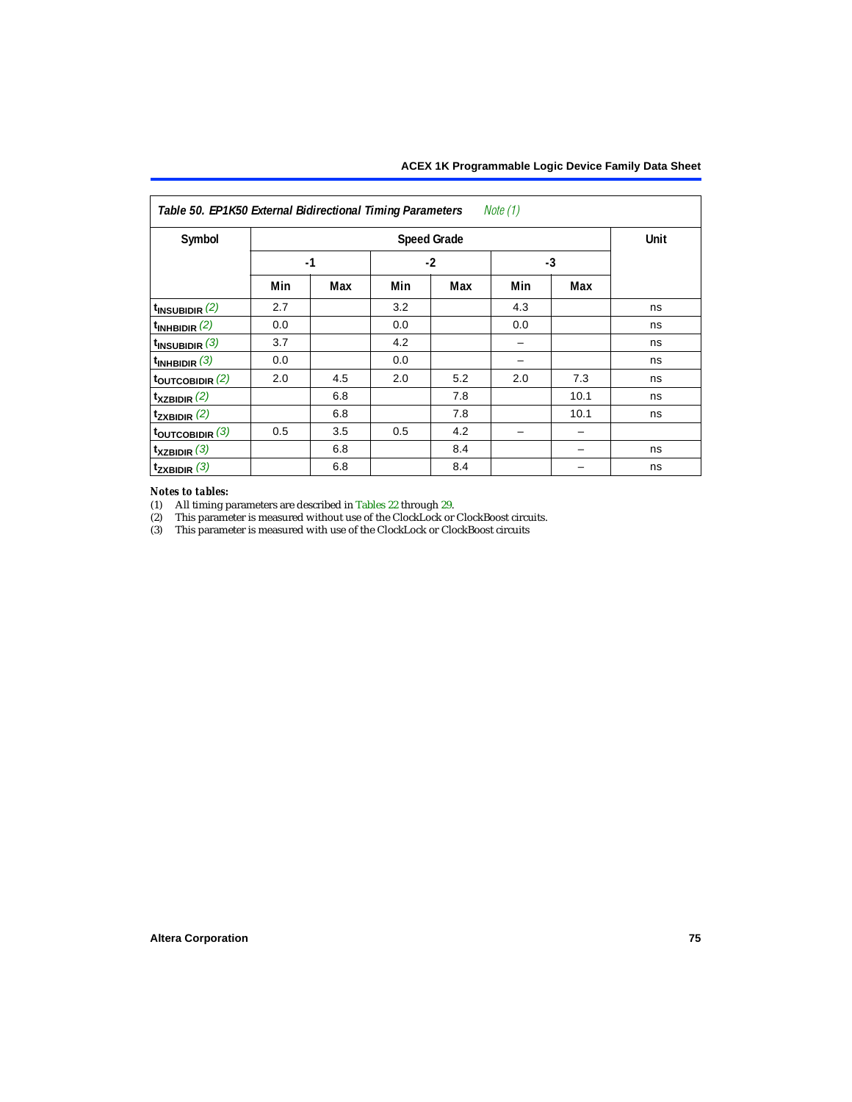| Note (1)<br>Table 50. EP1K50 External Bidirectional Timing Parameters |      |     |      |                    |      |      |      |  |
|-----------------------------------------------------------------------|------|-----|------|--------------------|------|------|------|--|
| Symbol                                                                |      |     |      | <b>Speed Grade</b> |      |      | Unit |  |
|                                                                       | $-1$ |     | $-2$ |                    | $-3$ |      |      |  |
|                                                                       | Min  | Max | Min  | Max                | Min  | Max  |      |  |
| $t_{\text{INSUBIDIR}}(2)$                                             | 2.7  |     | 3.2  |                    | 4.3  |      | ns   |  |
| $t_{INHBIDIR}$ (2)                                                    | 0.0  |     | 0.0  |                    | 0.0  |      | ns   |  |
| $t_{INSUBIDIR}$ (3)                                                   | 3.7  |     | 4.2  |                    |      |      | ns   |  |
| $t_{INHBIDIR}$ (3)                                                    | 0.0  |     | 0.0  |                    |      |      | ns   |  |
| toutcobidir $(2)$                                                     | 2.0  | 4.5 | 2.0  | 5.2                | 2.0  | 7.3  | ns   |  |
| $t_{XZBIDIR}$ (2)                                                     |      | 6.8 |      | 7.8                |      | 10.1 | ns   |  |
| $t_{ZXBIDIR}$ (2)                                                     |      | 6.8 |      | 7.8                |      | 10.1 | ns   |  |
| $t_{\text{OUTCOBIDIR}}$ (3)                                           | 0.5  | 3.5 | 0.5  | 4.2                |      |      |      |  |
| $t_{XZBIDIR}$ (3)                                                     |      | 6.8 |      | 8.4                |      |      | ns   |  |
| $t_{ZXBIDIR}$ (3)                                                     |      | 6.8 |      | 8.4                |      |      | ns   |  |

# *Notes to tables:*

<span id="page-74-0"></span>(1) All timing parameters are described in [Tables 22](#page-53-0) through [29.](#page-58-0)<br>
(2) This parameter is measured without use of the ClockLock or

<span id="page-74-1"></span>This parameter is measured without use of the ClockLock or ClockBoost circuits.

<span id="page-74-2"></span>(3) This parameter is measured with use of the ClockLock or ClockBoost circuits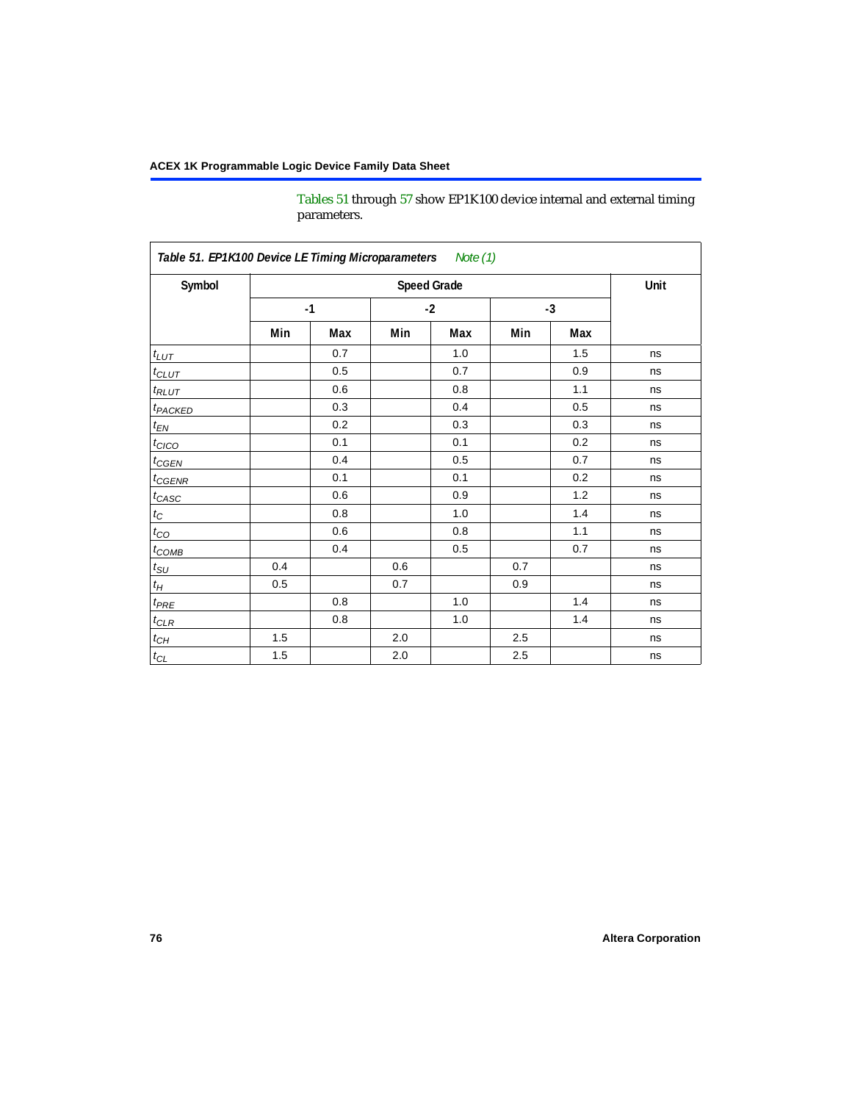[Tables 51](#page-75-0) through [57](#page-80-0) show EP1K100 device internal and external timing parameters.

<span id="page-75-0"></span>

| Symbol                     |     |      | <b>Speed Grade</b> |      |      |     | Unit |
|----------------------------|-----|------|--------------------|------|------|-----|------|
|                            |     | $-1$ |                    | $-2$ | $-3$ |     |      |
|                            | Min | Max  | Min                | Max  | Min  | Max |      |
| $t_{LUT}$                  |     | 0.7  |                    | 1.0  |      | 1.5 | ns   |
| $t_{CLUT}$                 |     | 0.5  |                    | 0.7  |      | 0.9 | ns   |
| $t_{RLUT}$                 |     | 0.6  |                    | 0.8  |      | 1.1 | ns   |
| <b>t</b> <sub>PACKED</sub> |     | 0.3  |                    | 0.4  |      | 0.5 | ns   |
| $t_{EN}$                   |     | 0.2  |                    | 0.3  |      | 0.3 | ns   |
| $t_{CICO}$                 |     | 0.1  |                    | 0.1  |      | 0.2 | ns   |
| $t_{\text{CGEN}}$          |     | 0.4  |                    | 0.5  |      | 0.7 | ns   |
| $t_{GENR}$                 |     | 0.1  |                    | 0.1  |      | 0.2 | ns   |
| $t_{CASC}$                 |     | 0.6  |                    | 0.9  |      | 1.2 | ns   |
| $t_C$                      |     | 0.8  |                    | 1.0  |      | 1.4 | ns   |
| $t_{CO}$                   |     | 0.6  |                    | 0.8  |      | 1.1 | ns   |
| $t_{COMB}$                 |     | 0.4  |                    | 0.5  |      | 0.7 | ns   |
| $t_{\rm SU}$               | 0.4 |      | 0.6                |      | 0.7  |     | ns   |
| $t_H\,$                    | 0.5 |      | 0.7                |      | 0.9  |     | ns   |
| $t_{PRE}$                  |     | 0.8  |                    | 1.0  |      | 1.4 | ns   |
| $t_{CLR}$                  |     | 0.8  |                    | 1.0  |      | 1.4 | ns   |
| $t_{CH}$                   | 1.5 |      | 2.0                |      | 2.5  |     | ns   |
| $t_{\rm CL}$               | 1.5 |      | $2.0\,$            |      | 2.5  |     | ns   |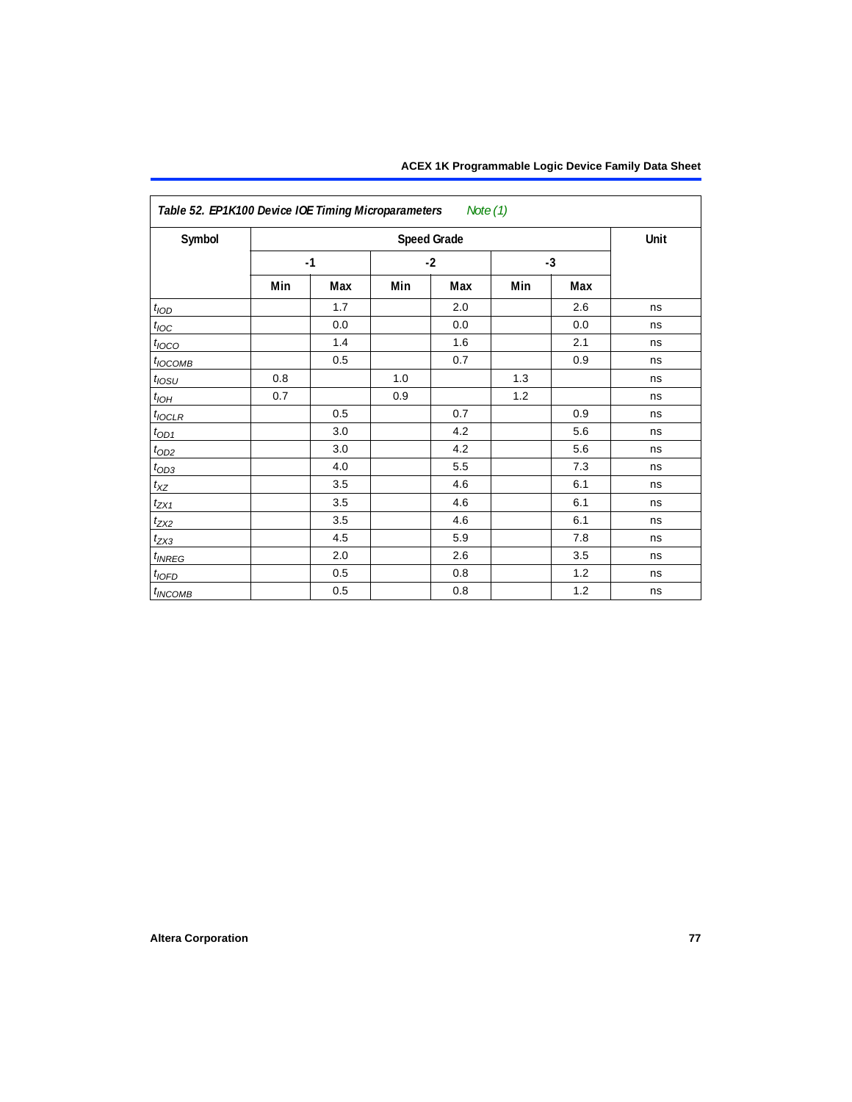| Symbol           |     |      |      | <b>Speed Grade</b> |      |     | Unit |
|------------------|-----|------|------|--------------------|------|-----|------|
|                  |     | $-1$ | $-2$ |                    | $-3$ |     |      |
|                  | Min | Max  | Min  | Max                | Min  | Max |      |
| t <sub>IOD</sub> |     | 1.7  |      | 2.0                |      | 2.6 | ns   |
| $t_{\text{IOC}}$ |     | 0.0  |      | 0.0                |      | 0.0 | ns   |
| $t_{IOCO}$       |     | 1.4  |      | 1.6                |      | 2.1 | ns   |
| $t_{IOCOMB}$     |     | 0.5  |      | 0.7                |      | 0.9 | ns   |
| $t_{IOSU}$       | 0.8 |      | 1.0  |                    | 1.3  |     | ns   |
| $t_{IOH}$        | 0.7 |      | 0.9  |                    | 1.2  |     | ns   |
| $t_{IOCLR}$      |     | 0.5  |      | 0.7                |      | 0.9 | ns   |
| $t_{OD1}$        |     | 3.0  |      | 4.2                |      | 5.6 | ns   |
| $t_{\text{OD2}}$ |     | 3.0  |      | 4.2                |      | 5.6 | ns   |
| $t_{OD3}$        |     | 4.0  |      | 5.5                |      | 7.3 | ns   |
| $t_{XZ}$         |     | 3.5  |      | 4.6                |      | 6.1 | ns   |
| $t_{ZX1}$        |     | 3.5  |      | 4.6                |      | 6.1 | ns   |
| $t_{ZX2}$        |     | 3.5  |      | 4.6                |      | 6.1 | ns   |
| $t_{ZX3}$        |     | 4.5  |      | 5.9                |      | 7.8 | ns   |
| $t_{INREG}$      |     | 2.0  |      | 2.6                |      | 3.5 | ns   |
| $t_{IOFD}$       |     | 0.5  |      | 0.8                |      | 1.2 | ns   |
| $t_{INCOMB}$     |     | 0.5  |      | 0.8                |      | 1.2 | ns   |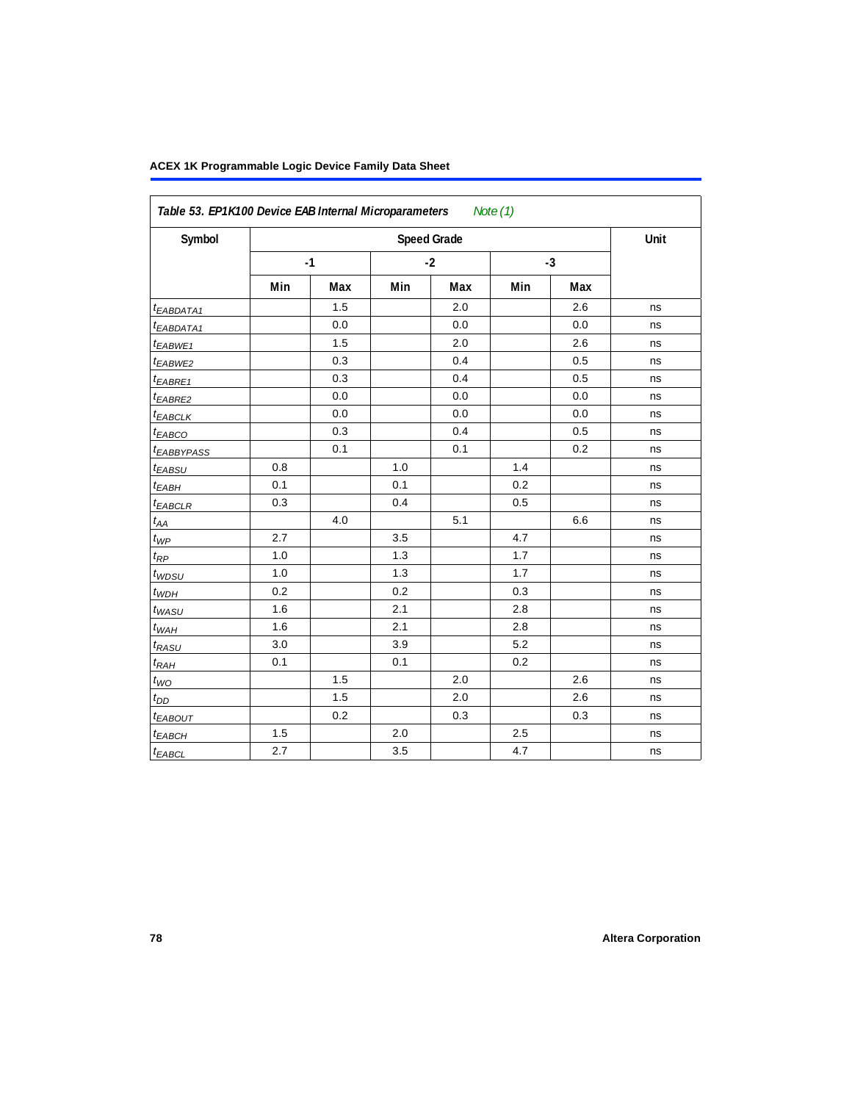| Symbol                  |     |      |     | <b>Speed Grade</b> |      |     | Unit |
|-------------------------|-----|------|-----|--------------------|------|-----|------|
|                         |     | $-1$ |     | $-2$               | $-3$ |     |      |
|                         | Min | Max  | Min | Max                | Min  | Max |      |
| $t_{EABDATA1}$          |     | 1.5  |     | 2.0                |      | 2.6 | ns   |
| t <sub>EABDATA1</sub>   |     | 0.0  |     | 0.0                |      | 0.0 | ns   |
| t <sub>EABWE1</sub>     |     | 1.5  |     | 2.0                |      | 2.6 | ns   |
| t <sub>EABWE2</sub>     |     | 0.3  |     | 0.4                |      | 0.5 | ns   |
| t <sub>EABRE1</sub>     |     | 0.3  |     | 0.4                |      | 0.5 | ns   |
| t <sub>EABRE2</sub>     |     | 0.0  |     | 0.0                |      | 0.0 | ns   |
| <sup>t</sup> EABCLK     |     | 0.0  |     | 0.0                |      | 0.0 | ns   |
| t <sub>EABCO</sub>      |     | 0.3  |     | 0.4                |      | 0.5 | ns   |
| <b><i>EABBYPASS</i></b> |     | 0.1  |     | 0.1                |      | 0.2 | ns   |
| t <sub>EABSU</sub>      | 0.8 |      | 1.0 |                    | 1.4  |     | ns   |
| t <sub>EABH</sub>       | 0.1 |      | 0.1 |                    | 0.2  |     | ns   |
| $t_{EABCLR}$            | 0.3 |      | 0.4 |                    | 0.5  |     | ns   |
| $t_{AA}$                |     | 4.0  |     | 5.1                |      | 6.6 | ns   |
| $t_{\mathit{WP}}$       | 2.7 |      | 3.5 |                    | 4.7  |     | ns   |
| $t_{RP}$                | 1.0 |      | 1.3 |                    | 1.7  |     | ns   |
| $t_{WDSU}$              | 1.0 |      | 1.3 |                    | 1.7  |     | ns   |
| $t_{WDH}$               | 0.2 |      | 0.2 |                    | 0.3  |     | ns   |
| $t_{WASU}$              | 1.6 |      | 2.1 |                    | 2.8  |     | ns   |
| $t_{WAH}$               | 1.6 |      | 2.1 |                    | 2.8  |     | ns   |
| $t_{RASU}$              | 3.0 |      | 3.9 |                    | 5.2  |     | ns   |
| $t_{RAH}$               | 0.1 |      | 0.1 |                    | 0.2  |     | ns   |
| $t_{WO}$                |     | 1.5  |     | 2.0                |      | 2.6 | ns   |
| $t_{DD}$                |     | 1.5  |     | 2.0                |      | 2.6 | ns   |
| t <sub>EABOUT</sub>     |     | 0.2  |     | 0.3                |      | 0.3 | ns   |
| $t_{EABCH}$             | 1.5 |      | 2.0 |                    | 2.5  |     | ns   |
| $t_{EABCL}$             | 2.7 |      | 3.5 |                    | 4.7  |     | ns   |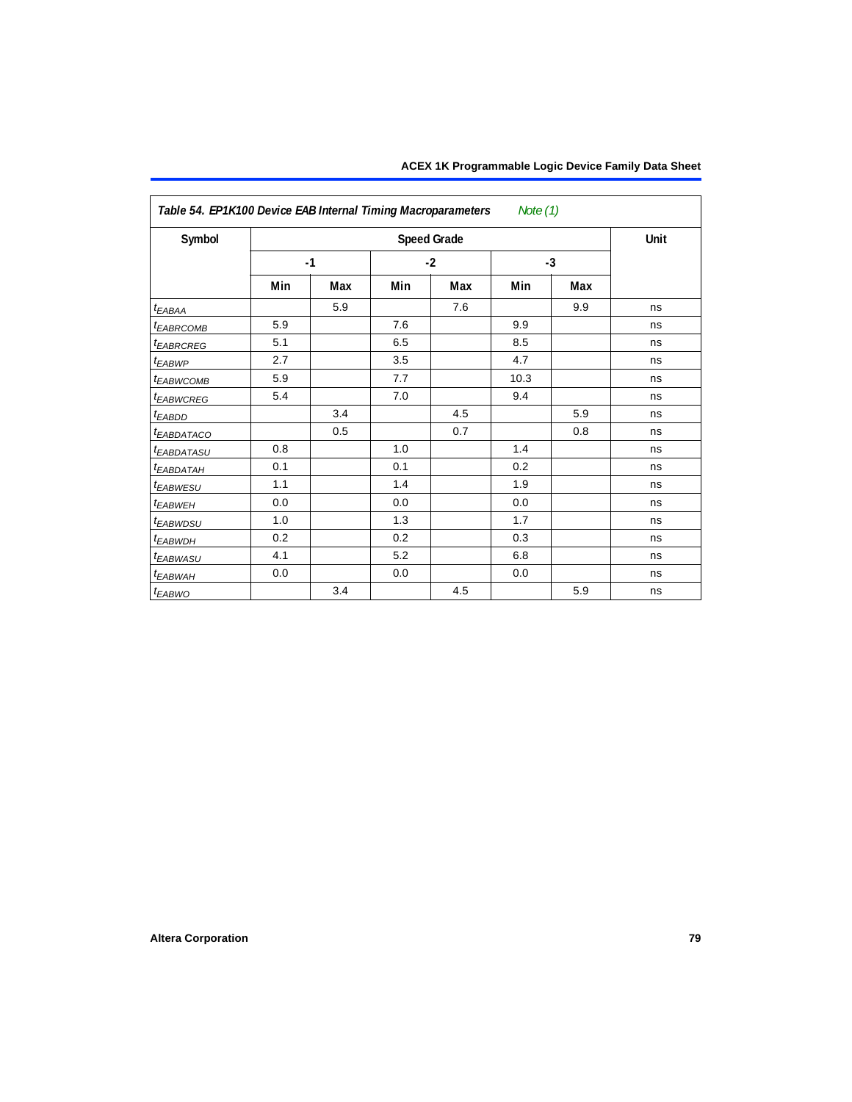| Table 54. EP1K100 Device EAB Internal Timing Macroparameters Note (1) |     |      |     |                    |      |      |      |
|-----------------------------------------------------------------------|-----|------|-----|--------------------|------|------|------|
| Symbol                                                                |     |      |     | <b>Speed Grade</b> |      |      | Unit |
|                                                                       |     | $-1$ |     | $-2$               |      | $-3$ |      |
|                                                                       | Min | Max  | Min | Max                | Min  | Max  |      |
| $t_{EABA}$                                                            |     | 5.9  |     | 7.6                |      | 9.9  | ns   |
| <sup>t</sup> EABRCOMB                                                 | 5.9 |      | 7.6 |                    | 9.9  |      | ns   |
| <sup>t</sup> EABRCREG                                                 | 5.1 |      | 6.5 |                    | 8.5  |      | ns   |
| $t_{EABWP}$                                                           | 2.7 |      | 3.5 |                    | 4.7  |      | ns   |
| <sup>t</sup> EABWCOMB                                                 | 5.9 |      | 7.7 |                    | 10.3 |      | ns   |
| <sup>t</sup> EABWCREG                                                 | 5.4 |      | 7.0 |                    | 9.4  |      | ns   |
| $t_{EABDD}$                                                           |     | 3.4  |     | 4.5                |      | 5.9  | ns   |
| <sup>t</sup> EABDATACO                                                |     | 0.5  |     | 0.7                |      | 0.8  | ns   |
| <i>EABDATASU</i>                                                      | 0.8 |      | 1.0 |                    | 1.4  |      | ns   |
| <sup>t</sup> EABDATAH                                                 | 0.1 |      | 0.1 |                    | 0.2  |      | ns   |
| t <sub>EABWESU</sub>                                                  | 1.1 |      | 1.4 |                    | 1.9  |      | ns   |
| <sup>t</sup> EABWEH                                                   | 0.0 |      | 0.0 |                    | 0.0  |      | ns   |
| t <sub>EABWDSU</sub>                                                  | 1.0 |      | 1.3 |                    | 1.7  |      | ns   |
| t <sub>EABWDH</sub>                                                   | 0.2 |      | 0.2 |                    | 0.3  |      | ns   |
| <sup>t</sup> EABWASU                                                  | 4.1 |      | 5.2 |                    | 6.8  |      | ns   |
| t <sub>EABWAH</sub>                                                   | 0.0 |      | 0.0 |                    | 0.0  |      | ns   |
| <sup>t</sup> EABWO                                                    |     | 3.4  |     | 4.5                |      | 5.9  | ns   |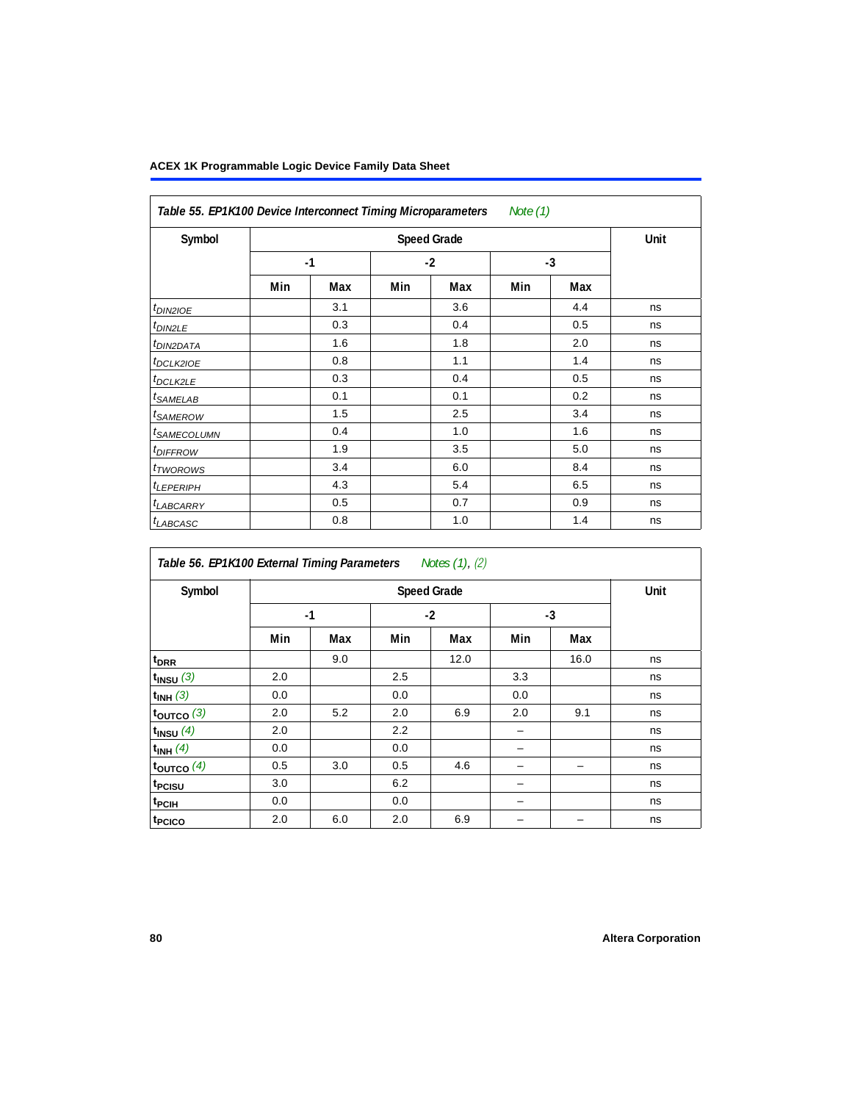| Table 55. EP1K100 Device Interconnect Timing Microparameters<br>Note (1) |      |     |      |                    |      |     |      |  |
|--------------------------------------------------------------------------|------|-----|------|--------------------|------|-----|------|--|
| Symbol                                                                   |      |     |      | <b>Speed Grade</b> |      |     | Unit |  |
|                                                                          | $-1$ |     | $-2$ |                    | $-3$ |     |      |  |
|                                                                          | Min  | Max | Min  | Max                | Min  | Max |      |  |
| $t_{DINZIOE}$                                                            |      | 3.1 |      | 3.6                |      | 4.4 | ns   |  |
| t <sub>DIN2LE</sub>                                                      |      | 0.3 |      | 0.4                |      | 0.5 | ns   |  |
| <sup>t</sup> DIN2DATA                                                    |      | 1.6 |      | 1.8                |      | 2.0 | ns   |  |
| <sup>t</sup> DCLK2IOE                                                    |      | 0.8 |      | 1.1                |      | 1.4 | ns   |  |
| <sup>t</sup> DCLK2LE                                                     |      | 0.3 |      | 0.4                |      | 0.5 | ns   |  |
| <sup>t</sup> SAMELAB                                                     |      | 0.1 |      | 0.1                |      | 0.2 | ns   |  |
| <sup>t</sup> SAMEROW                                                     |      | 1.5 |      | 2.5                |      | 3.4 | ns   |  |
| <sup>t</sup> SAMECOLUMN                                                  |      | 0.4 |      | 1.0                |      | 1.6 | ns   |  |
| <i>t<sub>DIFFROW</sub></i>                                               |      | 1.9 |      | 3.5                |      | 5.0 | ns   |  |
| <sup>t</sup> TWOROWS                                                     |      | 3.4 |      | 6.0                |      | 8.4 | ns   |  |
| <sup>t</sup> LEPERIPH                                                    |      | 4.3 |      | 5.4                |      | 6.5 | ns   |  |
| <sup>t</sup> LABCARRY                                                    |      | 0.5 |      | 0.7                |      | 0.9 | ns   |  |
| <sup>t</sup> LABCASC                                                     |      | 0.8 |      | 1.0                |      | 1.4 | ns   |  |

| Table 56. EP1K100 External Timing Parameters Notes (1), (2) |      |     |     |                    |     |      |      |  |  |
|-------------------------------------------------------------|------|-----|-----|--------------------|-----|------|------|--|--|
| Symbol                                                      |      |     |     | <b>Speed Grade</b> |     |      | Unit |  |  |
|                                                             | $-1$ |     |     | $-2$               |     | $-3$ |      |  |  |
|                                                             | Min  | Max | Min | Max                | Min | Max  |      |  |  |
| $t_{DRR}$                                                   |      | 9.0 |     | 12.0               |     | 16.0 | ns   |  |  |
| $t_{INSU}$ (3)                                              | 2.0  |     | 2.5 |                    | 3.3 |      | ns   |  |  |
| $t_{INH}$ (3)                                               | 0.0  |     | 0.0 |                    | 0.0 |      | ns   |  |  |
| $t_{OUTCO}$ (3)                                             | 2.0  | 5.2 | 2.0 | 6.9                | 2.0 | 9.1  | ns   |  |  |
| $t_{INSU}$ (4)                                              | 2.0  |     | 2.2 |                    |     |      | ns   |  |  |
| $t_{INH}$ (4)                                               | 0.0  |     | 0.0 |                    |     |      | ns   |  |  |
| toutco $(4)$                                                | 0.5  | 3.0 | 0.5 | 4.6                |     |      | ns   |  |  |
| t <sub>PCISU</sub>                                          | 3.0  |     | 6.2 |                    |     |      | ns   |  |  |
| t <sub>PCIH</sub>                                           | 0.0  |     | 0.0 |                    |     |      | ns   |  |  |
| t <sub>PCICO</sub>                                          | 2.0  | 6.0 | 2.0 | 6.9                |     |      | ns   |  |  |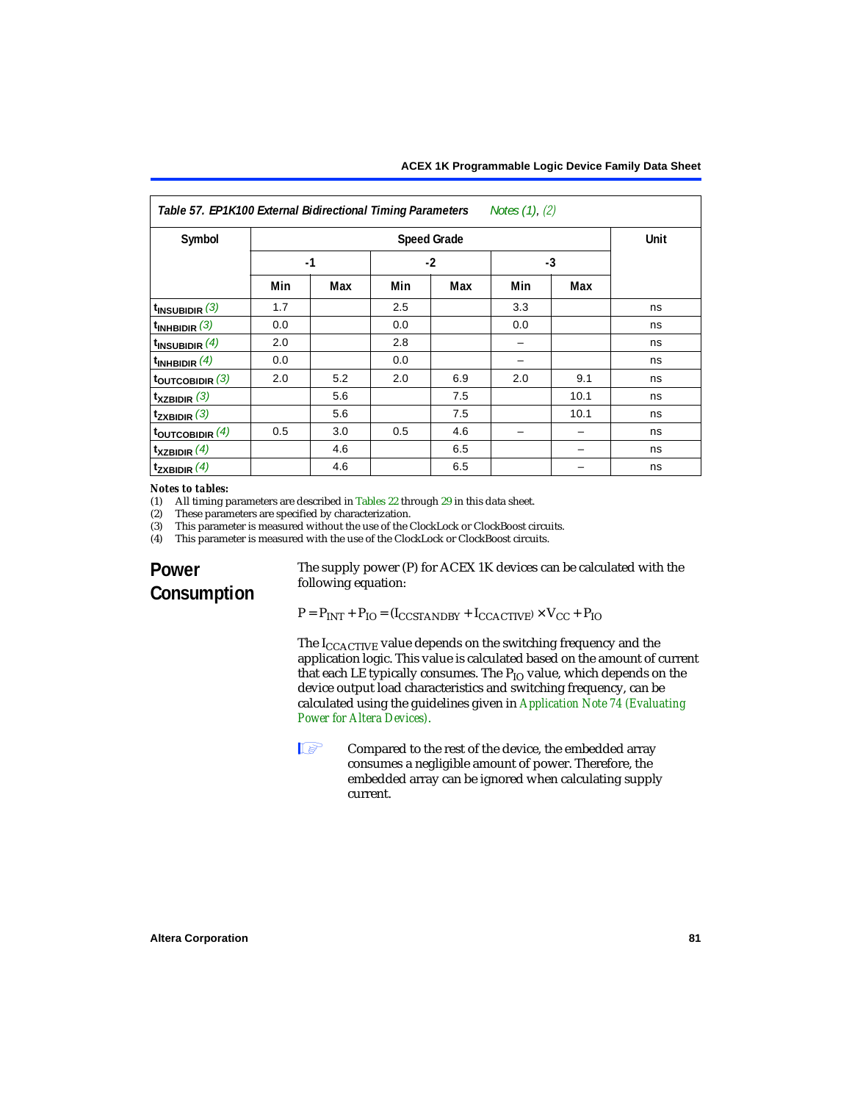<span id="page-80-0"></span>

| Table 57. EP1K100 External Bidirectional Timing Parameters<br>Notes (1), (2) |      |     |     |                    |     |      |      |  |
|------------------------------------------------------------------------------|------|-----|-----|--------------------|-----|------|------|--|
| Symbol                                                                       |      |     |     | <b>Speed Grade</b> |     |      | Unit |  |
|                                                                              | $-1$ |     |     | $-2$               |     | $-3$ |      |  |
|                                                                              | Min  | Max | Min | Max                | Min | Max  |      |  |
| $t_{INSUBIDIR}$ (3)                                                          | 1.7  |     | 2.5 |                    | 3.3 |      | ns   |  |
| $t_{INHBIDIR}$ (3)                                                           | 0.0  |     | 0.0 |                    | 0.0 |      | ns   |  |
| $t_{INSUBIDIR}$ (4)                                                          | 2.0  |     | 2.8 |                    |     |      | ns   |  |
| $t_{INHBIDIR}$ (4)                                                           | 0.0  |     | 0.0 |                    |     |      | ns   |  |
| $t_{\text{OUTCOBIDIR}}$ (3)                                                  | 2.0  | 5.2 | 2.0 | 6.9                | 2.0 | 9.1  | ns   |  |
| $t_{XZBIDIR}$ (3)                                                            |      | 5.6 |     | 7.5                |     | 10.1 | ns   |  |
| $t_{ZXBIDIR}$ (3)                                                            |      | 5.6 |     | 7.5                |     | 10.1 | ns   |  |
| $t_{\text{OUTCOBIDIR}}$ (4)                                                  | 0.5  | 3.0 | 0.5 | 4.6                |     |      | ns   |  |
| $t_{XZBIDIR}$ (4)                                                            |      | 4.6 |     | 6.5                |     |      | ns   |  |
| $t_{ZXBIDIR}$ (4)                                                            |      | 4.6 |     | 6.5                |     |      | ns   |  |

## *Notes to tables:*<br>(1) All timing p

<span id="page-80-1"></span>(1) All timing parameters are described in [Tables 22](#page-53-0) through  $29$  in this data sheet.<br>(2) These parameters are specified by characterization.

<span id="page-80-2"></span>(2) These parameters are specified by characterization.<br>(3) This parameter is measured without the use of the C

<span id="page-80-3"></span>(3) This parameter is measured without the use of the ClockLock or ClockBoost circuits.<br>(4) This parameter is measured with the use of the ClockLock or ClockBoost circuits.

<span id="page-80-4"></span>This parameter is measured with the use of the ClockLock or ClockBoost circuits.

### **Power Consumption**

The supply power (P) for ACEX 1K devices can be calculated with the following equation:

 $P = P_{INT} + P_{IO} = (I_{CCSTANDBY} + I_{CCACTIVE}) \times V_{CC} + P_{IO}$ 

The  $I_{\text{CCACTIVE}}$  value depends on the switching frequency and the application logic. This value is calculated based on the amount of current that each LE typically consumes. The  $P_{IO}$  value, which depends on the device output load characteristics and switching frequency, can be calculated using the guidelines given in *Application Note 74 (Evaluating Power for Altera Devices)*.

**1 Compared to the rest of the device, the embedded array** consumes a negligible amount of power. Therefore, the embedded array can be ignored when calculating supply current.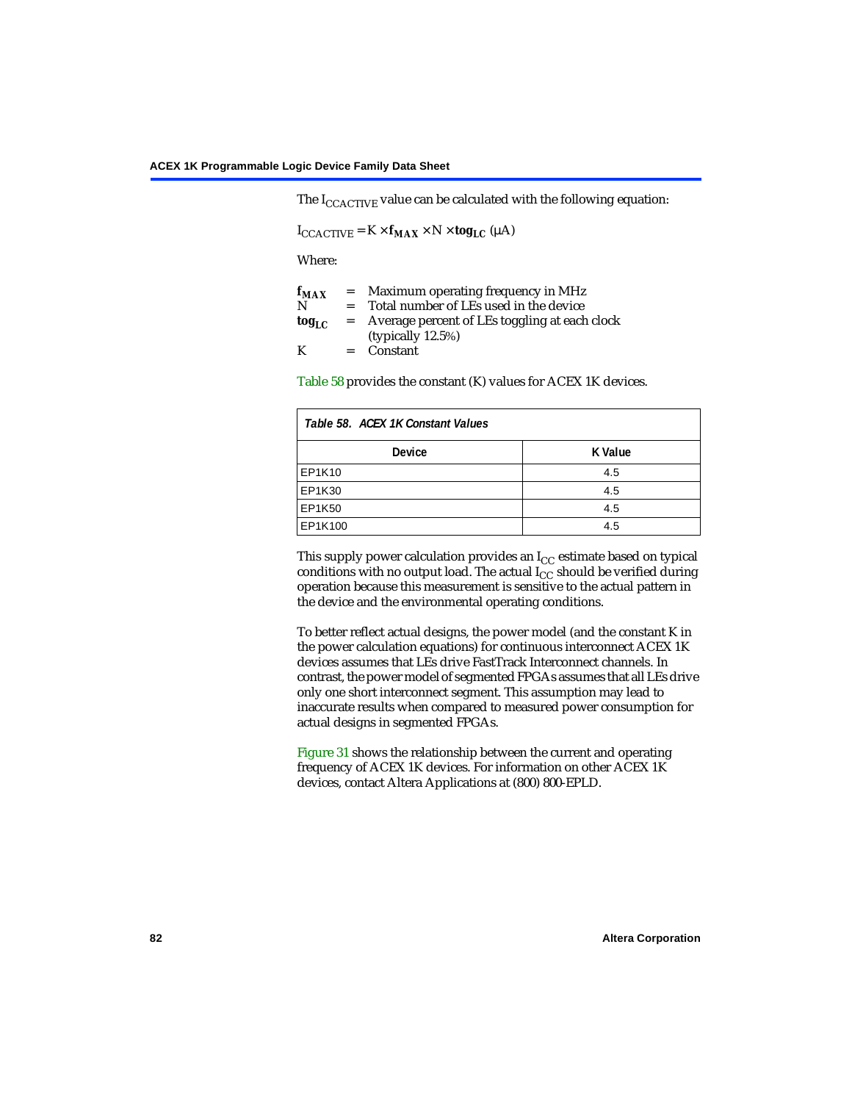The  $I_{CCACTIVE}$  value can be calculated with the following equation:

 $I_{\text{CCACTIVE}} = K \times f_{\text{MAX}} \times N \times \text{tog}_{\text{LC}} (\mu A)$ 

Where:

| $f_{MAX}$   | $=$     | Maximum operating frequency in MHz            |
|-------------|---------|-----------------------------------------------|
| N           | $=$ $-$ | Total number of LEs used in the device        |
| $\log_{LC}$ | $=$     | Average percent of LEs toggling at each clock |
|             |         | (typically $12.5\%$ )                         |
| K           | $=$ $-$ | Constant                                      |

[Table 58](#page-81-0) provides the constant (K) values for ACEX 1K devices.

<span id="page-81-0"></span>

| Table 58. ACEX 1K Constant Values |         |
|-----------------------------------|---------|
| <b>Device</b>                     | K Value |
| EP1K10                            | 4.5     |
| EP1K30                            | 4.5     |
| EP1K50                            | 4.5     |
| EP1K100                           | 4.5     |

This supply power calculation provides an  $I_{CC}$  estimate based on typical conditions with no output load. The actual  $I_{CC}$  should be verified during operation because this measurement is sensitive to the actual pattern in the device and the environmental operating conditions.

To better reflect actual designs, the power model (and the constant K in the power calculation equations) for continuous interconnect ACEX 1K devices assumes that LEs drive FastTrack Interconnect channels. In contrast, the power model of segmented FPGAs assumes that all LEs drive only one short interconnect segment. This assumption may lead to inaccurate results when compared to measured power consumption for actual designs in segmented FPGAs.

[Figure 31](#page-82-0) shows the relationship between the current and operating frequency of ACEX 1K devices. For information on other ACEX 1K devices, contact Altera Applications at (800) 800-EPLD.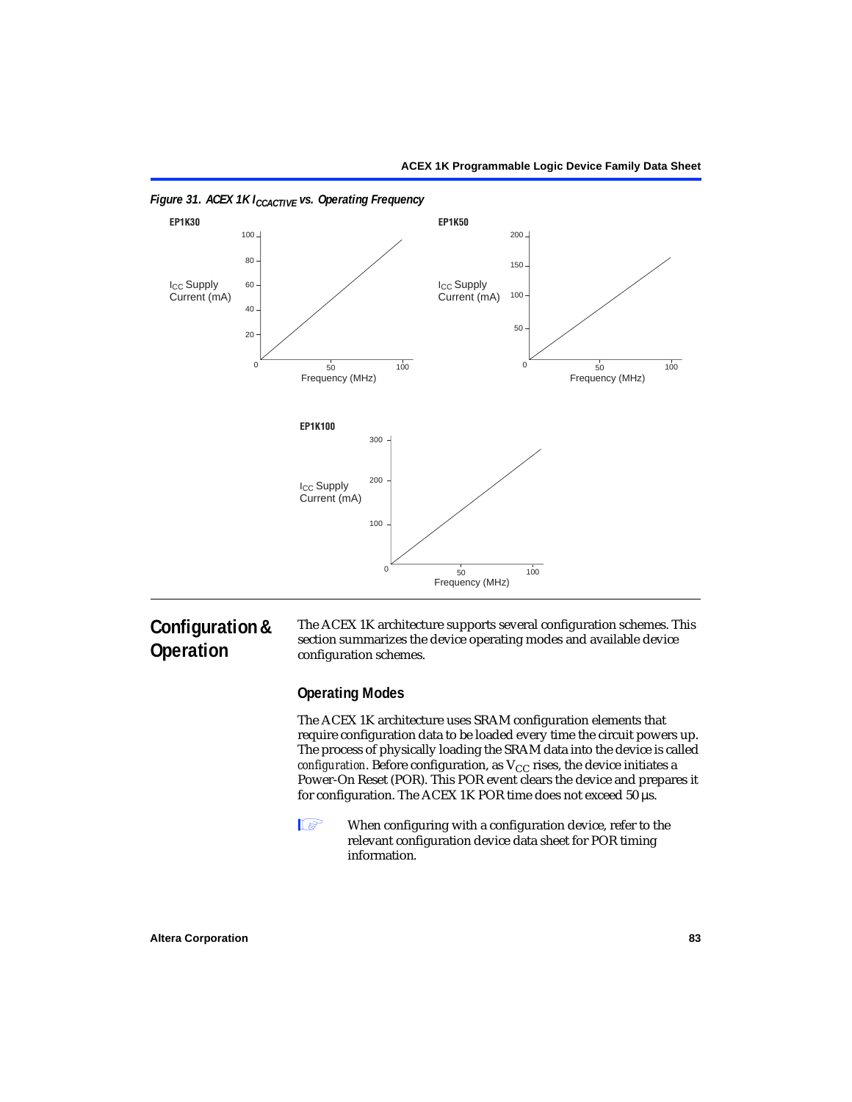

<span id="page-82-0"></span>*Figure 31. ACEX 1K I<sub>CCACTIVE</sub> vs. Operating Frequency* 

### **Configuration & Operation**

The ACEX 1K architecture supports several configuration schemes. This section summarizes the device operating modes and available device configuration schemes.

### **Operating Modes**

The ACEX 1K architecture uses SRAM configuration elements that require configuration data to be loaded every time the circuit powers up. The process of physically loading the SRAM data into the device is called *configuration*. Before configuration, as  $V_{CC}$  rises, the device initiates a Power-On Reset (POR). This POR event clears the device and prepares it for configuration. The ACEX 1K POR time does not exceed 50 µs.

**1** When configuring with a configuration device, refer to the relevant configuration device data sheet for POR timing information.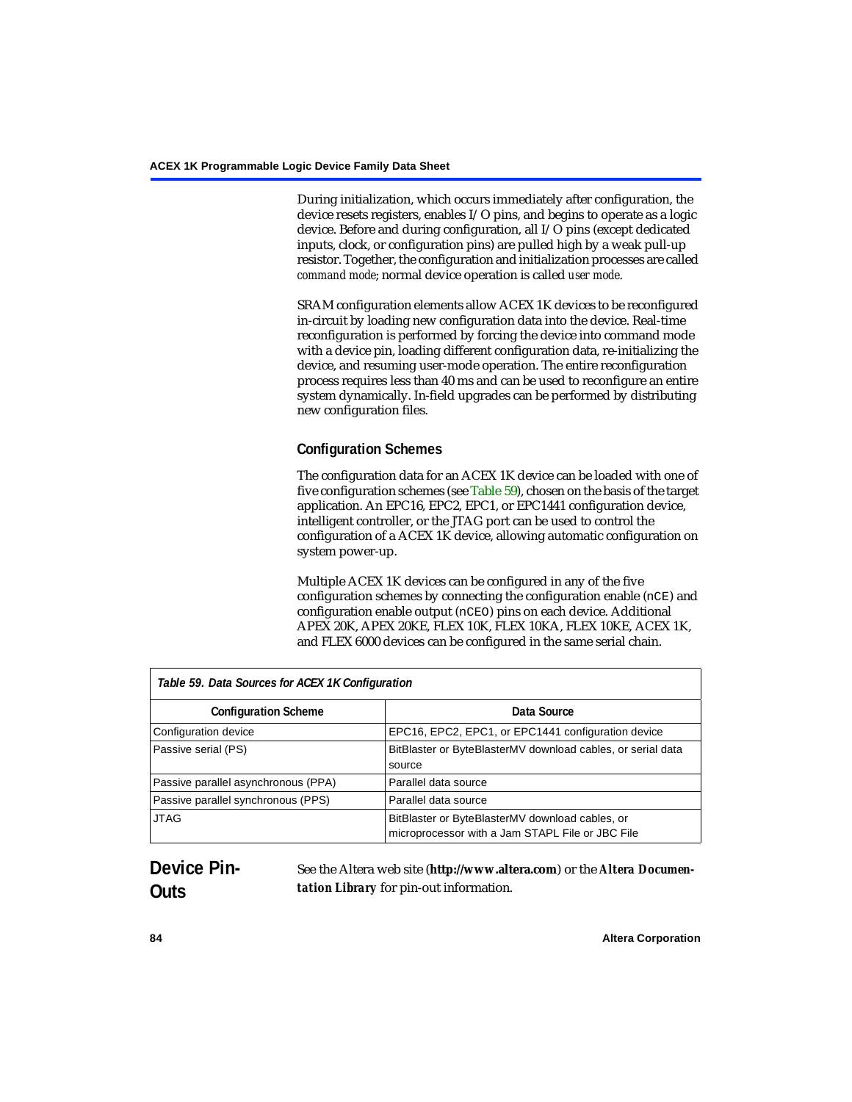During initialization, which occurs immediately after configuration, the device resets registers, enables I/O pins, and begins to operate as a logic device. Before and during configuration, all I/O pins (except dedicated inputs, clock, or configuration pins) are pulled high by a weak pull-up resistor. Together, the configuration and initialization processes are called *command mode*; normal device operation is called *user mode*.

SRAM configuration elements allow ACEX 1K devices to be reconfigured in-circuit by loading new configuration data into the device. Real-time reconfiguration is performed by forcing the device into command mode with a device pin, loading different configuration data, re-initializing the device, and resuming user-mode operation. The entire reconfiguration process requires less than 40 ms and can be used to reconfigure an entire system dynamically. In-field upgrades can be performed by distributing new configuration files.

### **Configuration Schemes**

The configuration data for an ACEX 1K device can be loaded with one of five configuration schemes (see [Table 59](#page-83-0)), chosen on the basis of the target application. An EPC16, EPC2, EPC1, or EPC1441 configuration device, intelligent controller, or the JTAG port can be used to control the configuration of a ACEX 1K device, allowing automatic configuration on system power-up.

Multiple ACEX 1K devices can be configured in any of the five configuration schemes by connecting the configuration enable (nCE) and configuration enable output (nCEO) pins on each device. Additional APEX 20K, APEX 20KE, FLEX 10K, FLEX 10KA, FLEX 10KE, ACEX 1K, and FLEX 6000 devices can be configured in the same serial chain.

<span id="page-83-0"></span>

| Table 59. Data Sources for ACEX 1K Configuration |                                                                                                     |  |
|--------------------------------------------------|-----------------------------------------------------------------------------------------------------|--|
| <b>Configuration Scheme</b>                      | Data Source                                                                                         |  |
| Configuration device                             | EPC16, EPC2, EPC1, or EPC1441 configuration device                                                  |  |
| Passive serial (PS)                              | BitBlaster or ByteBlasterMV download cables, or serial data<br>source                               |  |
| Passive parallel asynchronous (PPA)              | Parallel data source                                                                                |  |
| Passive parallel synchronous (PPS)               | Parallel data source                                                                                |  |
| <b>JTAG</b>                                      | BitBlaster or ByteBlasterMV download cables, or<br>microprocessor with a Jam STAPL File or JBC File |  |

### **Device Pin-Outs**

See the Altera web site (**http://www.altera.com**) or the *Altera Documentation Library* for pin-out information.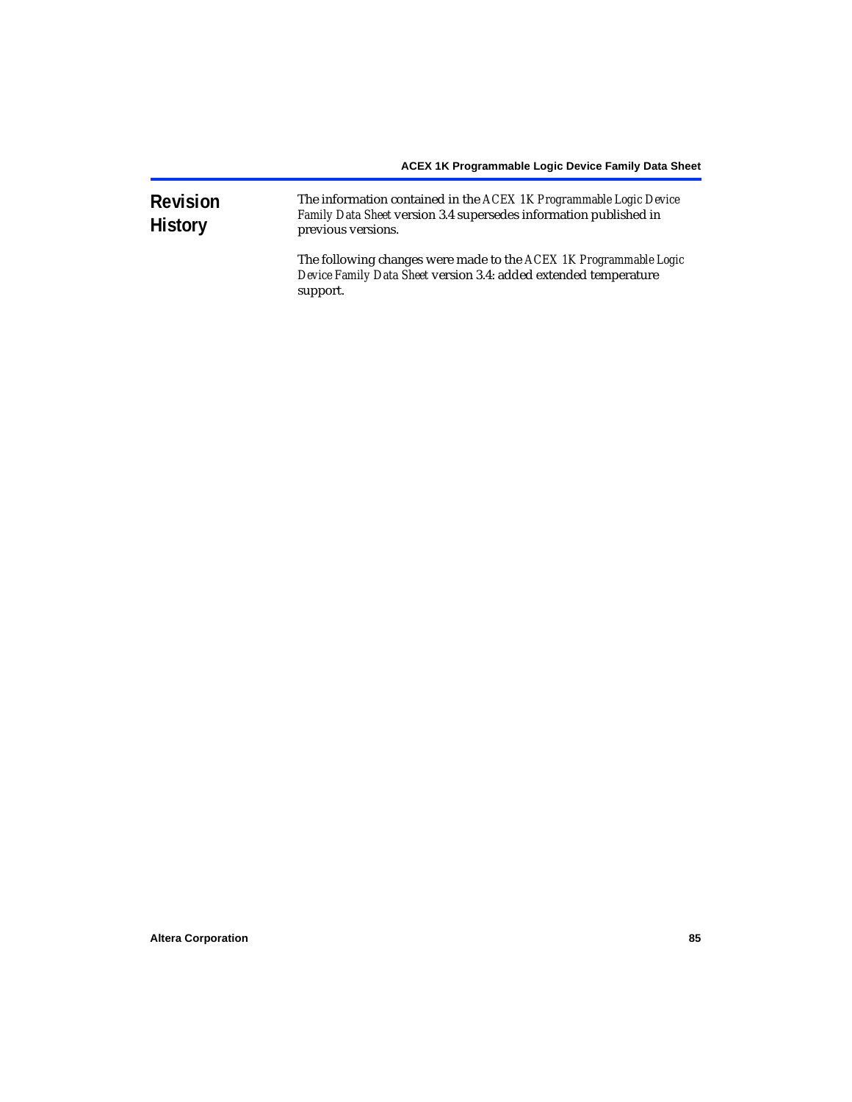| <b>Revision</b><br><b>History</b> | The information contained in the ACEX 1K Programmable Logic Device<br>Family Data Sheet version 3.4 supersedes information published in<br>previous versions. |
|-----------------------------------|---------------------------------------------------------------------------------------------------------------------------------------------------------------|
|                                   | The following changes were made to the ACEX 1K Programmable Logic<br>Device Family Data Sheet version 3.4: added extended temperature<br>support.             |